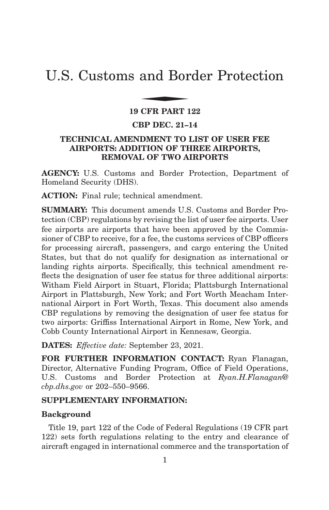# U.S. Customs and Border Protection and Bor

#### **19 CFR PART 122**

#### **CBP DEC. 21–14**

# **TECHNICAL AMENDMENT TO LIST OF USER FEE AIRPORTS: ADDITION OF THREE AIRPORTS, REMOVAL OF TWO AIRPORTS**

**AGENCY:** U.S. Customs and Border Protection, Department of Homeland Security (DHS).

**ACTION:** Final rule; technical amendment.

**SUMMARY:** This document amends U.S. Customs and Border Protection (CBP) regulations by revising the list of user fee airports. User fee airports are airports that have been approved by the Commissioner of CBP to receive, for a fee, the customs services of CBP officers for processing aircraft, passengers, and cargo entering the United States, but that do not qualify for designation as international or landing rights airports. Specifically, this technical amendment reflects the designation of user fee status for three additional airports: Witham Field Airport in Stuart, Florida; Plattsburgh International Airport in Plattsburgh, New York; and Fort Worth Meacham International Airport in Fort Worth, Texas. This document also amends CBP regulations by removing the designation of user fee status for two airports: Griffiss International Airport in Rome, New York, and Cobb County International Airport in Kennesaw, Georgia.

**DATES:** *Effective date:* September 23, 2021.

**FOR FURTHER INFORMATION CONTACT:** Ryan Flanagan, Director, Alternative Funding Program, Office of Field Operations, U.S. Customs and Border Protection at *Ryan.H.Flanagan@ cbp.dhs.gov* or 202–550–9566.

#### **SUPPLEMENTARY INFORMATION:**

#### **Background**

Title 19, part 122 of the Code of Federal Regulations (19 CFR part 122) sets forth regulations relating to the entry and clearance of aircraft engaged in international commerce and the transportation of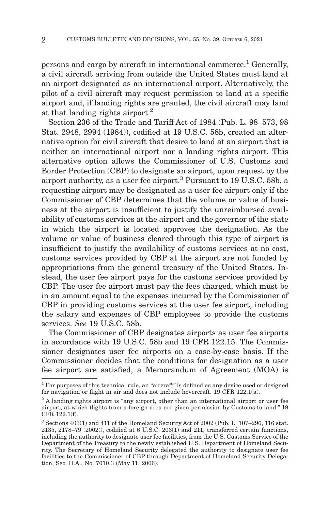persons and cargo by aircraft in international commerce.1 Generally, a civil aircraft arriving from outside the United States must land at an airport designated as an international airport. Alternatively, the pilot of a civil aircraft may request permission to land at a specific airport and, if landing rights are granted, the civil aircraft may land at that landing rights airport. $^{2}$ 

Section 236 of the Trade and Tariff Act of 1984 (Pub. L. 98–573, 98 Stat. 2948, 2994 (1984)), codified at 19 U.S.C. 58b, created an alternative option for civil aircraft that desire to land at an airport that is neither an international airport nor a landing rights airport. This alternative option allows the Commissioner of U.S. Customs and Border Protection (CBP) to designate an airport, upon request by the airport authority, as a user fee airport.3 Pursuant to 19 U.S.C. 58b, a requesting airport may be designated as a user fee airport only if the Commissioner of CBP determines that the volume or value of business at the airport is insufficient to justify the unreimbursed availability of customs services at the airport and the governor of the state in which the airport is located approves the designation. As the volume or value of business cleared through this type of airport is insufficient to justify the availability of customs services at no cost, customs services provided by CBP at the airport are not funded by appropriations from the general treasury of the United States. Instead, the user fee airport pays for the customs services provided by CBP. The user fee airport must pay the fees charged, which must be in an amount equal to the expenses incurred by the Commissioner of CBP in providing customs services at the user fee airport, including the salary and expenses of CBP employees to provide the customs services. *See* 19 U.S.C. 58b.

The Commissioner of CBP designates airports as user fee airports in accordance with 19 U.S.C. 58b and 19 CFR 122.15. The Commissioner designates user fee airports on a case-by-case basis. If the Commissioner decides that the conditions for designation as a user fee airport are satisfied, a Memorandum of Agreement (MOA) is

<sup>&</sup>lt;sup>1</sup> For purposes of this technical rule, an "aircraft" is defined as any device used or designed for navigation or flight in air and does not include hovercraft. 19 CFR 122.1(a).

<sup>&</sup>lt;sup>2</sup> A landing rights airport is "any airport, other than an international airport or user fee airport, at which flights from a foreign area are given permission by Customs to land.'' 19 CFR 122.1(f).

<sup>3</sup> Sections 403(1) and 411 of the Homeland Security Act of 2002 (Pub. L. 107–296, 116 stat. 2135, 2178–79 (2002)), codified at 6 U.S.C. 203(1) and 211, transferred certain functions, including the authority to designate user fee facilities, from the U.S. Customs Service of the Department of the Treasury to the newly established U.S. Department of Homeland Security. The Secretary of Homeland Security delegated the authority to designate user fee facilities to the Commissioner of CBP through Department of Homeland Security Delegation, Sec. II.A., No. 7010.3 (May 11, 2006).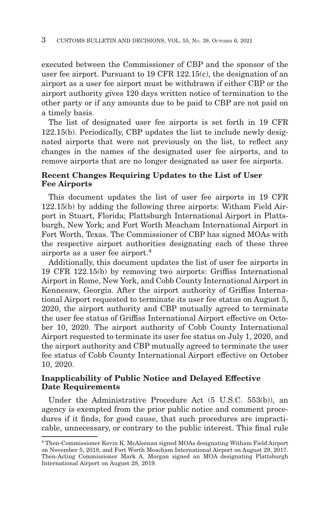executed between the Commissioner of CBP and the sponsor of the user fee airport. Pursuant to 19 CFR 122.15(c), the designation of an airport as a user fee airport must be withdrawn if either CBP or the airport authority gives 120 days written notice of termination to the other party or if any amounts due to be paid to CBP are not paid on a timely basis.

The list of designated user fee airports is set forth in 19 CFR 122.15(b). Periodically, CBP updates the list to include newly designated airports that were not previously on the list, to reflect any changes in the names of the designated user fee airports, and to remove airports that are no longer designated as user fee airports.

## **Recent Changes Requiring Updates to the List of User Fee Airports**

This document updates the list of user fee airports in 19 CFR 122.15(b) by adding the following three airports: Witham Field Airport in Stuart, Florida; Plattsburgh International Airport in Plattsburgh, New York; and Fort Worth Meacham International Airport in Fort Worth, Texas. The Commissioner of CBP has signed MOAs with the respective airport authorities designating each of these three airports as a user fee airport.<sup>4</sup>

Additionally, this document updates the list of user fee airports in 19 CFR 122.15(b) by removing two airports: Griffiss International Airport in Rome, New York, and Cobb County International Airport in Kennesaw, Georgia. After the airport authority of Griffiss International Airport requested to terminate its user fee status on August 5, 2020, the airport authority and CBP mutually agreed to terminate the user fee status of Griffiss International Airport effective on October 10, 2020. The airport authority of Cobb County International Airport requested to terminate its user fee status on July 1, 2020, and the airport authority and CBP mutually agreed to terminate the user fee status of Cobb County International Airport effective on October 10, 2020.

## **Inapplicability of Public Notice and Delayed Effective Date Requirements**

Under the Administrative Procedure Act (5 U.S.C. 553(b)), an agency is exempted from the prior public notice and comment procedures if it finds, for good cause, that such procedures are impracticable, unnecessary, or contrary to the public interest. This final rule

<sup>4</sup> Then-Commissioner Kevin K. McAleenan signed MOAs designating Witham Field Airport on November 5, 2018, and Fort Worth Meacham International Airport on August 29, 2017. Then-Acting Commissioner Mark A. Morgan signed an MOA designating Plattsburgh International Airport on August 28, 2019.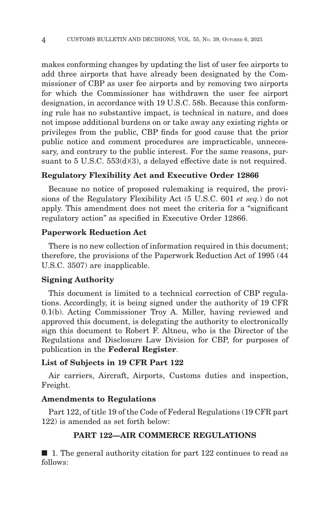makes conforming changes by updating the list of user fee airports to add three airports that have already been designated by the Commissioner of CBP as user fee airports and by removing two airports for which the Commissioner has withdrawn the user fee airport designation, in accordance with 19 U.S.C. 58b. Because this conforming rule has no substantive impact, is technical in nature, and does not impose additional burdens on or take away any existing rights or privileges from the public, CBP finds for good cause that the prior public notice and comment procedures are impracticable, unnecessary, and contrary to the public interest. For the same reasons, pursuant to 5 U.S.C. 553(d)(3), a delayed effective date is not required.

## **Regulatory Flexibility Act and Executive Order 12866**

Because no notice of proposed rulemaking is required, the provisions of the Regulatory Flexibility Act (5 U.S.C. 601 *et seq.*) do not apply. This amendment does not meet the criteria for a ''significant regulatory action'' as specified in Executive Order 12866.

#### **Paperwork Reduction Act**

There is no new collection of information required in this document; therefore, the provisions of the Paperwork Reduction Act of 1995 (44 U.S.C. 3507) are inapplicable.

# **Signing Authority**

This document is limited to a technical correction of CBP regulations. Accordingly, it is being signed under the authority of 19 CFR 0.1(b). Acting Commissioner Troy A. Miller, having reviewed and approved this document, is delegating the authority to electronically sign this document to Robert F. Altneu, who is the Director of the Regulations and Disclosure Law Division for CBP, for purposes of publication in the **Federal Register**.

#### **List of Subjects in 19 CFR Part 122**

Air carriers, Aircraft, Airports, Customs duties and inspection, Freight.

#### **Amendments to Regulations**

Part 122, of title 19 of the Code of Federal Regulations (19 CFR part 122) is amended as set forth below:

## **PART 122—AIR COMMERCE REGULATIONS**

■ 1. The general authority citation for part 122 continues to read as follows: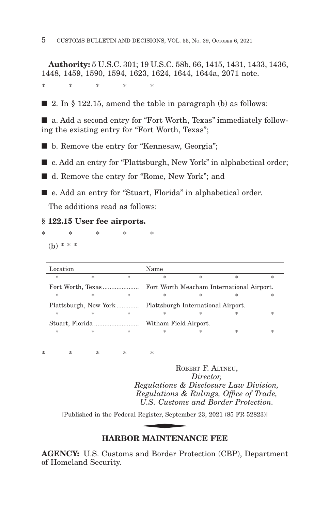**Authority:** 5 U.S.C. 301; 19 U.S.C. 58b, 66, 1415, 1431, 1433, 1436, 1448, 1459, 1590, 1594, 1623, 1624, 1644, 1644a, 2071 note.

\*\*\*\* \*

 $\Box$  2. In § 122.15, amend the table in paragraph (b) as follows:

■ a. Add a second entry for "Fort Worth, Texas" immediately following the existing entry for "Fort Worth, Texas";

■ b. Remove the entry for "Kennesaw, Georgia";

■ c. Add an entry for "Plattsburgh, New York" in alphabetical order;

■ d. Remove the entry for "Rome, New York"; and

■ e. Add an entry for "Stuart, Florida" in alphabetical order.

The additions read as follows:

#### **§ 122.15 User fee airports.**

\*\*\*\* \*  $(b) * * *$ 

| Location        |               |               | Name                                      |               |   |   |
|-----------------|---------------|---------------|-------------------------------------------|---------------|---|---|
| 冰               | $\frac{1}{2}$ | 宋             | 冰                                         | $\frac{1}{2}$ | 冰 | 冰 |
|                 |               |               | Fort Worth Meacham International Airport. |               |   |   |
| *               | $\frac{1}{2}$ | $\frac{1}{2}$ | 冰                                         | 冰             | ж | * |
|                 |               |               |                                           |               |   |   |
| *               | $\frac{1}{2}$ | 宋             | 冰                                         | 冰             | * | * |
| Stuart, Florida |               |               | Witham Field Airport.                     |               |   |   |
| $\ast$          | *             | *             | 冰                                         | 冰             | * | ж |

\*\*\*\* \*

ROBERT F. ALTNEU, *Director, Regulations & Disclosure Law Division, Regulations & Rulings, Office of Trade, U.S. Customs and Border Protection.* Regulations & 1<br>
Regulations &<br>
U.S. Customs<br>
Register, Septemb<br>
MAINTENA

[Published in the Federal Register, September 23, 2021 (85 FR 52823)]

# **HARBOR MAINTENANCE FEE**

**AGENCY:** U.S. Customs and Border Protection (CBP), Department of Homeland Security.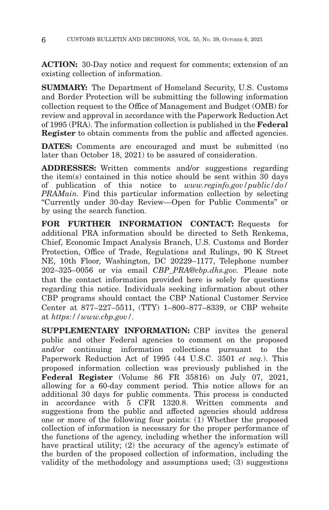**ACTION:** 30-Day notice and request for comments; extension of an existing collection of information.

**SUMMARY:** The Department of Homeland Security, U.S. Customs and Border Protection will be submitting the following information collection request to the Office of Management and Budget (OMB) for review and approval in accordance with the Paperwork Reduction Act of 1995 (PRA). The information collection is published in the **Federal Register** to obtain comments from the public and affected agencies.

**DATES:** Comments are encouraged and must be submitted (no later than October 18, 2021) to be assured of consideration.

**ADDRESSES:** Written comments and/or suggestions regarding the item(s) contained in this notice should be sent within 30 days of publication of this notice to *www.reginfo.gov/public/do/ PRAMain.* Find this particular information collection by selecting ''Currently under 30-day Review—Open for Public Comments'' or by using the search function.

**FOR FURTHER INFORMATION CONTACT:** Requests for additional PRA information should be directed to Seth Renkema, Chief, Economic Impact Analysis Branch, U.S. Customs and Border Protection, Office of Trade, Regulations and Rulings, 90 K Street NE, 10th Floor, Washington, DC 20229–1177, Telephone number 202–325–0056 or via email *CBP\_PRA@cbp.dhs.gov.* Please note that the contact information provided here is solely for questions regarding this notice. Individuals seeking information about other CBP programs should contact the CBP National Customer Service Center at 877–227–5511, (TTY) 1–800–877–8339, or CBP website at *https://www.cbp.gov/.*

**SUPPLEMENTARY INFORMATION:** CBP invites the general public and other Federal agencies to comment on the proposed and/or continuing information collections pursuant to the Paperwork Reduction Act of 1995 (44 U.S.C. 3501 *et seq.*). This proposed information collection was previously published in the **Federal Register** (Volume 86 FR 35816) on July 07, 2021, allowing for a 60-day comment period. This notice allows for an additional 30 days for public comments. This process is conducted in accordance with 5 CFR 1320.8. Written comments and suggestions from the public and affected agencies should address one or more of the following four points: (1) Whether the proposed collection of information is necessary for the proper performance of the functions of the agency, including whether the information will have practical utility; (2) the accuracy of the agency's estimate of the burden of the proposed collection of information, including the validity of the methodology and assumptions used; (3) suggestions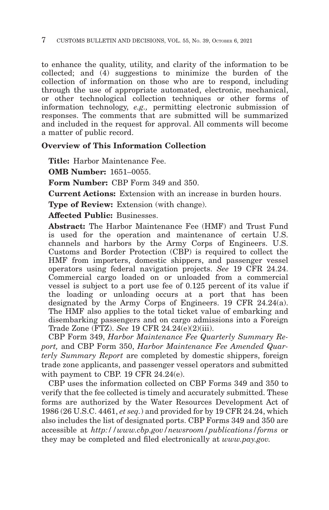to enhance the quality, utility, and clarity of the information to be collected; and (4) suggestions to minimize the burden of the collection of information on those who are to respond, including through the use of appropriate automated, electronic, mechanical, or other technological collection techniques or other forms of information technology, *e.g.,* permitting electronic submission of responses. The comments that are submitted will be summarized and included in the request for approval. All comments will become a matter of public record.

# **Overview of This Information Collection**

**Title:** Harbor Maintenance Fee.

**OMB Number:** 1651–0055.

**Form Number:** CBP Form 349 and 350.

**Current Actions:** Extension with an increase in burden hours.

**Type of Review:** Extension (with change).

**Affected Public:** Businesses.

**Abstract:** The Harbor Maintenance Fee (HMF) and Trust Fund is used for the operation and maintenance of certain U.S. channels and harbors by the Army Corps of Engineers. U.S. Customs and Border Protection (CBP) is required to collect the HMF from importers, domestic shippers, and passenger vessel operators using federal navigation projects. *See* 19 CFR 24.24. Commercial cargo loaded on or unloaded from a commercial vessel is subject to a port use fee of 0.125 percent of its value if the loading or unloading occurs at a port that has been designated by the Army Corps of Engineers. 19 CFR 24.24(a). The HMF also applies to the total ticket value of embarking and disembarking passengers and on cargo admissions into a Foreign Trade Zone (FTZ). *See* 19 CFR 24.24(e)(2)(iii).

CBP Form 349, *Harbor Maintenance Fee Quarterly Summary Report,* and CBP Form 350, *Harbor Maintenance Fee Amended Quarterly Summary Report* are completed by domestic shippers, foreign trade zone applicants, and passenger vessel operators and submitted with payment to CBP. 19 CFR 24.24(e).

CBP uses the information collected on CBP Forms 349 and 350 to verify that the fee collected is timely and accurately submitted. These forms are authorized by the Water Resources Development Act of 1986 (26 U.S.C. 4461, *et seq.*) and provided for by 19 CFR 24.24, which also includes the list of designated ports. CBP Forms 349 and 350 are accessible at *http://www.cbp.gov/newsroom/publications/forms* or they may be completed and filed electronically at *www.pay.gov.*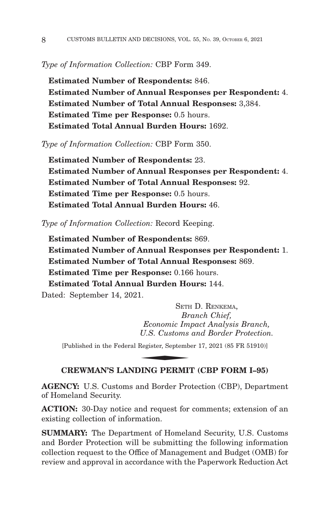*Type of Information Collection:* CBP Form 349.

**Estimated Number of Respondents:** 846. **Estimated Number of Annual Responses per Respondent:** 4. **Estimated Number of Total Annual Responses:** 3,384. **Estimated Time per Response:** 0.5 hours. **Estimated Total Annual Burden Hours:** 1692.

*Type of Information Collection:* CBP Form 350.

**Estimated Number of Respondents:** 23. **Estimated Number of Annual Responses per Respondent:** 4. **Estimated Number of Total Annual Responses:** 92. **Estimated Time per Response:** 0.5 hours. **Estimated Total Annual Burden Hours:** 46.

*Type of Information Collection:* Record Keeping.

**Estimated Number of Respondents:** 869. **Estimated Number of Annual Responses per Respondent:** 1. **Estimated Number of Total Annual Responses:** 869. **Estimated Time per Response:** 0.166 hours. **Estimated Total Annual Burden Hours:** 144.

Dated: September 14, 2021.

SETH D. RENKEMA, *Branch Chief, Economic Impact Analysis Branch, U.S. Customs and Border Protection.* SETH<br>Br<br>Economic Im<sub>,</sub><br>U.S. Customs<br>Register, Septemb<br>NNG DERME

[Published in the Federal Register, September 17, 2021 (85 FR 51910)]

### **CREWMAN'S LANDING PERMIT (CBP FORM I–95)**

**AGENCY:** U.S. Customs and Border Protection (CBP), Department of Homeland Security.

**ACTION:** 30-Day notice and request for comments; extension of an existing collection of information.

**SUMMARY:** The Department of Homeland Security, U.S. Customs and Border Protection will be submitting the following information collection request to the Office of Management and Budget (OMB) for review and approval in accordance with the Paperwork Reduction Act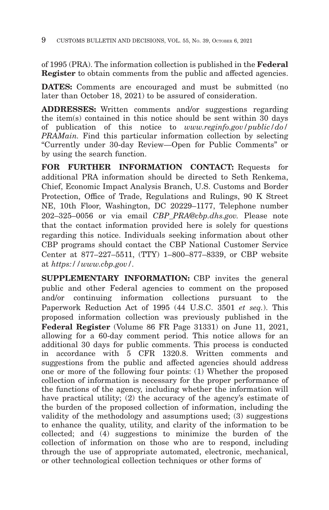of 1995 (PRA). The information collection is published in the **Federal Register** to obtain comments from the public and affected agencies.

**DATES:** Comments are encouraged and must be submitted (no later than October 18, 2021) to be assured of consideration.

**ADDRESSES:** Written comments and/or suggestions regarding the item(s) contained in this notice should be sent within 30 days of publication of this notice to *www.reginfo.gov/public/do/ PRAMain.* Find this particular information collection by selecting ''Currently under 30-day Review—Open for Public Comments'' or by using the search function.

**FOR FURTHER INFORMATION CONTACT:** Requests for additional PRA information should be directed to Seth Renkema, Chief, Economic Impact Analysis Branch, U.S. Customs and Border Protection, Office of Trade, Regulations and Rulings, 90 K Street NE, 10th Floor, Washington, DC 20229–1177, Telephone number 202–325–0056 or via email *CBP\_PRA@cbp.dhs.gov.* Please note that the contact information provided here is solely for questions regarding this notice. Individuals seeking information about other CBP programs should contact the CBP National Customer Service Center at 877–227–5511, (TTY) 1–800–877–8339, or CBP website at *https://www.cbp.gov/.*

**SUPPLEMENTARY INFORMATION:** CBP invites the general public and other Federal agencies to comment on the proposed and/or continuing information collections pursuant to the Paperwork Reduction Act of 1995 (44 U.S.C. 3501 *et seq.*). This proposed information collection was previously published in the **Federal Register** (Volume 86 FR Page 31331) on June 11, 2021, allowing for a 60-day comment period. This notice allows for an additional 30 days for public comments. This process is conducted in accordance with 5 CFR 1320.8. Written comments and suggestions from the public and affected agencies should address one or more of the following four points: (1) Whether the proposed collection of information is necessary for the proper performance of the functions of the agency, including whether the information will have practical utility; (2) the accuracy of the agency's estimate of the burden of the proposed collection of information, including the validity of the methodology and assumptions used; (3) suggestions to enhance the quality, utility, and clarity of the information to be collected; and (4) suggestions to minimize the burden of the collection of information on those who are to respond, including through the use of appropriate automated, electronic, mechanical, or other technological collection techniques or other forms of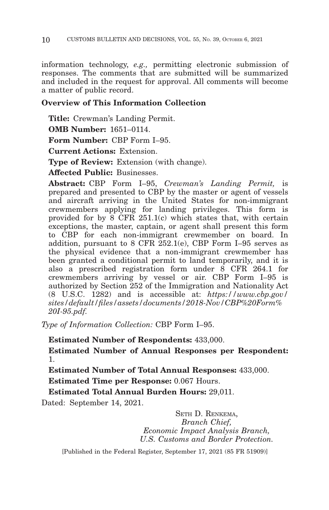information technology, *e.g.,* permitting electronic submission of responses. The comments that are submitted will be summarized and included in the request for approval. All comments will become a matter of public record.

# **Overview of This Information Collection**

**Title:** Crewman's Landing Permit.

**OMB Number:** 1651–0114.

**Form Number:** CBP Form I–95.

**Current Actions:** Extension.

**Type of Review:** Extension (with change).

**Affected Public:** Businesses.

**Abstract:** CBP Form I–95, *Crewman's Landing Permit,* is prepared and presented to CBP by the master or agent of vessels and aircraft arriving in the United States for non-immigrant crewmembers applying for landing privileges. This form is provided for by  $\overline{8}$  CFR 251.1(c) which states that, with certain exceptions, the master, captain, or agent shall present this form to CBP for each non-immigrant crewmember on board. In addition, pursuant to 8 CFR 252.1(e), CBP Form I–95 serves as the physical evidence that a non-immigrant crewmember has been granted a conditional permit to land temporarily, and it is also a prescribed registration form under 8 CFR 264.1 for crewmembers arriving by vessel or air. CBP Form I–95 is authorized by Section 252 of the Immigration and Nationality Act (8 U.S.C. 1282) and is accessible at: *https://www.cbp.gov/ sites/default/files/assets/documents/2018-Nov/CBP%20Form% 20I-95.pdf.*

*Type of Information Collection:* CBP Form I–95.

**Estimated Number of Respondents:** 433,000.

**Estimated Number of Annual Responses per Respondent:** 1.

**Estimated Number of Total Annual Responses:** 433,000.

**Estimated Time per Response:** 0.067 Hours.

**Estimated Total Annual Burden Hours:** 29,011.

Dated: September 14, 2021.

SETH D. RENKEMA, *Branch Chief, Economic Impact Analysis Branch, U.S. Customs and Border Protection.*

[Published in the Federal Register, September 17, 2021 (85 FR 51909)]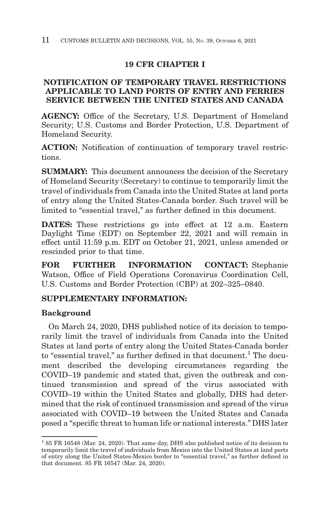# **19 CFR CHAPTER I**

# **NOTIFICATION OF TEMPORARY TRAVEL RESTRICTIONS APPLICABLE TO LAND PORTS OF ENTRY AND FERRIES SERVICE BETWEEN THE UNITED STATES AND CANADA**

**AGENCY:** Office of the Secretary, U.S. Department of Homeland Security; U.S. Customs and Border Protection, U.S. Department of Homeland Security.

**ACTION:** Notification of continuation of temporary travel restrictions.

**SUMMARY:** This document announces the decision of the Secretary of Homeland Security (Secretary) to continue to temporarily limit the travel of individuals from Canada into the United States at land ports of entry along the United States-Canada border. Such travel will be limited to "essential travel," as further defined in this document.

**DATES:** These restrictions go into effect at 12 a.m. Eastern Daylight Time (EDT) on September 22, 2021 and will remain in effect until 11:59 p.m. EDT on October 21, 2021, unless amended or rescinded prior to that time.

**FOR FURTHER INFORMATION CONTACT:** Stephanie Watson, Office of Field Operations Coronavirus Coordination Cell, U.S. Customs and Border Protection (CBP) at 202–325–0840.

# **SUPPLEMENTARY INFORMATION:**

# **Background**

On March 24, 2020, DHS published notice of its decision to temporarily limit the travel of individuals from Canada into the United States at land ports of entry along the United States-Canada border to "essential travel," as further defined in that document.<sup>1</sup> The document described the developing circumstances regarding the COVID–19 pandemic and stated that, given the outbreak and continued transmission and spread of the virus associated with COVID–19 within the United States and globally, DHS had determined that the risk of continued transmission and spread of the virus associated with COVID–19 between the United States and Canada posed a ''specific threat to human life or national interests.'' DHS later

<sup>1 85</sup> FR 16548 (Mar. 24, 2020). That same day, DHS also published notice of its decision to temporarily limit the travel of individuals from Mexico into the United States at land ports of entry along the United States-Mexico border to ''essential travel,'' as further defined in that document. 85 FR 16547 (Mar. 24, 2020).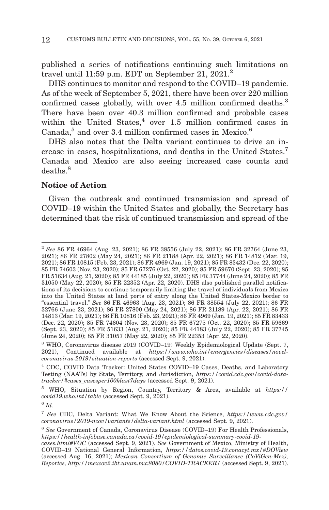published a series of notifications continuing such limitations on travel until 11:59 p.m. EDT on September 21,  $2021<sup>2</sup>$ 

DHS continues to monitor and respond to the COVID–19 pandemic. As of the week of September 5, 2021, there have been over 220 million confirmed cases globally, with over 4.5 million confirmed deaths.<sup>3</sup> There have been over 40.3 million confirmed and probable cases within the United States, $4$  over 1.5 million confirmed cases in Canada, $5$  and over 3.4 million confirmed cases in Mexico. $6$ 

DHS also notes that the Delta variant continues to drive an increase in cases, hospitalizations, and deaths in the United States.7 Canada and Mexico are also seeing increased case counts and deaths<sup>8</sup>

## **Notice of Action**

Given the outbreak and continued transmission and spread of COVID–19 within the United States and globally, the Secretary has determined that the risk of continued transmission and spread of the

<sup>2</sup>*See* 86 FR 46964 (Aug. 23, 2021); 86 FR 38556 (July 22, 2021); 86 FR 32764 (June 23, 2021); 86 FR 27802 (May 24, 2021); 86 FR 21188 (Apr. 22, 2021); 86 FR 14812 (Mar. 19, 2021); 86 FR 10815 (Feb. 23, 2021); 86 FR 4969 (Jan. 19, 2021); 85 FR 83432 (Dec. 22, 2020); 85 FR 74603 (Nov. 23, 2020); 85 FR 67276 (Oct. 22, 2020); 85 FR 59670 (Sept. 23, 2020); 85 FR 51634 (Aug. 21, 2020); 85 FR 44185 (July 22, 2020); 85 FR 37744 (June 24, 2020); 85 FR 31050 (May 22, 2020); 85 FR 22352 (Apr. 22, 2020). DHS also published parallel notifications of its decisions to continue temporarily limiting the travel of individuals from Mexico into the United States at land ports of entry along the United States-Mexico border to ''essential travel.'' *See* 86 FR 46963 (Aug. 23, 2021); 86 FR 38554 (July 22, 2021); 86 FR 32766 (June 23, 2021); 86 FR 27800 (May 24, 2021); 86 FR 21189 (Apr. 22, 2021); 86 FR 14813 (Mar. 19, 2021); 86 FR 10816 (Feb. 23, 2021); 86 FR 4969 (Jan. 19, 2021); 85 FR 83433 (Dec. 22, 2020); 85 FR 74604 (Nov. 23, 2020); 85 FR 67275 (Oct. 22, 2020); 85 FR 59669 (Sept. 23, 2020); 85 FR 51633 (Aug. 21, 2020); 85 FR 44183 (July 22, 2020); 85 FR 37745 (June 24, 2020); 85 FR 31057 (May 22, 2020); 85 FR 22353 (Apr. 22, 2020).

<sup>3</sup> WHO, Coronavirus disease 2019 (COVID–19) Weekly Epidemiological Update (Sept. 7, 2021), Continued available at *https://www.who.int/emergencies/diseases/novelcoronavirus-2019/situation-reports* (accessed Sept. 9, 2021).

<sup>4</sup> CDC, COVID Data Tracker: United States COVID–19 Cases, Deaths, and Laboratory Testing (NAATs) by State, Territory, and Jurisdiction, *https://covid.cdc.gov/covid-datatracker/#cases\_casesper100klast7days* (accessed Sept. 9, 2021).

<sup>5</sup> WHO, Situation by Region, Country, Territory & Area, available at *https:// covid19.who.int/table* (accessed Sept. 9, 2021).

<sup>6</sup>*Id.*

<sup>7</sup>*See* CDC, Delta Variant: What We Know About the Science, *https://www.cdc.gov/ coronavirus/2019-ncov/variants/delta-variant.html* (accessed Sept. 9, 2021).

<sup>8</sup>*See* Government of Canada, Coronavirus Disease (COVID–19) For Health Professionals, *https://health-infobase.canada.ca/covid-19/epidemiological-summary-covid-19-*

*cases.html#VOC* (accessed Sept. 9, 2021). *See* Government of Mexico, Ministry of Health, COVID–19 National General Information, *https://datos.covid-19.conacyt.mx/#DOView* (accessed Aug. 16, 2021); *Mexican Consortium of Genomic Surveillance (CoViGen-Mex), Reportes, http://mexcov2.ibt.unam.mx:8080/COVID-TRACKER/* (accessed Sept. 9, 2021).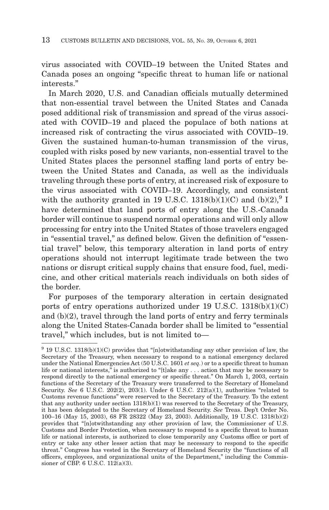virus associated with COVID–19 between the United States and Canada poses an ongoing ''specific threat to human life or national interests.''

In March 2020, U.S. and Canadian officials mutually determined that non-essential travel between the United States and Canada posed additional risk of transmission and spread of the virus associated with COVID–19 and placed the populace of both nations at increased risk of contracting the virus associated with COVID–19. Given the sustained human-to-human transmission of the virus, coupled with risks posed by new variants, non-essential travel to the United States places the personnel staffing land ports of entry between the United States and Canada, as well as the individuals traveling through these ports of entry, at increased risk of exposure to the virus associated with COVID–19. Accordingly, and consistent with the authority granted in 19 U.S.C. 1318(b)(1)(C) and (b)(2), $^{9}$  I have determined that land ports of entry along the U.S.-Canada border will continue to suspend normal operations and will only allow processing for entry into the United States of those travelers engaged in "essential travel," as defined below. Given the definition of "essential travel'' below, this temporary alteration in land ports of entry operations should not interrupt legitimate trade between the two nations or disrupt critical supply chains that ensure food, fuel, medicine, and other critical materials reach individuals on both sides of the border.

For purposes of the temporary alteration in certain designated ports of entry operations authorized under 19 U.S.C.  $1318(b)(1)(C)$ and (b)(2), travel through the land ports of entry and ferry terminals along the United States-Canada border shall be limited to ''essential travel,'' which includes, but is not limited to—

 $9$  19 U.S.C. 1318(b)(1)(C) provides that "[n]otwithstanding any other provision of law, the Secretary of the Treasury, when necessary to respond to a national emergency declared under the National Emergencies Act (50 U.S.C. 1601 *et seq.*) or to a specific threat to human life or national interests," is authorized to "[t]ake any . . . action that may be necessary to respond directly to the national emergency or specific threat.'' On March 1, 2003, certain functions of the Secretary of the Treasury were transferred to the Secretary of Homeland Security. *See* 6 U.S.C. 202(2), 203(1). Under 6 U.S.C. 212(a)(1), authorities "related to Customs revenue functions'' were reserved to the Secretary of the Treasury. To the extent that any authority under section 1318(b)(1) was reserved to the Secretary of the Treasury, it has been delegated to the Secretary of Homeland Security. *See* Treas. Dep't Order No. 100–16 (May 15, 2003), 68 FR 28322 (May 23, 2003). Additionally, 19 U.S.C. 1318(b)(2) provides that ''[n]otwithstanding any other provision of law, the Commissioner of U.S. Customs and Border Protection, when necessary to respond to a specific threat to human life or national interests, is authorized to close temporarily any Customs office or port of entry or take any other lesser action that may be necessary to respond to the specific threat.'' Congress has vested in the Secretary of Homeland Security the ''functions of all officers, employees, and organizational units of the Department,'' including the Commissioner of CBP. 6 U.S.C. 112(a)(3).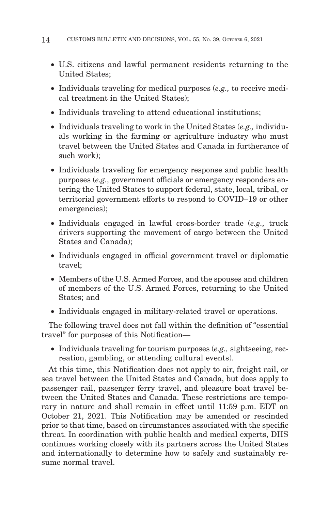- U.S. citizens and lawful permanent residents returning to the United States;
- Individuals traveling for medical purposes (*e.g.,* to receive medical treatment in the United States);
- Individuals traveling to attend educational institutions;
- Individuals traveling to work in the United States (*e.g.,* individuals working in the farming or agriculture industry who must travel between the United States and Canada in furtherance of such work $)$ ;
- Individuals traveling for emergency response and public health purposes (*e.g.,* government officials or emergency responders entering the United States to support federal, state, local, tribal, or territorial government efforts to respond to COVID–19 or other emergencies);
- Individuals engaged in lawful cross-border trade (*e.g.,* truck drivers supporting the movement of cargo between the United States and Canada);
- Individuals engaged in official government travel or diplomatic travel;
- Members of the U.S. Armed Forces, and the spouses and children of members of the U.S. Armed Forces, returning to the United States; and
- Individuals engaged in military-related travel or operations.

The following travel does not fall within the definition of ''essential travel'' for purposes of this Notification—

• Individuals traveling for tourism purposes (*e.g.,* sightseeing, recreation, gambling, or attending cultural events).

At this time, this Notification does not apply to air, freight rail, or sea travel between the United States and Canada, but does apply to passenger rail, passenger ferry travel, and pleasure boat travel between the United States and Canada. These restrictions are temporary in nature and shall remain in effect until 11:59 p.m. EDT on October 21, 2021. This Notification may be amended or rescinded prior to that time, based on circumstances associated with the specific threat. In coordination with public health and medical experts, DHS continues working closely with its partners across the United States and internationally to determine how to safely and sustainably resume normal travel.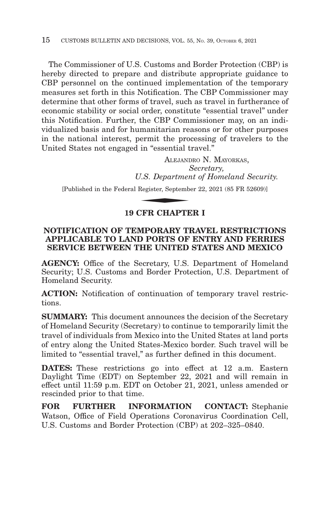The Commissioner of U.S. Customs and Border Protection (CBP) is hereby directed to prepare and distribute appropriate guidance to CBP personnel on the continued implementation of the temporary measures set forth in this Notification. The CBP Commissioner may determine that other forms of travel, such as travel in furtherance of economic stability or social order, constitute "essential travel" under this Notification. Further, the CBP Commissioner may, on an individualized basis and for humanitarian reasons or for other purposes in the national interest, permit the processing of travelers to the United States not engaged in ''essential travel.''

ALEJANDRO N. MAYORKAS, *Secretary, U.S. Department of Homeland Security.*  $\begin{array}{ll} \text{in ``essential t} \ \text{ALEJANI} \ \text{ALEJANI} \ \text{J.S. Department} \ \text{Register, September} \ \text{Register, September} \end{array}$ 

[Published in the Federal Register, September 22, 2021 (85 FR 52609)]

# **19 CFR CHAPTER I**

## **NOTIFICATION OF TEMPORARY TRAVEL RESTRICTIONS APPLICABLE TO LAND PORTS OF ENTRY AND FERRIES SERVICE BETWEEN THE UNITED STATES AND MEXICO**

**AGENCY:** Office of the Secretary, U.S. Department of Homeland Security; U.S. Customs and Border Protection, U.S. Department of Homeland Security.

**ACTION:** Notification of continuation of temporary travel restrictions.

**SUMMARY:** This document announces the decision of the Secretary of Homeland Security (Secretary) to continue to temporarily limit the travel of individuals from Mexico into the United States at land ports of entry along the United States-Mexico border. Such travel will be limited to "essential travel," as further defined in this document.

**DATES:** These restrictions go into effect at 12 a.m. Eastern Daylight Time (EDT) on September 22, 2021 and will remain in effect until 11:59 p.m. EDT on October 21, 2021, unless amended or rescinded prior to that time.

**FOR FURTHER INFORMATION CONTACT:** Stephanie Watson, Office of Field Operations Coronavirus Coordination Cell, U.S. Customs and Border Protection (CBP) at 202–325–0840.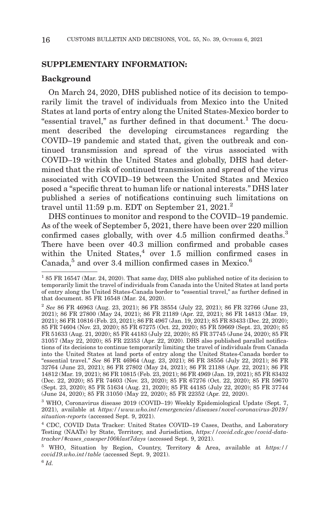## **SUPPLEMENTARY INFORMATION:**

#### **Background**

On March 24, 2020, DHS published notice of its decision to temporarily limit the travel of individuals from Mexico into the United States at land ports of entry along the United States-Mexico border to "essential travel," as further defined in that document.<sup>1</sup> The document described the developing circumstances regarding the COVID–19 pandemic and stated that, given the outbreak and continued transmission and spread of the virus associated with COVID–19 within the United States and globally, DHS had determined that the risk of continued transmission and spread of the virus associated with COVID–19 between the United States and Mexico posed a ''specific threat to human life or national interests.'' DHS later published a series of notifications continuing such limitations on travel until 11:59 p.m. EDT on September 21, 2021.2

DHS continues to monitor and respond to the COVID–19 pandemic. As of the week of September 5, 2021, there have been over 220 million confirmed cases globally, with over 4.5 million confirmed deaths.<sup>3</sup> There have been over 40.3 million confirmed and probable cases within the United States, $4$  over 1.5 million confirmed cases in Canada, $5$  and over 3.4 million confirmed cases in Mexico. $6$ 

3 WHO, Coronavirus disease 2019 (COVID–19) Weekly Epidemiological Update (Sept. 7, 2021), available at *https://www.who.int/emergencies/diseases/novel-coronavirus-2019/ situation-reports* (accessed Sept. 9, 2021).

<sup>1 85</sup> FR 16547 (Mar. 24, 2020). That same day, DHS also published notice of its decision to temporarily limit the travel of individuals from Canada into the United States at land ports of entry along the United States-Canada border to ''essential travel,'' as further defined in that document. 85 FR 16548 (Mar. 24, 2020).

<sup>2</sup>*See* 86 FR 46963 (Aug. 23, 2021); 86 FR 38554 (July 22, 2021); 86 FR 32766 (June 23, 2021); 86 FR 27800 (May 24, 2021); 86 FR 21189 (Apr. 22, 2021); 86 FR 14813 (Mar. 19, 2021); 86 FR 10816 (Feb. 23, 2021); 86 FR 4967 (Jan. 19, 2021); 85 FR 83433 (Dec. 22, 2020); 85 FR 74604 (Nov. 23, 2020); 85 FR 67275 (Oct. 22, 2020); 85 FR 59669 (Sept. 23, 2020); 85 FR 51633 (Aug. 21, 2020); 85 FR 44183 (July 22, 2020); 85 FR 37745 (June 24, 2020); 85 FR 31057 (May 22, 2020); 85 FR 22353 (Apr. 22, 2020). DHS also published parallel notifications of its decisions to continue temporarily limiting the travel of individuals from Canada into the United States at land ports of entry along the United States-Canada border to ''essential travel.'' *See* 86 FR 46964 (Aug. 23, 2021); 86 FR 38556 (July 22, 2021); 86 FR 32764 (June 23, 2021); 86 FR 27802 (May 24, 2021); 86 FR 21188 (Apr. 22, 2021); 86 FR 14812 (Mar. 19, 2021); 86 FR 10815 (Feb. 23, 2021); 86 FR 4969 (Jan. 19, 2021); 85 FR 83432 (Dec. 22, 2020); 85 FR 74603 (Nov. 23, 2020); 85 FR 67276 (Oct. 22, 2020); 85 FR 59670 (Sept. 23, 2020); 85 FR 51634 (Aug. 21, 2020); 85 FR 44185 (July 22, 2020); 85 FR 37744 (June 24, 2020); 85 FR 31050 (May 22, 2020); 85 FR 22352 (Apr. 22, 2020).

<sup>4</sup> CDC, COVID Data Tracker: United States COVID–19 Cases, Deaths, and Laboratory Testing (NAATs) by State, Territory, and Jurisdiction, *https://covid.cdc.gov/covid-datatracker/#cases\_casesper100klast7days* (accessed Sept. 9, 2021).

<sup>5</sup> WHO, Situation by Region, Country, Territory & Area, available at *https:// covid19.who.int/table* (accessed Sept. 9, 2021).

<sup>6</sup>*Id.*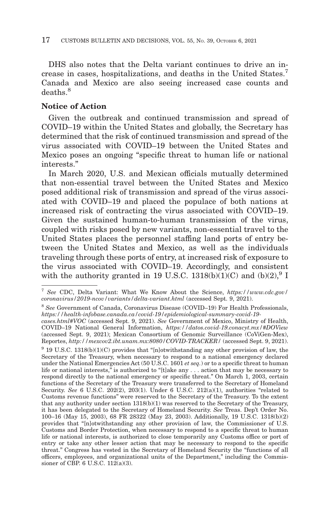DHS also notes that the Delta variant continues to drive an increase in cases, hospitalizations, and deaths in the United States.7 Canada and Mexico are also seeing increased case counts and deaths<sup>8</sup>

## **Notice of Action**

Given the outbreak and continued transmission and spread of COVID–19 within the United States and globally, the Secretary has determined that the risk of continued transmission and spread of the virus associated with COVID–19 between the United States and Mexico poses an ongoing ''specific threat to human life or national interests.''

In March 2020, U.S. and Mexican officials mutually determined that non-essential travel between the United States and Mexico posed additional risk of transmission and spread of the virus associated with COVID–19 and placed the populace of both nations at increased risk of contracting the virus associated with COVID–19. Given the sustained human-to-human transmission of the virus, coupled with risks posed by new variants, non-essential travel to the United States places the personnel staffing land ports of entry between the United States and Mexico, as well as the individuals traveling through these ports of entry, at increased risk of exposure to the virus associated with COVID–19. Accordingly, and consistent with the authority granted in 19 U.S.C. 1318(b)(1)(C) and (b)(2),  $9 \text{ I}$ 

 $9$  19 U.S.C. 1318(b)(1)(C) provides that "[n]otwithstanding any other provision of law, the Secretary of the Treasury, when necessary to respond to a national emergency declared under the National Emergencies Act (50 U.S.C. 1601 *et seq.*) or to a specific threat to human life or national interests," is authorized to "[t]ake any . . . action that may be necessary to respond directly to the national emergency or specific threat.'' On March 1, 2003, certain functions of the Secretary of the Treasury were transferred to the Secretary of Homeland Security. *See* 6 U.S.C. 202(2), 203(1). Under 6 U.S.C. 212(a)(1), authorities "related to Customs revenue functions'' were reserved to the Secretary of the Treasury. To the extent that any authority under section 1318(b)(1) was reserved to the Secretary of the Treasury, it has been delegated to the Secretary of Homeland Security. *See* Treas. Dep't Order No. 100–16 (May 15, 2003), 68 FR 28322 (May 23, 2003). Additionally, 19 U.S.C. 1318(b)(2) provides that ''[n]otwithstanding any other provision of law, the Commissioner of U.S. Customs and Border Protection, when necessary to respond to a specific threat to human life or national interests, is authorized to close temporarily any Customs office or port of entry or take any other lesser action that may be necessary to respond to the specific threat.'' Congress has vested in the Secretary of Homeland Security the ''functions of all officers, employees, and organizational units of the Department,'' including the Commissioner of CBP. 6 U.S.C. 112(a)(3).

<sup>7</sup>*See* CDC, Delta Variant: What We Know About the Science, *https://www.cdc.gov/ coronavirus/2019-ncov/variants/delta-variant.html* (accessed Sept. 9, 2021).

<sup>8</sup>*See* Government of Canada, Coronavirus Disease (COVID–19) For Health Professionals, *https://health-infobase.canada.ca/covid-19/epidemiological-summary-covid-19-*

*cases.html#VOC* (accessed Sept. 9, 2021). *See* Government of Mexico, Ministry of Health, COVID–19 National General Information, *https://datos.covid-19.conacyt.mx/#DOView* (accessed Sept. 9, 2021); Mexican Consortium of Genomic Surveillance (CoViGen-Mex), Reportes, *http://mexcov2.ibt.unam.mx:8080/COVID-TRACKER/* (accessed Sept. 9, 2021).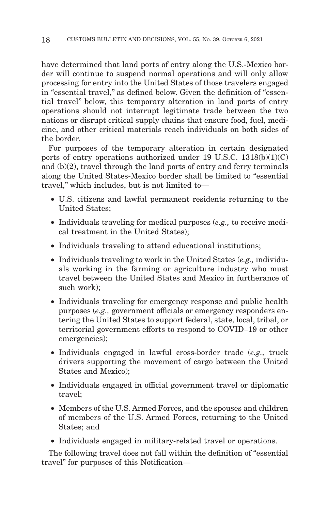have determined that land ports of entry along the U.S.-Mexico border will continue to suspend normal operations and will only allow processing for entry into the United States of those travelers engaged in "essential travel," as defined below. Given the definition of "essential travel'' below, this temporary alteration in land ports of entry operations should not interrupt legitimate trade between the two nations or disrupt critical supply chains that ensure food, fuel, medicine, and other critical materials reach individuals on both sides of the border.

For purposes of the temporary alteration in certain designated ports of entry operations authorized under 19 U.S.C.  $1318(b)(1)(C)$ and (b)(2), travel through the land ports of entry and ferry terminals along the United States-Mexico border shall be limited to ''essential travel,'' which includes, but is not limited to—

- U.S. citizens and lawful permanent residents returning to the United States;
- Individuals traveling for medical purposes (*e.g.,* to receive medical treatment in the United States);
- Individuals traveling to attend educational institutions;
- Individuals traveling to work in the United States (*e.g.,* individuals working in the farming or agriculture industry who must travel between the United States and Mexico in furtherance of such work);
- Individuals traveling for emergency response and public health purposes (*e.g.,* government officials or emergency responders entering the United States to support federal, state, local, tribal, or territorial government efforts to respond to COVID–19 or other emergencies);
- Individuals engaged in lawful cross-border trade (*e.g.,* truck drivers supporting the movement of cargo between the United States and Mexico);
- Individuals engaged in official government travel or diplomatic travel;
- Members of the U.S. Armed Forces, and the spouses and children of members of the U.S. Armed Forces, returning to the United States; and
- Individuals engaged in military-related travel or operations.

The following travel does not fall within the definition of "essential" travel'' for purposes of this Notification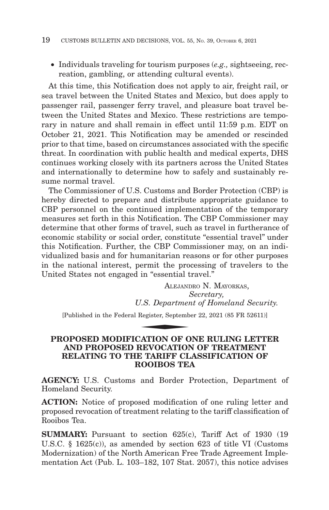• Individuals traveling for tourism purposes (*e.g.,* sightseeing, recreation, gambling, or attending cultural events).

At this time, this Notification does not apply to air, freight rail, or sea travel between the United States and Mexico, but does apply to passenger rail, passenger ferry travel, and pleasure boat travel between the United States and Mexico. These restrictions are temporary in nature and shall remain in effect until 11:59 p.m. EDT on October 21, 2021. This Notification may be amended or rescinded prior to that time, based on circumstances associated with the specific threat. In coordination with public health and medical experts, DHS continues working closely with its partners across the United States and internationally to determine how to safely and sustainably resume normal travel.

The Commissioner of U.S. Customs and Border Protection (CBP) is hereby directed to prepare and distribute appropriate guidance to CBP personnel on the continued implementation of the temporary measures set forth in this Notification. The CBP Commissioner may determine that other forms of travel, such as travel in furtherance of economic stability or social order, constitute "essential travel" under this Notification. Further, the CBP Commissioner may, on an individualized basis and for humanitarian reasons or for other purposes in the national interest, permit the processing of travelers to the United States not engaged in "essential travel."

ALEJANDRO N. MAYORKAS, *Secretary, U.S. Department of Homeland Security.* in "essential t<br>ALEJANI<br>J.S. Departmer<br>Register, Septemb<br>MATION OF O

[Published in the Federal Register, September 22, 2021 (85 FR 52611)]

## **PROPOSED MODIFICATION OF ONE RULING LETTER AND PROPOSED REVOCATION OF TREATMENT RELATING TO THE TARIFF CLASSIFICATION OF ROOIBOS TEA**

**AGENCY:** U.S. Customs and Border Protection, Department of Homeland Security.

**ACTION:** Notice of proposed modification of one ruling letter and proposed revocation of treatment relating to the tariff classification of Rooibos Tea.

**SUMMARY:** Pursuant to section 625(c), Tariff Act of 1930 (19) U.S.C. § 1625(c)), as amended by section 623 of title VI (Customs Modernization) of the North American Free Trade Agreement Implementation Act (Pub. L. 103–182, 107 Stat. 2057), this notice advises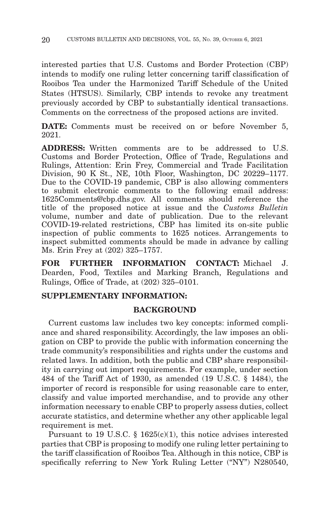interested parties that U.S. Customs and Border Protection (CBP) intends to modify one ruling letter concerning tariff classification of Rooibos Tea under the Harmonized Tariff Schedule of the United States (HTSUS). Similarly, CBP intends to revoke any treatment previously accorded by CBP to substantially identical transactions. Comments on the correctness of the proposed actions are invited.

**DATE:** Comments must be received on or before November 5, 2021.

**ADDRESS:** Written comments are to be addressed to U.S. Customs and Border Protection, Office of Trade, Regulations and Rulings, Attention: Erin Frey, Commercial and Trade Facilitation Division, 90 K St., NE, 10th Floor, Washington, DC 20229–1177. Due to the COVID-19 pandemic, CBP is also allowing commenters to submit electronic comments to the following email address: 1625Comments@cbp.dhs.gov. All comments should reference the title of the proposed notice at issue and the *Customs Bulletin* volume, number and date of publication. Due to the relevant COVID-19-related restrictions, CBP has limited its on-site public inspection of public comments to 1625 notices. Arrangements to inspect submitted comments should be made in advance by calling Ms. Erin Frey at (202) 325–1757.

**FOR FURTHER INFORMATION CONTACT:** Michael J. Dearden, Food, Textiles and Marking Branch, Regulations and Rulings, Office of Trade, at (202) 325–0101.

### **SUPPLEMENTARY INFORMATION:**

#### **BACKGROUND**

Current customs law includes two key concepts: informed compliance and shared responsibility. Accordingly, the law imposes an obligation on CBP to provide the public with information concerning the trade community's responsibilities and rights under the customs and related laws. In addition, both the public and CBP share responsibility in carrying out import requirements. For example, under section 484 of the Tariff Act of 1930, as amended (19 U.S.C. § 1484), the importer of record is responsible for using reasonable care to enter, classify and value imported merchandise, and to provide any other information necessary to enable CBP to properly assess duties, collect accurate statistics, and determine whether any other applicable legal requirement is met.

Pursuant to 19 U.S.C.  $\S$  1625(c)(1), this notice advises interested parties that CBP is proposing to modify one ruling letter pertaining to the tariff classification of Rooibos Tea. Although in this notice, CBP is specifically referring to New York Ruling Letter ("NY") N280540,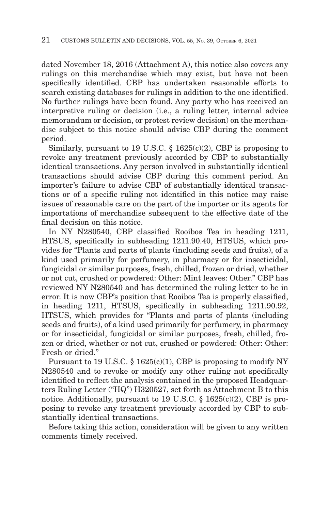dated November 18, 2016 (Attachment A), this notice also covers any rulings on this merchandise which may exist, but have not been specifically identified. CBP has undertaken reasonable efforts to search existing databases for rulings in addition to the one identified. No further rulings have been found. Any party who has received an interpretive ruling or decision (i.e., a ruling letter, internal advice memorandum or decision, or protest review decision) on the merchandise subject to this notice should advise CBP during the comment period.

Similarly, pursuant to 19 U.S.C.  $\S$  1625(c)(2), CBP is proposing to revoke any treatment previously accorded by CBP to substantially identical transactions. Any person involved in substantially identical transactions should advise CBP during this comment period. An importer's failure to advise CBP of substantially identical transactions or of a specific ruling not identified in this notice may raise issues of reasonable care on the part of the importer or its agents for importations of merchandise subsequent to the effective date of the final decision on this notice.

In NY N280540, CBP classified Rooibos Tea in heading 1211, HTSUS, specifically in subheading 1211.90.40, HTSUS, which provides for "Plants and parts of plants (including seeds and fruits), of a kind used primarily for perfumery, in pharmacy or for insecticidal, fungicidal or similar purposes, fresh, chilled, frozen or dried, whether or not cut, crushed or powdered: Other: Mint leaves: Other." CBP has reviewed NY N280540 and has determined the ruling letter to be in error. It is now CBP's position that Rooibos Tea is properly classified, in heading 1211, HTSUS, specifically in subheading 1211.90.92, HTSUS, which provides for "Plants and parts of plants (including seeds and fruits), of a kind used primarily for perfumery, in pharmacy or for insecticidal, fungicidal or similar purposes, fresh, chilled, frozen or dried, whether or not cut, crushed or powdered: Other: Other: Fresh or dried."

Pursuant to 19 U.S.C.  $\S$  1625(c)(1), CBP is proposing to modify NY N280540 and to revoke or modify any other ruling not specifically identified to reflect the analysis contained in the proposed Headquarters Ruling Letter ("HQ") H320527, set forth as Attachment B to this notice. Additionally, pursuant to 19 U.S.C.  $\S$  1625(c)(2), CBP is proposing to revoke any treatment previously accorded by CBP to substantially identical transactions.

Before taking this action, consideration will be given to any written comments timely received.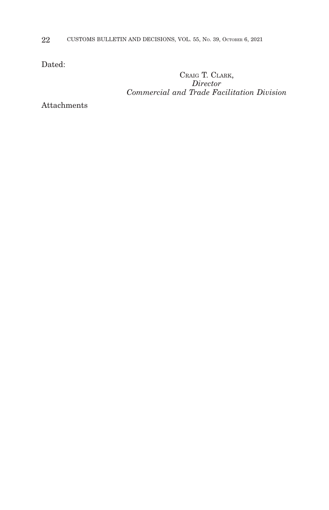22 CUSTOMS BULLETIN AND DECISIONS, VOL. 55, No. 39, OCTOBER 6, 2021

Dated:

CRAIG T. CLARK, *Director Commercial and Trade Facilitation Division*

Attachments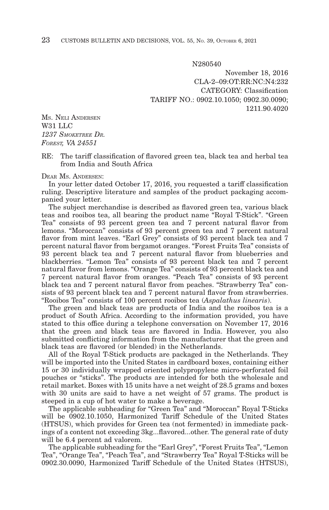N280540

November 18, 2016 CLA-2–09:OT:RR:NC:N4:232 CATEGORY: Classification TARIFF NO.: 0902.10.1050; 0902.30.0090; 1211.90.4020

MS. NELI ANDERSEN W31 LLC *1237 SMOKETREE DR. FOREST, VA 24551*

RE: The tariff classification of flavored green tea, black tea and herbal tea from India and South Africa

#### DEAR MS. ANDERSEN:

In your letter dated October 17, 2016, you requested a tariff classification ruling. Descriptive literature and samples of the product packaging accompanied your letter.

The subject merchandise is described as flavored green tea, various black teas and rooibos tea, all bearing the product name "Royal T-Stick". "Green Tea" consists of 93 percent green tea and 7 percent natural flavor from lemons. "Moroccan" consists of 93 percent green tea and 7 percent natural flavor from mint leaves. "Earl Grey" consists of 93 percent black tea and 7 percent natural flavor from bergamot oranges. "Forest Fruits Tea" consists of 93 percent black tea and 7 percent natural flavor from blueberries and blackberries. "Lemon Tea" consists of 93 percent black tea and 7 percent natural flavor from lemons. "Orange Tea" consists of 93 percent black tea and 7 percent natural flavor from oranges. "Peach Tea" consists of 93 percent black tea and 7 percent natural flavor from peaches. "Strawberry Tea" consists of 93 percent black tea and 7 percent natural flavor from strawberries. "Rooibos Tea" consists of 100 percent rooibos tea (*Aspalathus linearis*).

The green and black teas are products of India and the rooibos tea is a product of South Africa. According to the information provided, you have stated to this office during a telephone conversation on November 17, 2016 that the green and black teas are flavored in India. However, you also submitted conflicting information from the manufacturer that the green and black teas are flavored (or blended) in the Netherlands.

All of the Royal T-Stick products are packaged in the Netherlands. They will be imported into the United States in cardboard boxes, containing either 15 or 30 individually wrapped oriented polypropylene micro-perforated foil pouches or "sticks". The products are intended for both the wholesale and retail market. Boxes with 15 units have a net weight of 28.5 grams and boxes with 30 units are said to have a net weight of 57 grams. The product is steeped in a cup of hot water to make a beverage.

The applicable subheading for "Green Tea" and "Moroccan" Royal T-Sticks will be 0902.10.1050, Harmonized Tariff Schedule of the United States (HTSUS), which provides for Green tea (not fermented) in immediate packings of a content not exceeding 3kg...flavored...other. The general rate of duty will be 6.4 percent ad valorem.

The applicable subheading for the "Earl Grey", "Forest Fruits Tea", "Lemon Tea", "Orange Tea", "Peach Tea", and "Strawberry Tea" Royal T-Sticks will be 0902.30.0090, Harmonized Tariff Schedule of the United States (HTSUS),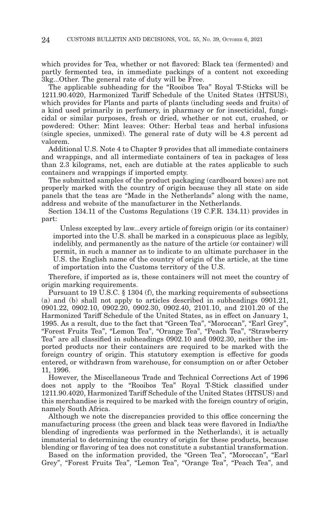which provides for Tea, whether or not flavored: Black tea (fermented) and partly fermented tea, in immediate packings of a content not exceeding 3kg...Other. The general rate of duty will be Free.

The applicable subheading for the "Rooibos Tea" Royal T-Sticks will be 1211.90.4020, Harmonized Tariff Schedule of the United States (HTSUS), which provides for Plants and parts of plants (including seeds and fruits) of a kind used primarily in perfumery, in pharmacy or for insecticidal, fungicidal or similar purposes, fresh or dried, whether or not cut, crushed, or powdered: Other: Mint leaves: Other: Herbal teas and herbal infusions (single species, unmixed). The general rate of duty will be 4.8 percent ad valorem.

Additional U.S. Note 4 to Chapter 9 provides that all immediate containers and wrappings, and all intermediate containers of tea in packages of less than 2.3 kilograms, net, each are dutiable at the rates applicable to such containers and wrappings if imported empty.

The submitted samples of the product packaging (cardboard boxes) are not properly marked with the country of origin because they all state on side panels that the teas are "Made in the Netherlands" along with the name, address and website of the manufacturer in the Netherlands.

Section 134.11 of the Customs Regulations (19 C.F.R. 134.11) provides in part:

 Unless excepted by law...every article of foreign origin (or its container) imported into the U.S. shall be marked in a conspicuous place as legibly, indelibly, and permanently as the nature of the article (or container) will permit, in such a manner as to indicate to an ultimate purchaser in the U.S. the English name of the country of origin of the article, at the time of importation into the Customs territory of the U.S.

Therefore, if imported as is, these containers will not meet the country of origin marking requirements.

Pursuant to 19 U.S.C. § 1304 (f), the marking requirements of subsections (a) and (b) shall not apply to articles described in subheadings 0901.21, 0901.22, 0902.10, 0902.20, 0902.30, 0902.40, 2101.10, and 2101.20 of the Harmonized Tariff Schedule of the United States, as in effect on January 1, 1995. As a result, due to the fact that "Green Tea", "Moroccan", "Earl Grey", "Forest Fruits Tea", "Lemon Tea", "Orange Tea", "Peach Tea", "Strawberry Tea" are all classified in subheadings 0902.10 and 0902.30, neither the imported products nor their containers are required to be marked with the foreign country of origin. This statutory exemption is effective for goods entered, or withdrawn from warehouse, for consumption on or after October 11, 1996.

However, the Miscellaneous Trade and Technical Corrections Act of 1996 does not apply to the "Rooibos Tea" Royal T-Stick classified under 1211.90.4020, Harmonized Tariff Schedule of the United States (HTSUS) and this merchandise is required to be marked with the foreign country of origin, namely South Africa.

Although we note the discrepancies provided to this office concerning the manufacturing process (the green and black teas were flavored in India/the blending of ingredients was performed in the Netherlands), it is actually immaterial to determining the country of origin for these products, because blending or flavoring of tea does not constitute a substantial transformation.

Based on the information provided, the "Green Tea", "Moroccan", "Earl Grey", "Forest Fruits Tea", "Lemon Tea", "Orange Tea", "Peach Tea", and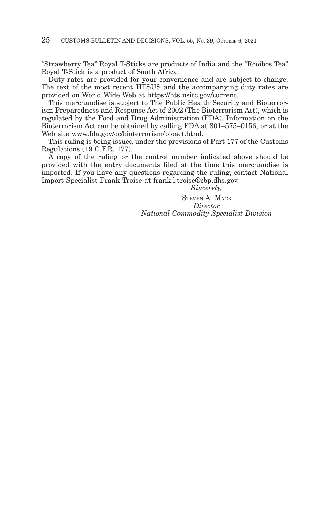"Strawberry Tea" Royal T-Sticks are products of India and the "Rooibos Tea" Royal T-Stick is a product of South Africa.

Duty rates are provided for your convenience and are subject to change. The text of the most recent HTSUS and the accompanying duty rates are provided on World Wide Web at https://hts.usitc.gov/current.

This merchandise is subject to The Public Health Security and Bioterrorism Preparedness and Response Act of 2002 (The Bioterrorism Act), which is regulated by the Food and Drug Administration (FDA). Information on the Bioterrorism Act can be obtained by calling FDA at 301–575–0156, or at the Web site www.fda.gov/oc/bioterrorism/bioact.html.

This ruling is being issued under the provisions of Part 177 of the Customs Regulations (19 C.F.R. 177).

A copy of the ruling or the control number indicated above should be provided with the entry documents filed at the time this merchandise is imported. If you have any questions regarding the ruling, contact National Import Specialist Frank Troise at frank.l.troise@cbp.dhs.gov.

*Sincerely,*

STEVEN A. MACK *Director National Commodity Specialist Division*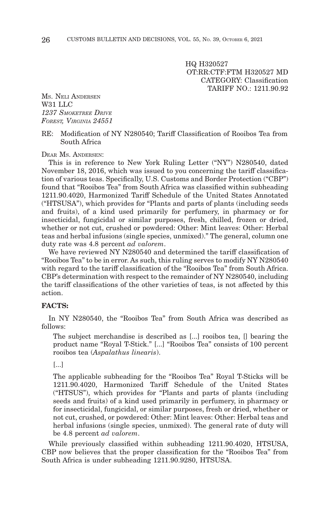HQ H320527 OT:RR:CTF:FTM H320527 MD CATEGORY: Classification TARIFF NO.: 1211.90.92

MS. NELI ANDERSEN W<sub>31</sub> LLC *1237 SMOKETREE DRIVE FOREST, VIRGINIA 24551*

#### RE: Modification of NY N280540; Tariff Classification of Rooibos Tea from South Africa

DEAR MS. ANDERSEN:

This is in reference to New York Ruling Letter ("NY") N280540, dated November 18, 2016, which was issued to you concerning the tariff classification of various teas. Specifically, U.S. Customs and Border Protection ("CBP") found that "Rooibos Tea" from South Africa was classified within subheading 1211.90.4020, Harmonized Tariff Schedule of the United States Annotated ("HTSUSA"), which provides for "Plants and parts of plants (including seeds and fruits), of a kind used primarily for perfumery, in pharmacy or for insecticidal, fungicidal or similar purposes, fresh, chilled, frozen or dried, whether or not cut, crushed or powdered: Other: Mint leaves: Other: Herbal teas and herbal infusions (single species, unmixed)." The general, column one duty rate was 4.8 percent *ad valorem*.

We have reviewed NY N280540 and determined the tariff classification of "Rooibos Tea" to be in error. As such, this ruling serves to modify NY N280540 with regard to the tariff classification of the "Rooibos Tea" from South Africa. CBP's determination with respect to the remainder of NY N280540, including the tariff classifications of the other varieties of teas, is not affected by this action.

#### **FACTS:**

In NY N280540, the "Rooibos Tea" from South Africa was described as follows:

The subject merchandise is described as [...] rooibos tea, [] bearing the product name "Royal T-Stick." [...] "Rooibos Tea" consists of 100 percent rooibos tea (*Aspalathus linearis*).

[...]

The applicable subheading for the "Rooibos Tea" Royal T-Sticks will be 1211.90.4020, Harmonized Tariff Schedule of the United States ("HTSUS"), which provides for "Plants and parts of plants (including seeds and fruits) of a kind used primarily in perfumery, in pharmacy or for insecticidal, fungicidal, or similar purposes, fresh or dried, whether or not cut, crushed, or powdered: Other: Mint leaves: Other: Herbal teas and herbal infusions (single species, unmixed). The general rate of duty will be 4.8 percent *ad valorem*.

While previously classified within subheading 1211.90.4020, HTSUSA, CBP now believes that the proper classification for the "Rooibos Tea" from South Africa is under subheading 1211.90.9280, HTSUSA.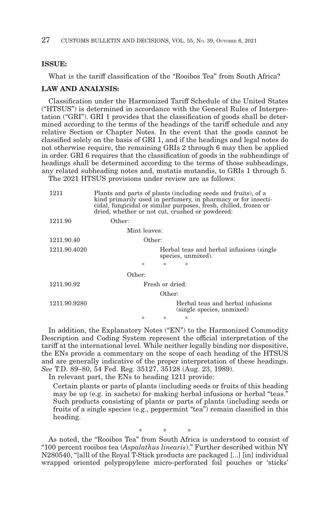#### **ISSUE:**

What is the tariff classification of the "Rooibos Tea" from South Africa?

#### **LAW AND ANALYSIS:**

Classification under the Harmonized Tariff Schedule of the United States ("HTSUS") is determined in accordance with the General Rules of Interpretation ("GRI"). GRI 1 provides that the classification of goods shall be determined according to the terms of the headings of the tariff schedule and any relative Section or Chapter Notes. In the event that the goods cannot be classified solely on the basis of GRI 1, and if the headings and legal notes do not otherwise require, the remaining GRIs 2 through 6 may then be applied in order. GRI 6 requires that the classification of goods in the subheadings of headings shall be determined according to the terms of those subheadings, any related subheading notes and, mutatis mutandis, to GRIs 1 through 5.

The 2021 HTSUS provisions under review are as follows:

| 1211         | Plants and parts of plants (including seeds and fruits), of a<br>kind primarily used in perfumery, in pharmacy or for insecti-<br>cidal, fungicidal or similar purposes, fresh, chilled, frozen or<br>dried, whether or not cut, crushed or powdered: |   |                                                                 |  |  |
|--------------|-------------------------------------------------------------------------------------------------------------------------------------------------------------------------------------------------------------------------------------------------------|---|-----------------------------------------------------------------|--|--|
| 1211.90      | Other:                                                                                                                                                                                                                                                |   |                                                                 |  |  |
|              | Mint leaves:                                                                                                                                                                                                                                          |   |                                                                 |  |  |
| 1211.90.40   | Other:                                                                                                                                                                                                                                                |   |                                                                 |  |  |
| 1211.90.4020 |                                                                                                                                                                                                                                                       |   | Herbal teas and herbal infusions (single)<br>species, unmixed). |  |  |
|              | $\ast$                                                                                                                                                                                                                                                | 宋 | $\ast$                                                          |  |  |
|              | Other:                                                                                                                                                                                                                                                |   |                                                                 |  |  |
| 1211.90.92   | Fresh or dried:                                                                                                                                                                                                                                       |   |                                                                 |  |  |
| Other:       |                                                                                                                                                                                                                                                       |   |                                                                 |  |  |
| 1211.90.9280 |                                                                                                                                                                                                                                                       |   | Herbal teas and herbal infusions<br>(single species, unmixed)   |  |  |
|              | *                                                                                                                                                                                                                                                     | 永 | $\ast$                                                          |  |  |

In addition, the Explanatory Notes ("EN") to the Harmonized Commodity Description and Coding System represent the official interpretation of the tariff at the international level. While neither legally binding nor dispositive, the ENs provide a commentary on the scope of each heading of the HTSUS and are generally indicative of the proper interpretation of these headings. *See* T.D. 89–80, 54 Fed. Reg. 35127, 35128 (Aug. 23, 1989).

In relevant part, the ENs to heading 1211 provide:

Certain plants or parts of plants (including seeds or fruits of this heading may be up (e.g. in sachets) for making herbal infusions or herbal "teas." Such products consisting of plants or parts of plants (including seeds or fruits of a single species (e.g., peppermint "tea") remain classified in this heading.

\*\* \* As noted, the "Rooibos Tea" from South Africa is understood to consist of "100 percent rooibos tea (*Aspalathus linearis*)." Further described within NY N280540, "[a]ll of the Royal T-Stick products are packaged [...] [in] individual wrapped oriented polypropylene micro-perforated foil pouches or 'sticks'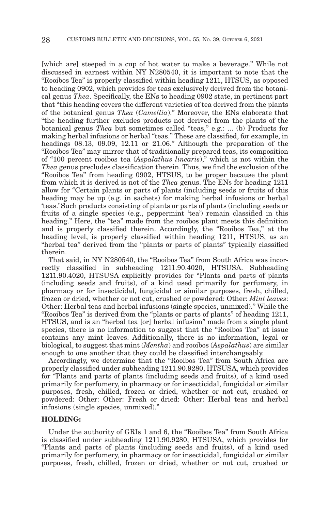[which are] steeped in a cup of hot water to make a beverage." While not discussed in earnest within NY N280540, it is important to note that the "Rooibos Tea" is properly classified within heading 1211, HTSUS, as opposed to heading 0902, which provides for teas exclusively derived from the botanical genus *Thea*. Specifically, the ENs to heading 0902 state, in pertinent part that "this heading covers the different varieties of tea derived from the plants of the botanical genus *Thea* (*Camellia*)." Moreover, the ENs elaborate that "the heading further excludes products not derived from the plants of the botanical genus *Thea* but sometimes called "teas," e.g.: ... (b) Products for making herbal infusions or herbal "teas." These are classified, for example, in headings 08.13, 09.09, 12.11 or 21.06." Although the preparation of the "Rooibos Tea" may mirror that of traditionally prepared teas, its composition of "100 percent rooibos tea (*Aspalathus linearis*)," which is not within the *Thea* genus precludes classification therein. Thus, we find the exclusion of the "Rooibos Tea" from heading 0902, HTSUS, to be proper because the plant from which it is derived is not of the *Thea* genus. The ENs for heading 1211 allow for "Certain plants or parts of plants (including seeds or fruits of this heading may be up (e.g. in sachets) for making herbal infusions or herbal 'teas.' Such products consisting of plants or parts of plants (including seeds or fruits of a single species (e.g., peppermint 'tea') remain classified in this heading." Here, the "tea" made from the rooibos plant meets this definition and is properly classified therein. Accordingly, the "Rooibos Tea," at the heading level, is properly classified within heading 1211, HTSUS, as an "herbal tea" derived from the "plants or parts of plants" typically classified therein.

That said, in NY N280540, the "Rooibos Tea" from South Africa was incorrectly classified in subheading 1211.90.4020, HTSUSA. Subheading 1211.90.4020, HTSUSA explicitly provides for "Plants and parts of plants (including seeds and fruits), of a kind used primarily for perfumery, in pharmacy or for insecticidal, fungicidal or similar purposes, fresh, chilled, frozen or dried, whether or not cut, crushed or powdered: Other: *Mint leaves*: Other: Herbal teas and herbal infusions (single species, unmixed)." While the "Rooibos Tea" is derived from the "plants or parts of plants" of heading 1211, HTSUS, and is an "herbal tea [or] herbal infusion" made from a single plant species, there is no information to suggest that the "Rooibos Tea" at issue contains any mint leaves. Additionally, there is no information, legal or biological, to suggest that mint (*Mentha*) and rooibos (*Aspalathus*) are similar enough to one another that they could be classified interchangeably.

Accordingly, we determine that the "Rooibos Tea" from South Africa are properly classified under subheading 1211.90.9280, HTSUSA, which provides for "Plants and parts of plants (including seeds and fruits), of a kind used primarily for perfumery, in pharmacy or for insecticidal, fungicidal or similar purposes, fresh, chilled, frozen or dried, whether or not cut, crushed or powdered: Other: Other: Fresh or dried: Other: Herbal teas and herbal infusions (single species, unmixed)."

#### **HOLDING:**

Under the authority of GRIs 1 and 6, the "Rooibos Tea" from South Africa is classified under subheading 1211.90.9280, HTSUSA, which provides for "Plants and parts of plants (including seeds and fruits), of a kind used primarily for perfumery, in pharmacy or for insecticidal, fungicidal or similar purposes, fresh, chilled, frozen or dried, whether or not cut, crushed or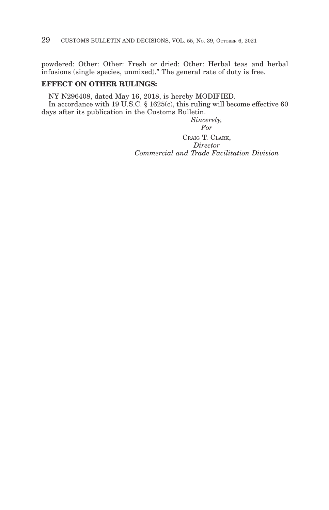powdered: Other: Other: Fresh or dried: Other: Herbal teas and herbal infusions (single species, unmixed)." The general rate of duty is free.

## **EFFECT ON OTHER RULINGS:**

NY N296408, dated May 16, 2018, is hereby MODIFIED. In accordance with 19 U.S.C. § 1625(c), this ruling will become effective 60 days after its publication in the Customs Bulletin.

*Sincerely,*

*For*

CRAIG T. CLARK, *Director Commercial and Trade Facilitation Division*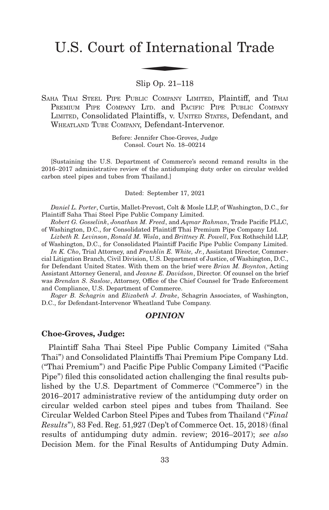# U.S. Court of International Trade f Interna

## Slip Op. 21–118

SAHA THAI STEEL PIPE PUBLIC COMPANY LIMITED, Plaintiff, and THAI PREMIUM PIPE COMPANY LTD. and PACIFIC PIPE PUBLIC COMPANY LIMITED, Consolidated Plaintiffs, v. UNITED STATES, Defendant, and WHEATLAND TUBE COMPANY, Defendant-Intervenor.

> Before: Jennifer Choe-Groves, Judge Consol. Court No. 18–00214

[Sustaining the U.S. Department of Commerce's second remand results in the 2016–2017 administrative review of the antidumping duty order on circular welded carbon steel pipes and tubes from Thailand.]

#### Dated: September 17, 2021

*Daniel L. Porter*, Curtis, Mallet-Prevost, Colt & Mosle LLP, of Washington, D.C., for Plaintiff Saha Thai Steel Pipe Public Company Limited.

*Robert G. Gosselink*, *Jonathan M. Freed*, and *Aqmar Rahman*, Trade Pacific PLLC, of Washington, D.C., for Consolidated Plaintiff Thai Premium Pipe Company Ltd.

*Lizbeth R. Levinson*, *Ronald M. Wisla*, and *Brittney R. Powell*, Fox Rothschild LLP, of Washington, D.C., for Consolidated Plaintiff Pacific Pipe Public Company Limited.

*In K. Cho*, Trial Attorney, and *Franklin E. White, Jr.*, Assistant Director, Commercial Litigation Branch, Civil Division, U.S. Department of Justice, of Washington, D.C., for Defendant United States. With them on the brief were *Brian M. Boynton*, Acting Assistant Attorney General, and *Jeanne E. Davidson*, Director. Of counsel on the brief was *Brendan S. Saslow*, Attorney, Office of the Chief Counsel for Trade Enforcement and Compliance, U.S. Department of Commerce.

*Roger B. Schagrin* and *Elizabeth J. Drake*, Schagrin Associates, of Washington, D.C., for Defendant-Intervenor Wheatland Tube Company.

#### *OPINION*

#### **Choe-Groves, Judge:**

Plaintiff Saha Thai Steel Pipe Public Company Limited ("Saha Thai") and Consolidated Plaintiffs Thai Premium Pipe Company Ltd. ("Thai Premium") and Pacific Pipe Public Company Limited ("Pacific Pipe") filed this consolidated action challenging the final results published by the U.S. Department of Commerce ("Commerce") in the 2016–2017 administrative review of the antidumping duty order on circular welded carbon steel pipes and tubes from Thailand. See Circular Welded Carbon Steel Pipes and Tubes from Thailand ("*Final Results*"), 83 Fed. Reg. 51,927 (Dep't of Commerce Oct. 15, 2018) (final results of antidumping duty admin. review; 2016–2017); *see also* Decision Mem. for the Final Results of Antidumping Duty Admin.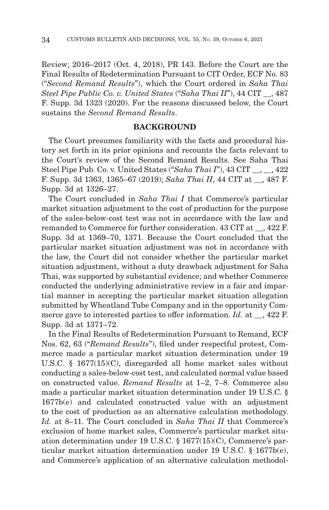Review; 2016–2017 (Oct. 4, 2018), PR 143. Before the Court are the Final Results of Redetermination Pursuant to CIT Order, ECF No. 83 ("*Second Remand Results*"), which the Court ordered in *Saha Thai Steel Pipe Public Co. v. United States* ("*Saha Thai II*"), 44 CIT \_\_, 487 F. Supp. 3d 1323 (2020). For the reasons discussed below, the Court sustains the *Second Remand Results*.

#### **BACKGROUND**

The Court presumes familiarity with the facts and procedural history set forth in its prior opinions and recounts the facts relevant to the Court's review of the Second Remand Results. See Saha Thai Steel Pipe Pub. Co. v. United States ("*Saha Thai I*"), 43 CIT \_\_, \_\_, 422 F. Supp. 3d 1363, 1365–67 (2019); *Saha Thai II*, 44 CIT at \_\_, 487 F. Supp. 3d at 1326–27.

The Court concluded in *Saha Thai I* that Commerce's particular market situation adjustment to the cost of production for the purpose of the sales-below-cost test was not in accordance with the law and remanded to Commerce for further consideration. 43 CIT at \_\_, 422 F. Supp. 3d at 1369–70, 1371. Because the Court concluded that the particular market situation adjustment was not in accordance with the law, the Court did not consider whether the particular market situation adjustment, without a duty drawback adjustment for Saha Thai, was supported by substantial evidence; and whether Commerce conducted the underlying administrative review in a fair and impartial manner in accepting the particular market situation allegation submitted by Wheatland Tube Company and in the opportunity Commerce gave to interested parties to offer information. *Id.* at  $\phantom{+}$ , 422 F. Supp. 3d at 1371–72.

In the Final Results of Redetermination Pursuant to Remand, ECF Nos. 62, 63 ("*Remand Results*"), filed under respectful protest, Commerce made a particular market situation determination under 19 U.S.C. § 1677(15)(C), disregarded all home market sales without conducting a sales-below-cost test, and calculated normal value based on constructed value. *Remand Results* at 1–2, 7–8. Commerce also made a particular market situation determination under 19 U.S.C. § 1677b(e) and calculated constructed value with an adjustment to the cost of production as an alternative calculation methodology. *Id.* at 8–11. The Court concluded in *Saha Thai II* that Commerce's exclusion of home market sales, Commerce's particular market situation determination under 19 U.S.C. § 1677(15)(C), Commerce's particular market situation determination under 19 U.S.C. § 1677b(e), and Commerce's application of an alternative calculation methodol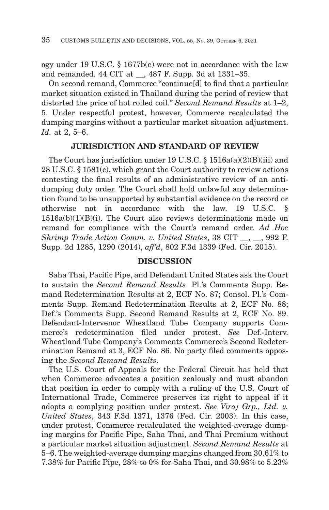ogy under 19 U.S.C. § 1677b(e) were not in accordance with the law and remanded. 44 CIT at \_\_, 487 F. Supp. 3d at 1331–35.

On second remand, Commerce "continue[d] to find that a particular market situation existed in Thailand during the period of review that distorted the price of hot rolled coil." *Second Remand Results* at 1–2, 5. Under respectful protest, however, Commerce recalculated the dumping margins without a particular market situation adjustment. *Id.* at 2, 5–6.

## **JURISDICTION AND STANDARD OF REVIEW**

The Court has jurisdiction under 19 U.S.C. § 1516a(a)(2)(B)(iii) and 28 U.S.C. § 1581(c), which grant the Court authority to review actions contesting the final results of an administrative review of an antidumping duty order. The Court shall hold unlawful any determination found to be unsupported by substantial evidence on the record or otherwise not in accordance with the law. 19 U.S.C. § 1516a(b)(1)(B)(i). The Court also reviews determinations made on remand for compliance with the Court's remand order. *Ad Hoc Shrimp Trade Action Comm. v. United States*, 38 CIT \_\_, \_\_, 992 F. Supp. 2d 1285, 1290 (2014), *aff'd*, 802 F.3d 1339 (Fed. Cir. 2015).

#### **DISCUSSION**

Saha Thai, Pacific Pipe, and Defendant United States ask the Court to sustain the *Second Remand Results*. Pl.'s Comments Supp. Remand Redetermination Results at 2, ECF No. 87; Consol. Pl.'s Comments Supp. Remand Redetermination Results at 2, ECF No. 88; Def.'s Comments Supp. Second Remand Results at 2, ECF No. 89. Defendant-Intervenor Wheatland Tube Company supports Commerce's redetermination filed under protest. *See* Def.-Interv. Wheatland Tube Company's Comments Commerce's Second Redetermination Remand at 3, ECF No. 86. No party filed comments opposing the *Second Remand Results*.

The U.S. Court of Appeals for the Federal Circuit has held that when Commerce advocates a position zealously and must abandon that position in order to comply with a ruling of the U.S. Court of International Trade, Commerce preserves its right to appeal if it adopts a complying position under protest. *See Viraj Grp., Ltd. v. United States*, 343 F.3d 1371, 1376 (Fed. Cir. 2003). In this case, under protest, Commerce recalculated the weighted-average dumping margins for Pacific Pipe, Saha Thai, and Thai Premium without a particular market situation adjustment. *Second Remand Results* at 5–6. The weighted-average dumping margins changed from 30.61% to 7.38% for Pacific Pipe, 28% to 0% for Saha Thai, and 30.98% to 5.23%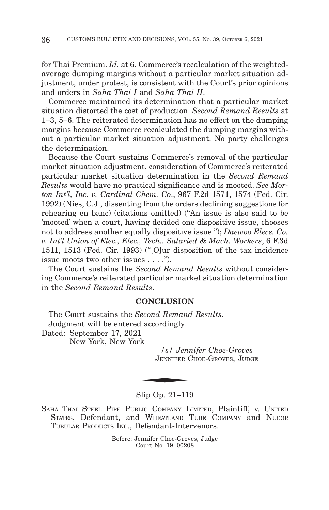for Thai Premium. *Id.* at 6. Commerce's recalculation of the weightedaverage dumping margins without a particular market situation adjustment, under protest, is consistent with the Court's prior opinions and orders in *Saha Thai I* and *Saha Thai II*.

Commerce maintained its determination that a particular market situation distorted the cost of production. *Second Remand Results* at 1–3, 5–6. The reiterated determination has no effect on the dumping margins because Commerce recalculated the dumping margins without a particular market situation adjustment. No party challenges the determination.

Because the Court sustains Commerce's removal of the particular market situation adjustment, consideration of Commerce's reiterated particular market situation determination in the *Second Remand Results* would have no practical significance and is mooted. *See Morton Int'l, Inc. v. Cardinal Chem. Co*., 967 F.2d 1571, 1574 (Fed. Cir. 1992) (Nies, C.J., dissenting from the orders declining suggestions for rehearing en banc) (citations omitted) ("An issue is also said to be 'mooted' when a court, having decided one dispositive issue, chooses not to address another equally dispositive issue."); *Daewoo Elecs. Co. v. Int'l Union of Elec., Elec., Tech., Salaried & Mach. Workers*, 6 F.3d 1511, 1513 (Fed. Cir. 1993) ("[O]ur disposition of the tax incidence issue moots two other issues . . . .").

The Court sustains the *Second Remand Results* without considering Commerce's reiterated particular market situation determination in the *Second Remand Results*.

## **CONCLUSION**

The Court sustains the *Second Remand Results*. Judgment will be entered accordingly. Dated: September 17, 2021 New York, New York  $\frac{1}{\text{2}}$ <br> $\frac{1}{\text{2}}$ <br> $\frac{1}{\text{2}}$ <br> $\frac{1}{\text{2}}$ <br> $\frac{1}{\text{2}}$ 

*/s/ Jennifer Choe-Groves* JENNIFER CHOE-GROVES, JUDGE

#### Slip Op. 21–119

SAHA THAI STEEL PIPE PUBLIC COMPANY LIMITED, Plaintiff, v. UNITED STATES, Defendant, and WHEATLAND TUBE COMPANY and NUCOR TUBULAR PRODUCTS INC., Defendant-Intervenors.

> Before: Jennifer Choe-Groves, Judge Court No. 19–00208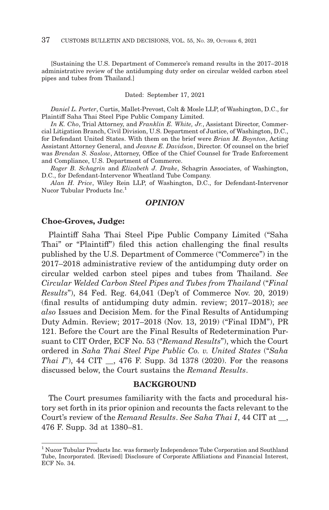[Sustaining the U.S. Department of Commerce's remand results in the 2017–2018 administrative review of the antidumping duty order on circular welded carbon steel pipes and tubes from Thailand.]

#### Dated: September 17, 2021

*Daniel L. Porter*, Curtis, Mallet-Prevost, Colt & Mosle LLP, of Washington, D.C., for Plaintiff Saha Thai Steel Pipe Public Company Limited.

*In K. Cho*, Trial Attorney, and *Franklin E. White, Jr.*, Assistant Director, Commercial Litigation Branch, Civil Division, U.S. Department of Justice, of Washington, D.C., for Defendant United States. With them on the brief were *Brian M. Boynton*, Acting Assistant Attorney General, and *Jeanne E. Davidson*, Director. Of counsel on the brief was *Brendan S. Saslow*, Attorney, Office of the Chief Counsel for Trade Enforcement and Compliance, U.S. Department of Commerce.

*Roger B. Schagrin* and *Elizabeth J. Drake*, Schagrin Associates, of Washington, D.C., for Defendant-Intervenor Wheatland Tube Company.

*Alan H. Price*, Wiley Rein LLP, of Washington, D.C., for Defendant-Intervenor Nucor Tubular Products Inc.<sup>1</sup>

## *OPINION*

#### **Choe-Groves, Judge:**

Plaintiff Saha Thai Steel Pipe Public Company Limited ("Saha Thai" or "Plaintiff") filed this action challenging the final results published by the U.S. Department of Commerce ("Commerce") in the 2017–2018 administrative review of the antidumping duty order on circular welded carbon steel pipes and tubes from Thailand. *See Circular Welded Carbon Steel Pipes and Tubes from Thailand* ("*Final Results*"), 84 Fed. Reg. 64,041 (Dep't of Commerce Nov. 20, 2019) (final results of antidumping duty admin. review; 2017–2018); *see also* Issues and Decision Mem. for the Final Results of Antidumping Duty Admin. Review; 2017–2018 (Nov. 13, 2019) ("Final IDM"), PR 121. Before the Court are the Final Results of Redetermination Pursuant to CIT Order, ECF No. 53 ("*Remand Results*"), which the Court ordered in *Saha Thai Steel Pipe Public Co. v. United States* ("*Saha Thai I*"), 44 CIT, 476 F. Supp. 3d 1378 (2020). For the reasons discussed below, the Court sustains the *Remand Results*.

#### **BACKGROUND**

The Court presumes familiarity with the facts and procedural history set forth in its prior opinion and recounts the facts relevant to the Court's review of the *Remand Results*. *See Saha Thai I*, 44 CIT at \_\_, 476 F. Supp. 3d at 1380–81.

<sup>&</sup>lt;sup>1</sup> Nucor Tubular Products Inc. was formerly Independence Tube Corporation and Southland Tube, Incorporated. [Revised] Disclosure of Corporate Affiliations and Financial Interest, ECF No. 34.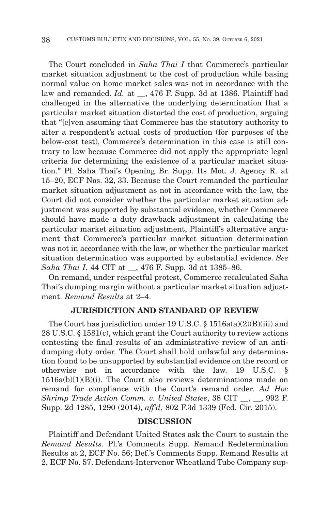The Court concluded in *Saha Thai I* that Commerce's particular market situation adjustment to the cost of production while basing normal value on home market sales was not in accordance with the law and remanded. *Id.* at \_\_, 476 F. Supp. 3d at 1386. Plaintiff had challenged in the alternative the underlying determination that a particular market situation distorted the cost of production, arguing that "[e]ven assuming that Commerce has the statutory authority to alter a respondent's actual costs of production (for purposes of the below-cost test), Commerce's determination in this case is still contrary to law because Commerce did not apply the appropriate legal criteria for determining the existence of a particular market situation." Pl. Saha Thai's Opening Br. Supp. Its Mot. J. Agency R. at 15–20, ECF Nos. 32, 33. Because the Court remanded the particular market situation adjustment as not in accordance with the law, the Court did not consider whether the particular market situation adjustment was supported by substantial evidence, whether Commerce should have made a duty drawback adjustment in calculating the particular market situation adjustment, Plaintiff's alternative argument that Commerce's particular market situation determination was not in accordance with the law, or whether the particular market situation determination was supported by substantial evidence. *See Saha Thai I*, 44 CIT at \_\_, 476 F. Supp. 3d at 1385–86.

On remand, under respectful protest, Commerce recalculated Saha Thai's dumping margin without a particular market situation adjustment. *Remand Results* at 2–4.

### **JURISDICTION AND STANDARD OF REVIEW**

The Court has jurisdiction under 19 U.S.C.  $\S$  1516a(a)(2)(B)(iii) and 28 U.S.C. § 1581(c), which grant the Court authority to review actions contesting the final results of an administrative review of an antidumping duty order. The Court shall hold unlawful any determination found to be unsupported by substantial evidence on the record or otherwise not in accordance with the law.  $19 \text{ U.S.C.}$ 1516a(b)(1)(B)(i). The Court also reviews determinations made on remand for compliance with the Court's remand order. *Ad Hoc Shrimp Trade Action Comm. v. United States*, 38 CIT \_\_, \_\_, 992 F. Supp. 2d 1285, 1290 (2014), *aff'd*, 802 F.3d 1339 (Fed. Cir. 2015).

#### **DISCUSSION**

Plaintiff and Defendant United States ask the Court to sustain the *Remand Results*. Pl.'s Comments Supp. Remand Redetermination Results at 2, ECF No. 56; Def.'s Comments Supp. Remand Results at 2, ECF No. 57. Defendant-Intervenor Wheatland Tube Company sup-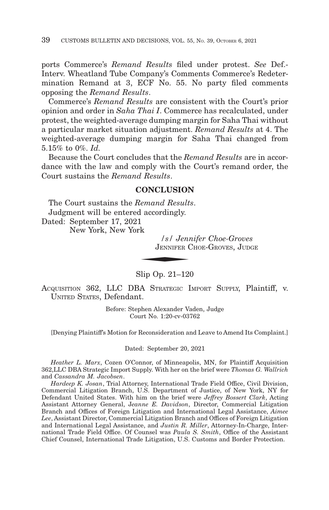ports Commerce's *Remand Results* filed under protest. *See* Def.- Interv. Wheatland Tube Company's Comments Commerce's Redetermination Remand at 3, ECF No. 55. No party filed comments opposing the *Remand Results*.

Commerce's *Remand Results* are consistent with the Court's prior opinion and order in *Saha Thai I*. Commerce has recalculated, under protest, the weighted-average dumping margin for Saha Thai without a particular market situation adjustment. *Remand Results* at 4. The weighted-average dumping margin for Saha Thai changed from 5.15% to 0%. *Id.*

Because the Court concludes that the *Remand Results* are in accordance with the law and comply with the Court's remand order, the Court sustains the *Remand Results*.

# **CONCLUSION**

The Court sustains the *Remand Results*. Judgment will be entered accordingly. d accordingly.<br>
1<br>
k<br> *s | s | Jennes*<br> *JENNIFER* (

Dated: September 17, 2021

New York, New York

*/s/ Jennifer Choe-Groves* JENNIFER CHOE-GROVES, JUDGE

Slip Op. 21–120

ACQUISITION 362, LLC DBA STRATEGIC IMPORT SUPPLY, Plaintiff, v. UNITED STATES, Defendant.

> Before: Stephen Alexander Vaden, Judge Court No. 1:20-cv-03762

[Denying Plaintiff's Motion for Reconsideration and Leave to Amend Its Complaint.]

Dated: September 20, 2021

*Heather L. Marx*, Cozen O'Connor, of Minneapolis, MN, for Plaintiff Acquisition 362,LLC DBA Strategic Import Supply. With her on the brief were *Thomas G. Wallrich* and *Cassandra M. Jacobsen*.

*Hardeep K. Josan*, Trial Attorney, International Trade Field Office, Civil Division, Commercial Litigation Branch, U.S. Department of Justice, of New York, NY for Defendant United States. With him on the brief were *Jeffrey Bossert Clark*, Acting Assistant Attorney General, J*eanne E. Davidson*, Director, Commercial Litigation Branch and Offices of Foreign Litigation and International Legal Assistance, *Aimee Lee*, Assistant Director, Commercial Litigation Branch and Offices of Foreign Litigation and International Legal Assistance, and *Justin R. Miller*, Attorney-In-Charge, International Trade Field Office. Of Counsel was *Paula S. Smith*, Office of the Assistant Chief Counsel, International Trade Litigation, U.S. Customs and Border Protection.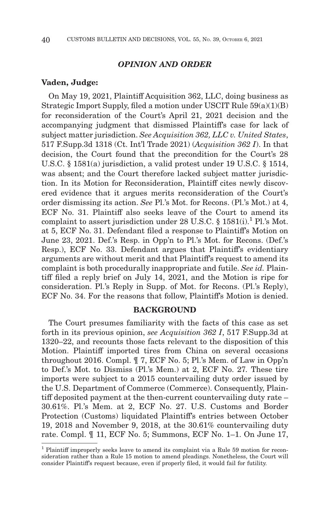## *OPINION AND ORDER*

### **Vaden, Judge:**

On May 19, 2021, Plaintiff Acquisition 362, LLC, doing business as Strategic Import Supply, filed a motion under USCIT Rule  $59(a)(1)(B)$ for reconsideration of the Court's April 21, 2021 decision and the accompanying judgment that dismissed Plaintiff's case for lack of subject matter jurisdiction. *See Acquisition 362, LLC v. United States*, 517 F.Supp.3d 1318 (Ct. Int'l Trade 2021) (*Acquisition 362 I*). In that decision, the Court found that the precondition for the Court's 28 U.S.C. § 1581(a) jurisdiction, a valid protest under 19 U.S.C. § 1514, was absent; and the Court therefore lacked subject matter jurisdiction. In its Motion for Reconsideration, Plaintiff cites newly discovered evidence that it argues merits reconsideration of the Court's order dismissing its action. *See* Pl.'s Mot. for Recons. (Pl.'s Mot.) at 4, ECF No. 31. Plaintiff also seeks leave of the Court to amend its complaint to assert jurisdiction under 28 U.S.C. §  $1581(i)$ .<sup>1</sup> Pl.'s Mot. at 5, ECF No. 31. Defendant filed a response to Plaintiff's Motion on June 23, 2021. Def.'s Resp. in Opp'n to Pl.'s Mot. for Recons. (Def.'s Resp.), ECF No. 33. Defendant argues that Plaintiff's evidentiary arguments are without merit and that Plaintiff's request to amend its complaint is both procedurally inappropriate and futile. *See id.* Plaintiff filed a reply brief on July 14, 2021, and the Motion is ripe for consideration. Pl.'s Reply in Supp. of Mot. for Recons. (Pl.'s Reply), ECF No. 34. For the reasons that follow, Plaintiff's Motion is denied.

### **BACKGROUND**

The Court presumes familiarity with the facts of this case as set forth in its previous opinion, *see Acquisition 362 I*, 517 F.Supp.3d at 1320–22, and recounts those facts relevant to the disposition of this Motion. Plaintiff imported tires from China on several occasions throughout 2016. Compl. ¶ 7, ECF No. 5; Pl.'s Mem. of Law in Opp'n to Def.'s Mot. to Dismiss (Pl.'s Mem.) at 2, ECF No. 27*.* These tire imports were subject to a 2015 countervailing duty order issued by the U.S. Department of Commerce (Commerce). Consequently, Plaintiff deposited payment at the then-current countervailing duty rate – 30.61%. Pl.'s Mem. at 2, ECF No. 27. U.S. Customs and Border Protection (Customs) liquidated Plaintiff's entries between October 19, 2018 and November 9, 2018, at the 30.61% countervailing duty rate. Compl. ¶ 11, ECF No. 5; Summons, ECF No. 1–1. On June 17,

<sup>1</sup> Plaintiff improperly seeks leave to amend its complaint via a Rule 59 motion for reconsideration rather than a Rule 15 motion to amend pleadings. Nonetheless, the Court will consider Plaintiff's request because, even if properly filed, it would fail for futility.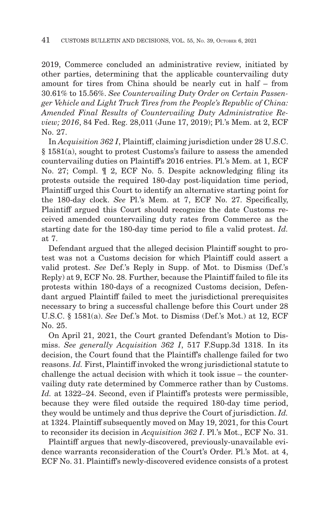2019, Commerce concluded an administrative review, initiated by other parties, determining that the applicable countervailing duty amount for tires from China should be nearly cut in half – from 30.61% to 15.56%. *See Countervailing Duty Order on Certain Passenger Vehicle and Light Truck Tires from the People's Republic of China: Amended Final Results of Countervailing Duty Administrative Review; 2016*, 84 Fed. Reg. 28,011 (June 17, 2019); Pl.'s Mem. at 2, ECF No. 27.

In *Acquisition 362 I*, Plaintiff, claiming jurisdiction under 28 U.S.C. § 1581(a), sought to protest Customs's failure to assess the amended countervailing duties on Plaintiff's 2016 entries. Pl.'s Mem. at 1, ECF No. 27; Compl. ¶ 2, ECF No. 5. Despite acknowledging filing its protests outside the required 180-day post-liquidation time period, Plaintiff urged this Court to identify an alternative starting point for the 180-day clock. *See* Pl.'s Mem. at 7, ECF No. 27. Specifically, Plaintiff argued this Court should recognize the date Customs received amended countervailing duty rates from Commerce as the starting date for the 180-day time period to file a valid protest. *Id.* at 7.

Defendant argued that the alleged decision Plaintiff sought to protest was not a Customs decision for which Plaintiff could assert a valid protest. *See* Def.'s Reply in Supp. of Mot. to Dismiss (Def.'s Reply) at 9, ECF No. 28. Further, because the Plaintiff failed to file its protests within 180-days of a recognized Customs decision, Defendant argued Plaintiff failed to meet the jurisdictional prerequisites necessary to bring a successful challenge before this Court under 28 U.S.C. § 1581(a). *See* Def.'s Mot. to Dismiss (Def.'s Mot.) at 12, ECF No. 25.

On April 21, 2021, the Court granted Defendant's Motion to Dismiss. *See generally Acquisition 362 I*, 517 F.Supp.3d 1318. In its decision, the Court found that the Plaintiff's challenge failed for two reasons. *Id.* First, Plaintiff invoked the wrong jurisdictional statute to challenge the actual decision with which it took issue – the countervailing duty rate determined by Commerce rather than by Customs. *Id.* at 1322–24. Second, even if Plaintiff's protests were permissible, because they were filed outside the required 180-day time period, they would be untimely and thus deprive the Court of jurisdiction. *Id.* at 1324. Plaintiff subsequently moved on May 19, 2021, for this Court to reconsider its decision in *Acquisition 362 I*. Pl.'s Mot., ECF No. 31.

Plaintiff argues that newly-discovered, previously-unavailable evidence warrants reconsideration of the Court's Order. Pl.'s Mot. at 4, ECF No. 31. Plaintiff's newly-discovered evidence consists of a protest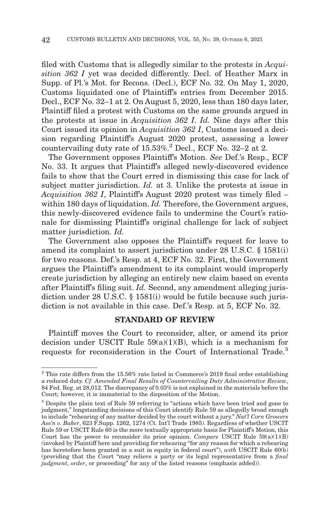filed with Customs that is allegedly similar to the protests in *Acquisition 362 I* yet was decided differently. Decl. of Heather Marx in Supp. of Pl.'s Mot. for Recons. (Decl.), ECF No. 32. On May 1, 2020, Customs liquidated one of Plaintiff's entries from December 2015. Decl., ECF No. 32–1 at 2. On August 5, 2020, less than 180 days later, Plaintiff filed a protest with Customs on the same grounds argued in the protests at issue in *Acquisition 362 I*. *Id.* Nine days after this Court issued its opinion in *Acquisition 362 I*, Customs issued a decision regarding Plaintiff's August 2020 protest, assessing a lower countervailing duty rate of 15.53%.2 Decl., ECF No. 32–2 at 2.

The Government opposes Plaintiff's Motion. *See* Def.'s Resp., ECF No. 33. It argues that Plaintiff's alleged newly-discovered evidence fails to show that the Court erred in dismissing this case for lack of subject matter jurisdiction. *Id.* at 3. Unlike the protests at issue in *Acquisition 362 I*, Plaintiff's August 2020 protest was timely filed – within 180 days of liquidation. *Id.* Therefore, the Government argues, this newly-discovered evidence fails to undermine the Court's rationale for dismissing Plaintiff's original challenge for lack of subject matter jurisdiction. *Id.*

The Government also opposes the Plaintiff's request for leave to amend its complaint to assert jurisdiction under 28 U.S.C. § 1581(i) for two reasons. Def.'s Resp. at 4, ECF No. 32. First, the Government argues the Plaintiff's amendment to its complaint would improperly create jurisdiction by alleging an entirely new claim based on events after Plaintiff's filing suit. *Id.* Second, any amendment alleging jurisdiction under 28 U.S.C. § 1581(i) would be futile because such jurisdiction is not available in this case. Def.'s Resp. at 5, ECF No. 32.

## **STANDARD OF REVIEW**

Plaintiff moves the Court to reconsider, alter, or amend its prior decision under USCIT Rule  $59(a)(1)(B)$ , which is a mechanism for requests for reconsideration in the Court of International Trade.3

 $2$  This rate differs from the 15.56% rate listed in Commerce's 2019 final order establishing a reduced duty. *Cf. Amended Final Results of Countervailing Duty Administrative Review*, 84 Fed. Reg. at 28,012. The discrepancy of 0.03% is not explained in the materials before the Court; however, it is immaterial to the disposition of the Motion.

<sup>3</sup> Despite the plain text of Rule 59 referring to "actions which have been tried and gone to judgment," longstanding decisions of this Court identify Rule 59 as allegedly broad enough to include "rehearing of any matter decided by the court without a jury." *Nat'l Corn Growers Ass'n v. Baker*, 623 F.Supp. 1262, 1274 (Ct. Int'l Trade 1985). Regardless of whether USCIT Rule 59 or USCIT Rule 60 is the more textually appropriate basis for Plaintiff's Motion, this Court has the power to reconsider its prior opinion. *Compare* USCIT Rule 59(a)(1)(B) (invoked by Plaintiff here and providing for rehearing "for any reason for which a rehearing has heretofore been granted in a suit in equity in federal court"), *with* USCIT Rule 60(b) (providing that the Court "may relieve a party or its legal representative from a *final judgment*, *order*, or proceeding" for any of the listed reasons (emphasis added)).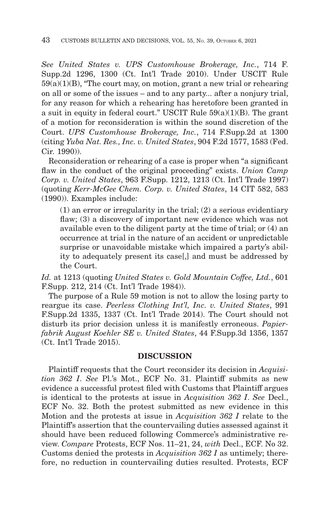*See United States v. UPS Customhouse Brokerage, Inc.*, 714 F. Supp.2d 1296, 1300 (Ct. Int'l Trade 2010). Under USCIT Rule  $59(a)(1)(B)$ , "The court may, on motion, grant a new trial or rehearing on all or some of the issues – and to any party... after a nonjury trial, for any reason for which a rehearing has heretofore been granted in a suit in equity in federal court." USCIT Rule  $59(a)(1)(B)$ . The grant of a motion for reconsideration is within the sound discretion of the Court. *UPS Customhouse Brokerage, Inc.*, 714 F.Supp.2d at 1300 (citing *Yuba Nat. Res., Inc. v. United States*, 904 F.2d 1577, 1583 (Fed.  $Cir 1990)$ 

Reconsideration or rehearing of a case is proper when "a significant flaw in the conduct of the original proceeding" exists. *Union Camp Corp. v. United States*, 963 F.Supp. 1212, 1213 (Ct. Int'l Trade 1997) (quoting *Kerr-McGee Chem. Corp. v. United States*, 14 CIT 582, 583 (1990)). Examples include:

(1) an error or irregularity in the trial; (2) a serious evidentiary flaw; (3) a discovery of important new evidence which was not available even to the diligent party at the time of trial; or (4) an occurrence at trial in the nature of an accident or unpredictable surprise or unavoidable mistake which impaired a party's ability to adequately present its case[,] and must be addressed by the Court.

*Id.* at 1213 (quoting *United States v. Gold Mountain Coffee, Ltd.*, 601 F.Supp. 212, 214 (Ct. Int'l Trade 1984)).

The purpose of a Rule 59 motion is not to allow the losing party to reargue its case. *Peerless Clothing Int'l, Inc. v. United States*, 991 F.Supp.2d 1335, 1337 (Ct. Int'l Trade 2014). The Court should not disturb its prior decision unless it is manifestly erroneous. *Papierfabrik August Koehler SE v. United States*, 44 F.Supp.3d 1356, 1357 (Ct. Int'l Trade 2015).

### **DISCUSSION**

Plaintiff requests that the Court reconsider its decision in *Acquisition 362 I*. *See* Pl.'s Mot., ECF No. 31. Plaintiff submits as new evidence a successful protest filed with Customs that Plaintiff argues is identical to the protests at issue in *Acquisition 362 I*. *See* Decl., ECF No. 32. Both the protest submitted as new evidence in this Motion and the protests at issue in *Acquisition 362 I* relate to the Plaintiff's assertion that the countervailing duties assessed against it should have been reduced following Commerce's administrative review. *Compare* Protests, ECF Nos. 11–21, 24, *with* Decl., ECF. No 32. Customs denied the protests in *Acquisition 362 I* as untimely; therefore, no reduction in countervailing duties resulted. Protests, ECF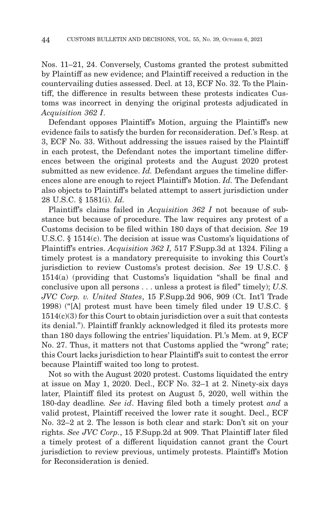Nos. 11–21, 24. Conversely, Customs granted the protest submitted by Plaintiff as new evidence; and Plaintiff received a reduction in the countervailing duties assessed. Decl. at 13, ECF No. 32. To the Plaintiff, the difference in results between these protests indicates Customs was incorrect in denying the original protests adjudicated in *Acquisition 362 I*.

Defendant opposes Plaintiff's Motion, arguing the Plaintiff's new evidence fails to satisfy the burden for reconsideration. Def.'s Resp. at 3, ECF No. 33. Without addressing the issues raised by the Plaintiff in each protest, the Defendant notes the important timeline differences between the original protests and the August 2020 protest submitted as new evidence. *Id.* Defendant argues the timeline differences alone are enough to reject Plaintiff's Motion. *Id.* The Defendant also objects to Plaintiff's belated attempt to assert jurisdiction under 28 U.S.C. § 1581(i). *Id.*

Plaintiff's claims failed in *Acquisition 362 I* not because of substance but because of procedure. The law requires any protest of a Customs decision to be filed within 180 days of that decision*. See* 19 U.S.C. § 1514(c). The decision at issue was Customs's liquidations of Plaintiff's entries. *Acquisition 362 I,* 517 F.Supp.3d at 1324. Filing a timely protest is a mandatory prerequisite to invoking this Court's jurisdiction to review Customs's protest decision. *See* 19 U.S.C. § 1514(a) (providing that Customs's liquidation "shall be final and conclusive upon all persons . . . unless a protest is filed" timely); *U.S. JVC Corp. v. United States*, 15 F.Supp.2d 906, 909 (Ct. Int'l Trade 1998) ("[A] protest must have been timely filed under 19 U.S.C. §  $1514(c)(3)$  for this Court to obtain jurisdiction over a suit that contests its denial."). Plaintiff frankly acknowledged it filed its protests more than 180 days following the entries' liquidation. Pl.'s Mem. at 9, ECF No. 27. Thus, it matters not that Customs applied the "wrong" rate; this Court lacks jurisdiction to hear Plaintiff's suit to contest the error because Plaintiff waited too long to protest.

Not so with the August 2020 protest. Customs liquidated the entry at issue on May 1, 2020. Decl., ECF No. 32–1 at 2. Ninety-six days later, Plaintiff filed its protest on August 5, 2020, well within the 180-day deadline*. See id*. Having filed both a timely protest *and* a valid protest, Plaintiff received the lower rate it sought. Decl., ECF No. 32–2 at 2. The lesson is both clear and stark: Don't sit on your rights. *See JVC Corp.*, 15 F.Supp.2d at 909. That Plaintiff later filed a timely protest of a different liquidation cannot grant the Court jurisdiction to review previous, untimely protests. Plaintiff's Motion for Reconsideration is denied.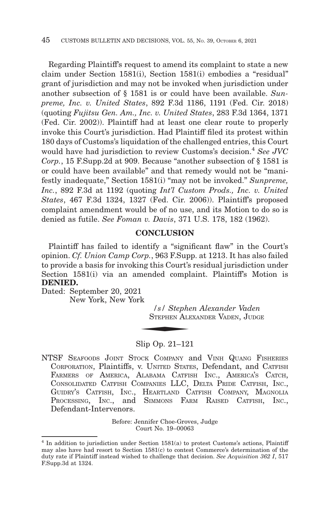Regarding Plaintiff's request to amend its complaint to state a new claim under Section 1581(i), Section 1581(i) embodies a "residual" grant of jurisdiction and may not be invoked when jurisdiction under another subsection of § 1581 is or could have been available. *Sunpreme, Inc. v. United States*, 892 F.3d 1186, 1191 (Fed. Cir. 2018) (quoting *Fujitsu Gen. Am., Inc. v. United States*, 283 F.3d 1364, 1371 (Fed. Cir. 2002)). Plaintiff had at least one clear route to properly invoke this Court's jurisdiction. Had Plaintiff filed its protest within 180 days of Customs's liquidation of the challenged entries, this Court would have had jurisdiction to review Customs's decision.<sup>4</sup> See JVC *Corp.*, 15 F.Supp.2d at 909. Because "another subsection of § 1581 is or could have been available" and that remedy would not be "manifestly inadequate," Section 1581(i) "may not be invoked." *Sunpreme, Inc.*, 892 F.3d at 1192 (quoting *Int'l Custom Prods., Inc. v. United States*, 467 F.3d 1324, 1327 (Fed. Cir. 2006)). Plaintiff's proposed complaint amendment would be of no use, and its Motion to do so is denied as futile. *See Foman v. Davis*, 371 U.S. 178, 182 (1962).

# **CONCLUSION**

Plaintiff has failed to identify a "significant flaw" in the Court's opinion. *Cf. Union Camp Corp.*, 963 F.Supp. at 1213. It has also failed to provide a basis for invoking this Court's residual jurisdiction under Section 1581(i) via an amended complaint. Plaintiff's Motion is **DENIED.**

Dated: September 20, 2021

New York, New York

*/s/ Stephen Alexander Vaden* Hended Comprehend<br>
1<br>
STEPHEN ALE STEPHEN ALEXANDER VADEN, JUDGE

### Slip Op. 21–121

NTSF SEAFOODS JOINT STOCK COMPANY and VINH QUANG FISHERIES CORPORATION, Plaintiffs, v. UNITED STATES, Defendant, and CATFISH FARMERS OF AMERICA, ALABAMA CATFISH INC., AMERICA'S CATCH, CONSOLIDATED CATFISH COMPANIES LLC, DELTA PRIDE CATFISH, INC., GUIDRY'S CATFISH, INC., HEARTLAND CATFISH COMPANY, MAGNOLIA PROCESSING, INC., and SIMMONS FARM RAISED CATFISH, INC., Defendant-Intervenors.

> Before: Jennifer Choe-Groves, Judge Court No. 19–00063

<sup>&</sup>lt;sup>4</sup> In addition to jurisdiction under Section 1581(a) to protest Customs's actions, Plaintiff may also have had resort to Section 1581(c) to contest Commerce's determination of the duty rate if Plaintiff instead wished to challenge that decision. *See Acquisition 362 I*, 517 F.Supp.3d at 1324.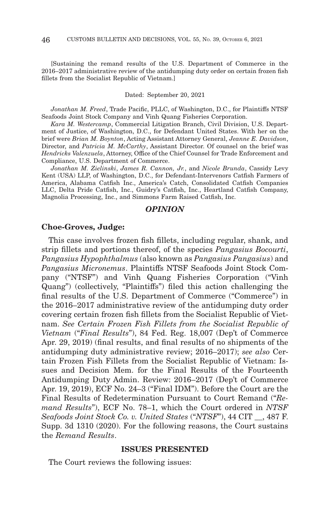[Sustaining the remand results of the U.S. Department of Commerce in the 2016–2017 administrative review of the antidumping duty order on certain frozen fish fillets from the Socialist Republic of Vietnam.]

#### Dated: September 20, 2021

*Jonathan M. Freed*, Trade Pacific, PLLC, of Washington, D.C., for Plaintiffs NTSF Seafoods Joint Stock Company and Vinh Quang Fisheries Corporation.

*Kara M. Westercamp*, Commercial Litigation Branch, Civil Division, U.S. Department of Justice, of Washington, D.C., for Defendant United States. With her on the brief were *Brian M. Boynton*, Acting Assistant Attorney General, *Jeanne E. Davidson*, Director, and *Patricia M. McCarthy*, Assistant Director. Of counsel on the brief was *Hendricks Valenzuela*, Attorney, Office of the Chief Counsel for Trade Enforcement and Compliance, U.S. Department of Commerce.

*Jonathan M. Zielinski*, *James R. Cannon, Jr.*, and *Nicole Brunda*, Cassidy Levy Kent (USA) LLP, of Washington, D.C., for Defendant-Intervenors Catfish Farmers of America, Alabama Catfish Inc., America's Catch, Consolidated Catfish Companies LLC, Delta Pride Catfish, Inc., Guidry's Catfish, Inc., Heartland Catfish Company, Magnolia Processing, Inc., and Simmons Farm Raised Catfish, Inc.

### *OPINION*

### **Choe-Groves, Judge:**

This case involves frozen fish fillets, including regular, shank, and strip fillets and portions thereof, of the species *Pangasius Bocourti*, *Pangasius Hypophthalmus* (also known as *Pangasius Pangasius*) and *Pangasius Micronemus*. Plaintiffs NTSF Seafoods Joint Stock Company ("NTSF") and Vinh Quang Fisheries Corporation ("Vinh Quang") (collectively, "Plaintiffs") filed this action challenging the final results of the U.S. Department of Commerce ("Commerce") in the 2016–2017 administrative review of the antidumping duty order covering certain frozen fish fillets from the Socialist Republic of Vietnam. *See Certain Frozen Fish Fillets from the Socialist Republic of Vietnam* ("*Final Results*"), 84 Fed. Reg. 18,007 (Dep't of Commerce Apr. 29, 2019) (final results, and final results of no shipments of the antidumping duty administrative review; 2016–2017); *see also* Certain Frozen Fish Fillets from the Socialist Republic of Vietnam: Issues and Decision Mem. for the Final Results of the Fourteenth Antidumping Duty Admin. Review: 2016–2017 (Dep't of Commerce Apr. 19, 2019), ECF No. 24–3 ("Final IDM"). Before the Court are the Final Results of Redetermination Pursuant to Court Remand ("*Remand Results*"), ECF No. 78–1, which the Court ordered in *NTSF Seafoods Joint Stock Co. v. United States* ("*NTSF*"), 44 CIT \_\_, 487 F. Supp. 3d 1310 (2020). For the following reasons, the Court sustains the *Remand Results*.

### **ISSUES PRESENTED**

The Court reviews the following issues: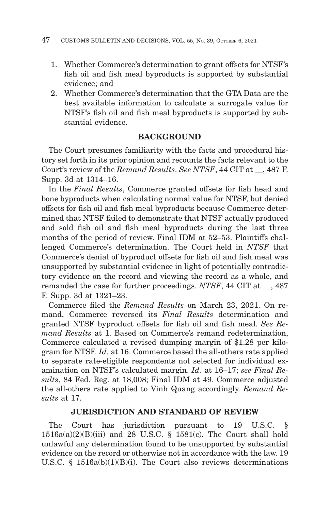- 1. Whether Commerce's determination to grant offsets for NTSF's fish oil and fish meal byproducts is supported by substantial evidence; and
- 2. Whether Commerce's determination that the GTA Data are the best available information to calculate a surrogate value for NTSF's fish oil and fish meal byproducts is supported by substantial evidence.

# **BACKGROUND**

The Court presumes familiarity with the facts and procedural history set forth in its prior opinion and recounts the facts relevant to the Court's review of the *Remand Results*. *See NTSF*, 44 CIT at \_\_, 487 F. Supp. 3d at 1314–16.

In the *Final Results*, Commerce granted offsets for fish head and bone byproducts when calculating normal value for NTSF, but denied offsets for fish oil and fish meal byproducts because Commerce determined that NTSF failed to demonstrate that NTSF actually produced and sold fish oil and fish meal byproducts during the last three months of the period of review. Final IDM at 52–53. Plaintiffs challenged Commerce's determination. The Court held in *NTSF* that Commerce's denial of byproduct offsets for fish oil and fish meal was unsupported by substantial evidence in light of potentially contradictory evidence on the record and viewing the record as a whole, and remanded the case for further proceedings. *NTSF*, 44 CIT at \_\_, 487 F. Supp. 3d at 1321–23.

Commerce filed the *Remand Results* on March 23, 2021. On remand, Commerce reversed its *Final Results* determination and granted NTSF byproduct offsets for fish oil and fish meal. *See Remand Results* at 1. Based on Commerce's remand redetermination, Commerce calculated a revised dumping margin of \$1.28 per kilogram for NTSF. *Id.* at 16. Commerce based the all-others rate applied to separate rate-eligible respondents not selected for individual examination on NTSF's calculated margin. *Id.* at 16–17; *see Final Results*, 84 Fed. Reg. at 18,008; Final IDM at 49. Commerce adjusted the all-others rate applied to Vinh Quang accordingly. *Remand Results* at 17.

# **JURISDICTION AND STANDARD OF REVIEW**

The Court has jurisdiction pursuant to 19 U.S.C. § 1516a(a)(2)(B)(iii) and 28 U.S.C. § 1581(c). The Court shall hold unlawful any determination found to be unsupported by substantial evidence on the record or otherwise not in accordance with the law. 19 U.S.C. § 1516a(b)(1)(B)(i). The Court also reviews determinations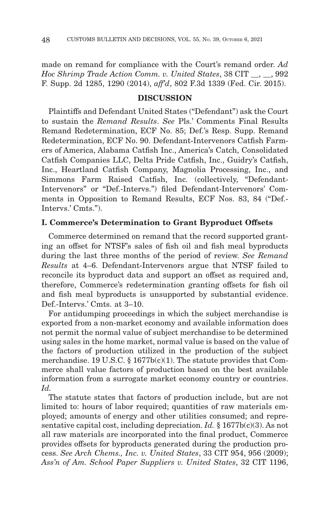made on remand for compliance with the Court's remand order. *Ad Hoc Shrimp Trade Action Comm. v. United States*, 38 CIT \_\_, \_\_, 992 F. Supp. 2d 1285, 1290 (2014), *aff'd*, 802 F.3d 1339 (Fed. Cir. 2015).

# **DISCUSSION**

Plaintiffs and Defendant United States ("Defendant") ask the Court to sustain the *Remand Results*. *See* Pls.' Comments Final Results Remand Redetermination, ECF No. 85; Def.'s Resp. Supp. Remand Redetermination, ECF No. 90. Defendant-Intervenors Catfish Farmers of America, Alabama Catfish Inc., America's Catch, Consolidated Catfish Companies LLC, Delta Pride Catfish, Inc., Guidry's Catfish, Inc., Heartland Catfish Company, Magnolia Processing, Inc., and Simmons Farm Raised Catfish, Inc. (collectively, "Defendant-Intervenors" or "Def.-Intervs.") filed Defendant-Intervenors' Comments in Opposition to Remand Results, ECF Nos. 83, 84 ("Def.- Intervs.' Cmts.").

### **I. Commerce's Determination to Grant Byproduct Offsets**

Commerce determined on remand that the record supported granting an offset for NTSF's sales of fish oil and fish meal byproducts during the last three months of the period of review. *See Remand Results* at 4–6. Defendant-Intervenors argue that NTSF failed to reconcile its byproduct data and support an offset as required and, therefore, Commerce's redetermination granting offsets for fish oil and fish meal byproducts is unsupported by substantial evidence. Def.-Intervs.' Cmts. at 3–10.

For antidumping proceedings in which the subject merchandise is exported from a non-market economy and available information does not permit the normal value of subject merchandise to be determined using sales in the home market, normal value is based on the value of the factors of production utilized in the production of the subject merchandise. 19 U.S.C.  $\S 1677b(c)(1)$ . The statute provides that Commerce shall value factors of production based on the best available information from a surrogate market economy country or countries. *Id.*

The statute states that factors of production include, but are not limited to: hours of labor required; quantities of raw materials employed; amounts of energy and other utilities consumed; and representative capital cost, including depreciation. *Id.* § 1677b(c)(3). As not all raw materials are incorporated into the final product, Commerce provides offsets for byproducts generated during the production process. *See Arch Chems., Inc. v. United States*, 33 CIT 954, 956 (2009); *Ass'n of Am. School Paper Suppliers v. United States*, 32 CIT 1196,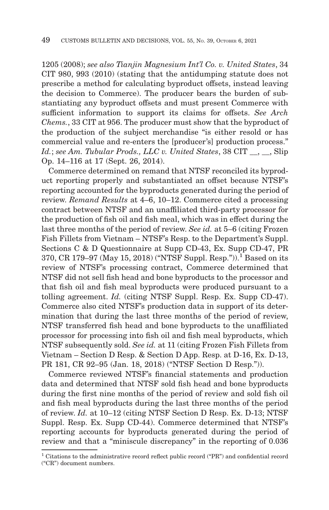1205 (2008); *see also Tianjin Magnesium Int'l Co. v. United States*, 34 CIT 980, 993 (2010) (stating that the antidumping statute does not prescribe a method for calculating byproduct offsets, instead leaving the decision to Commerce). The producer bears the burden of substantiating any byproduct offsets and must present Commerce with sufficient information to support its claims for offsets. *See Arch Chems.*, 33 CIT at 956. The producer must show that the byproduct of the production of the subject merchandise "is either resold or has commercial value and re-enters the [producer's] production process." *Id.*; *see Am. Tubular Prods., LLC v. United States*, 38 CIT \_\_, \_\_, Slip Op. 14–116 at 17 (Sept. 26, 2014).

Commerce determined on remand that NTSF reconciled its byproduct reporting properly and substantiated an offset because NTSF's reporting accounted for the byproducts generated during the period of review. *Remand Results* at 4–6, 10–12. Commerce cited a processing contract between NTSF and an unaffiliated third-party processor for the production of fish oil and fish meal, which was in effect during the last three months of the period of review. *See id.* at 5–6 (citing Frozen Fish Fillets from Vietnam – NTSF's Resp. to the Department's Suppl. Sections C & D Questionnaire at Supp CD-43, Ex. Supp CD-47, PR 370, CR 179-97 (May 15, 2018) ("NTSF Suppl. Resp.")).<sup>1</sup> Based on its review of NTSF's processing contract, Commerce determined that NTSF did not sell fish head and bone byproducts to the processor and that fish oil and fish meal byproducts were produced pursuant to a tolling agreement. *Id.* (citing NTSF Suppl. Resp. Ex. Supp CD-47). Commerce also cited NTSF's production data in support of its determination that during the last three months of the period of review, NTSF transferred fish head and bone byproducts to the unaffiliated processor for processing into fish oil and fish meal byproducts, which NTSF subsequently sold. *See id.* at 11 (citing Frozen Fish Fillets from Vietnam – Section D Resp. & Section D App. Resp. at D-16, Ex. D-13, PR 181, CR 92–95 (Jan. 18, 2018) ("NTSF Section D Resp.")).

Commerce reviewed NTSF's financial statements and production data and determined that NTSF sold fish head and bone byproducts during the first nine months of the period of review and sold fish oil and fish meal byproducts during the last three months of the period of review. *Id.* at 10–12 (citing NTSF Section D Resp. Ex. D-13; NTSF Suppl. Resp. Ex. Supp CD-44). Commerce determined that NTSF's reporting accounts for byproducts generated during the period of review and that a "miniscule discrepancy" in the reporting of 0.036

 $^{\rm 1}$  Citations to the administrative record reflect public record ("PR") and confidential record ("CR") document numbers.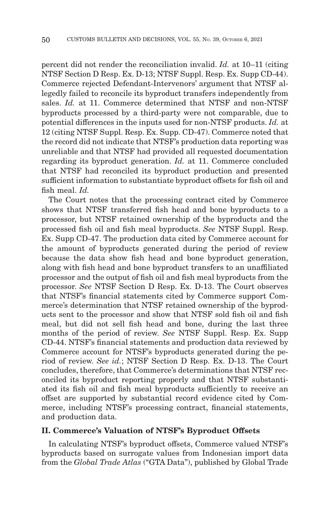percent did not render the reconciliation invalid. *Id.* at 10–11 (citing NTSF Section D Resp. Ex. D-13; NTSF Suppl. Resp. Ex. Supp CD-44). Commerce rejected Defendant-Intervenors' argument that NTSF allegedly failed to reconcile its byproduct transfers independently from sales. *Id.* at 11. Commerce determined that NTSF and non-NTSF byproducts processed by a third-party were not comparable, due to potential differences in the inputs used for non-NTSF products. *Id.* at 12 (citing NTSF Suppl. Resp. Ex. Supp. CD-47). Commerce noted that the record did not indicate that NTSF's production data reporting was unreliable and that NTSF had provided all requested documentation regarding its byproduct generation. *Id.* at 11. Commerce concluded that NTSF had reconciled its byproduct production and presented sufficient information to substantiate byproduct offsets for fish oil and fish meal. *Id.*

The Court notes that the processing contract cited by Commerce shows that NTSF transferred fish head and bone byproducts to a processor, but NTSF retained ownership of the byproducts and the processed fish oil and fish meal byproducts. *See* NTSF Suppl. Resp. Ex. Supp CD-47. The production data cited by Commerce account for the amount of byproducts generated during the period of review because the data show fish head and bone byproduct generation, along with fish head and bone byproduct transfers to an unaffiliated processor and the output of fish oil and fish meal byproducts from the processor. *See* NTSF Section D Resp. Ex. D-13. The Court observes that NTSF's financial statements cited by Commerce support Commerce's determination that NTSF retained ownership of the byproducts sent to the processor and show that NTSF sold fish oil and fish meal, but did not sell fish head and bone, during the last three months of the period of review. *See* NTSF Suppl. Resp. Ex. Supp CD-44. NTSF's financial statements and production data reviewed by Commerce account for NTSF's byproducts generated during the period of review. *See id.*; NTSF Section D Resp. Ex. D-13. The Court concludes, therefore, that Commerce's determinations that NTSF reconciled its byproduct reporting properly and that NTSF substantiated its fish oil and fish meal byproducts sufficiently to receive an offset are supported by substantial record evidence cited by Commerce, including NTSF's processing contract, financial statements, and production data.

### **II. Commerce's Valuation of NTSF's Byproduct Offsets**

In calculating NTSF's byproduct offsets, Commerce valued NTSF's byproducts based on surrogate values from Indonesian import data from the *Global Trade Atlas* ("GTA Data"), published by Global Trade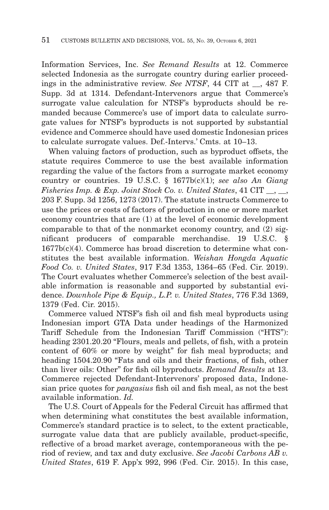Information Services, Inc. *See Remand Results* at 12. Commerce selected Indonesia as the surrogate country during earlier proceedings in the administrative review. *See NTSF*, 44 CIT at  $\overline{ }$ , 487 F. Supp. 3d at 1314. Defendant-Intervenors argue that Commerce's surrogate value calculation for NTSF's byproducts should be remanded because Commerce's use of import data to calculate surrogate values for NTSF's byproducts is not supported by substantial evidence and Commerce should have used domestic Indonesian prices to calculate surrogate values. Def.-Intervs.' Cmts. at 10–13.

When valuing factors of production, such as byproduct offsets, the statute requires Commerce to use the best available information regarding the value of the factors from a surrogate market economy country or countries. 19 U.S.C. § 1677b(c)(1); *see also An Giang Fisheries Imp. & Exp. Joint Stock Co. v. United States*, 41 CIT \_\_, \_\_, 203 F. Supp. 3d 1256, 1273 (2017). The statute instructs Commerce to use the prices or costs of factors of production in one or more market economy countries that are (1) at the level of economic development comparable to that of the nonmarket economy country, and (2) significant producers of comparable merchandise. 19 U.S.C. § 1677b(c)(4). Commerce has broad discretion to determine what constitutes the best available information. *Weishan Hongda Aquatic Food Co. v. United States*, 917 F.3d 1353, 1364–65 (Fed. Cir. 2019). The Court evaluates whether Commerce's selection of the best available information is reasonable and supported by substantial evidence. *Downhole Pipe & Equip., L.P. v. United States*, 776 F.3d 1369, 1379 (Fed. Cir. 2015).

Commerce valued NTSF's fish oil and fish meal byproducts using Indonesian import GTA Data under headings of the Harmonized Tariff Schedule from the Indonesian Tariff Commission ("HTS"): heading 2301.20.20 "Flours, meals and pellets, of fish, with a protein content of 60% or more by weight" for fish meal byproducts; and heading 1504.20.90 "Fats and oils and their fractions, of fish, other than liver oils: Other" for fish oil byproducts. *Remand Results* at 13. Commerce rejected Defendant-Intervenors' proposed data, Indonesian price quotes for *pangasius* fish oil and fish meal, as not the best available information. *Id.*

The U.S. Court of Appeals for the Federal Circuit has affirmed that when determining what constitutes the best available information, Commerce's standard practice is to select, to the extent practicable, surrogate value data that are publicly available, product-specific, reflective of a broad market average, contemporaneous with the period of review, and tax and duty exclusive. *See Jacobi Carbons AB v. United States*, 619 F. App'x 992, 996 (Fed. Cir. 2015). In this case,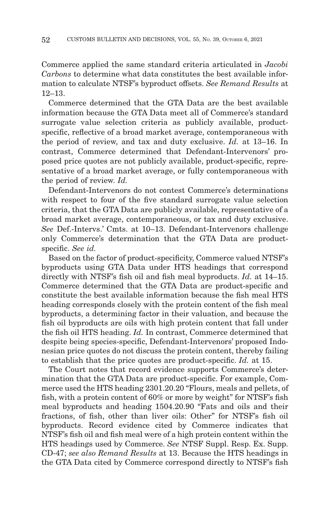Commerce applied the same standard criteria articulated in *Jacobi Carbons* to determine what data constitutes the best available information to calculate NTSF's byproduct offsets. *See Remand Results* at 12–13.

Commerce determined that the GTA Data are the best available information because the GTA Data meet all of Commerce's standard surrogate value selection criteria as publicly available, productspecific, reflective of a broad market average, contemporaneous with the period of review, and tax and duty exclusive. *Id.* at 13–16. In contrast, Commerce determined that Defendant-Intervenors' proposed price quotes are not publicly available, product-specific, representative of a broad market average, or fully contemporaneous with the period of review. *Id.*

Defendant-Intervenors do not contest Commerce's determinations with respect to four of the five standard surrogate value selection criteria, that the GTA Data are publicly available, representative of a broad market average, contemporaneous, or tax and duty exclusive. *See* Def.-Intervs.' Cmts. at 10–13. Defendant-Intervenors challenge only Commerce's determination that the GTA Data are productspecific. *See id.*

Based on the factor of product-specificity, Commerce valued NTSF's byproducts using GTA Data under HTS headings that correspond directly with NTSF's fish oil and fish meal byproducts. *Id.* at 14–15. Commerce determined that the GTA Data are product-specific and constitute the best available information because the fish meal HTS heading corresponds closely with the protein content of the fish meal byproducts, a determining factor in their valuation, and because the fish oil byproducts are oils with high protein content that fall under the fish oil HTS heading. *Id.* In contrast, Commerce determined that despite being species-specific, Defendant-Intervenors' proposed Indonesian price quotes do not discuss the protein content, thereby failing to establish that the price quotes are product-specific. *Id.* at 15.

The Court notes that record evidence supports Commerce's determination that the GTA Data are product-specific. For example, Commerce used the HTS heading 2301.20.20 "Flours, meals and pellets, of fish, with a protein content of 60% or more by weight" for NTSF's fish meal byproducts and heading 1504.20.90 "Fats and oils and their fractions, of fish, other than liver oils: Other" for NTSF's fish oil byproducts. Record evidence cited by Commerce indicates that NTSF's fish oil and fish meal were of a high protein content within the HTS headings used by Commerce. *See* NTSF Suppl. Resp. Ex. Supp. CD-47; *see also Remand Results* at 13. Because the HTS headings in the GTA Data cited by Commerce correspond directly to NTSF's fish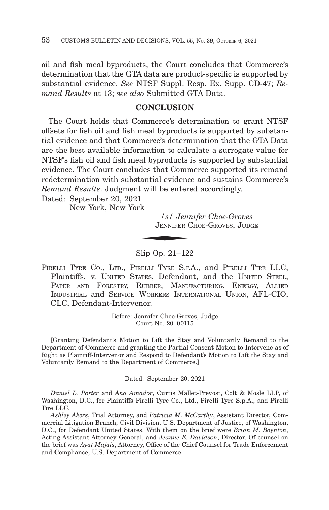oil and fish meal byproducts, the Court concludes that Commerce's determination that the GTA data are product-specific is supported by substantial evidence. *See* NTSF Suppl. Resp. Ex. Supp. CD-47; *Remand Results* at 13; *see also* Submitted GTA Data.

# **CONCLUSION**

The Court holds that Commerce's determination to grant NTSF offsets for fish oil and fish meal byproducts is supported by substantial evidence and that Commerce's determination that the GTA Data are the best available information to calculate a surrogate value for NTSF's fish oil and fish meal byproducts is supported by substantial evidence. The Court concludes that Commerce supported its remand redetermination with substantial evidence and sustains Commerce's *Remand Results*. Judgment will be entered accordingly.<br>
Dated: September 20, 2021<br>
New York, New York<br> *S Jennifer Choe-Gro*<br>
JENNIFER CHOE-GROVES, J

Dated: September 20, 2021

New York, New York

*/s/ Jennifer Choe-Groves* JENNIFER CHOE-GROVES, JUDGE

Slip Op. 21–122

PIRELLI TYRE CO., LTD., PIRELLI TYRE S.P.A., and PIRELLI TIRE LLC, Plaintiffs, v. UNITED STATES, Defendant, and the UNITED STEEL, PAPER AND FORESTRY, RUBBER, MANUFACTURING, ENERGY, ALLIED INDUSTRIAL and SERVICE WORKERS INTERNATIONAL UNION, AFL-CIO, CLC, Defendant-Intervenor.

> Before: Jennifer Choe-Groves, Judge Court No. 20–00115

[Granting Defendant's Motion to Lift the Stay and Voluntarily Remand to the Department of Commerce and granting the Partial Consent Motion to Intervene as of Right as Plaintiff-Intervenor and Respond to Defendant's Motion to Lift the Stay and Voluntarily Remand to the Department of Commerce.]

Dated: September 20, 2021

*Daniel L. Porter* and *Ana Amador*, Curtis Mallet-Prevost, Colt & Mosle LLP, of Washington, D.C., for Plaintiffs Pirelli Tyre Co., Ltd., Pirelli Tyre S.p.A., and Pirelli Tire LLC.

*Ashley Akers*, Trial Attorney, and *Patricia M. McCarthy*, Assistant Director, Commercial Litigation Branch, Civil Division, U.S. Department of Justice, of Washington, D.C., for Defendant United States. With them on the brief were *Brian M. Boynton*, Acting Assistant Attorney General, and *Jeanne E. Davidson*, Director. Of counsel on the brief was *Ayat Mujais*, Attorney, Office of the Chief Counsel for Trade Enforcement and Compliance, U.S. Department of Commerce.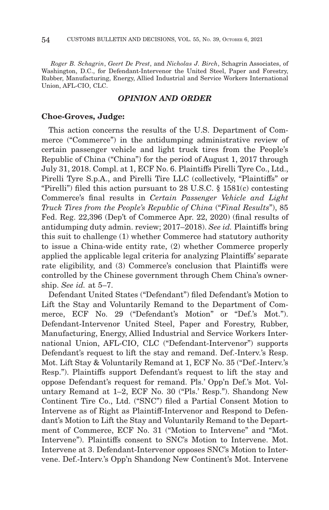*Roger B. Schagrin*, *Geert De Prest*, and *Nicholas J. Birch*, Schagrin Associates, of Washington, D.C., for Defendant-Intervenor the United Steel, Paper and Forestry, Rubber, Manufacturing, Energy, Allied Industrial and Service Workers International Union, AFL-CIO, CLC.

# *OPINION AND ORDER*

### **Choe-Groves, Judge:**

This action concerns the results of the U.S. Department of Commerce ("Commerce") in the antidumping administrative review of certain passenger vehicle and light truck tires from the People's Republic of China ("China") for the period of August 1, 2017 through July 31, 2018. Compl. at 1, ECF No. 6. Plaintiffs Pirelli Tyre Co., Ltd., Pirelli Tyre S.p.A., and Pirelli Tire LLC (collectively, "Plaintiffs" or "Pirelli") filed this action pursuant to 28 U.S.C. § 1581(c) contesting Commerce's final results in *Certain Passenger Vehicle and Light Truck Tires from the People's Republic of China* ("*Final Results*"), 85 Fed. Reg. 22,396 (Dep't of Commerce Apr. 22, 2020) (final results of antidumping duty admin. review; 2017–2018). *See id.* Plaintiffs bring this suit to challenge (1) whether Commerce had statutory authority to issue a China-wide entity rate, (2) whether Commerce properly applied the applicable legal criteria for analyzing Plaintiffs' separate rate eligibility, and (3) Commerce's conclusion that Plaintiffs were controlled by the Chinese government through Chem China's ownership. *See id.* at 5–7.

Defendant United States ("Defendant") filed Defendant's Motion to Lift the Stay and Voluntarily Remand to the Department of Commerce, ECF No. 29 ("Defendant's Motion" or "Def.'s Mot."). Defendant-Intervenor United Steel, Paper and Forestry, Rubber, Manufacturing, Energy, Allied Industrial and Service Workers International Union, AFL-CIO, CLC ("Defendant-Intervenor") supports Defendant's request to lift the stay and remand. Def.-Interv.'s Resp. Mot. Lift Stay & Voluntarily Remand at 1, ECF No. 35 ("Def.-Interv.'s Resp."). Plaintiffs support Defendant's request to lift the stay and oppose Defendant's request for remand. Pls.' Opp'n Def.'s Mot. Voluntary Remand at 1–2, ECF No. 30 ("Pls.' Resp."). Shandong New Continent Tire Co., Ltd. ("SNC") filed a Partial Consent Motion to Intervene as of Right as Plaintiff-Intervenor and Respond to Defendant's Motion to Lift the Stay and Voluntarily Remand to the Department of Commerce, ECF No. 31 ("Motion to Intervene" and "Mot. Intervene"). Plaintiffs consent to SNC's Motion to Intervene. Mot. Intervene at 3. Defendant-Intervenor opposes SNC's Motion to Intervene. Def.-Interv.'s Opp'n Shandong New Continent's Mot. Intervene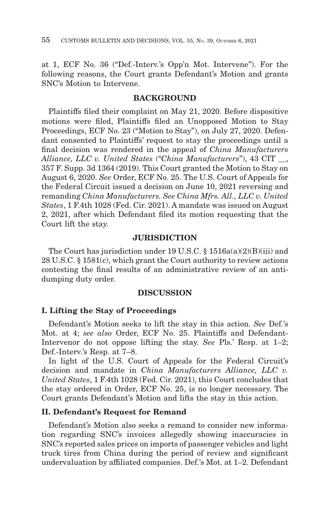at 1, ECF No. 36 ("Def.-Interv.'s Opp'n Mot. Intervene"). For the following reasons, the Court grants Defendant's Motion and grants SNC's Motion to Intervene.

# **BACKGROUND**

Plaintiffs filed their complaint on May 21, 2020. Before dispositive motions were filed, Plaintiffs filed an Unopposed Motion to Stay Proceedings, ECF No. 23 ("Motion to Stay"), on July 27, 2020. Defendant consented to Plaintiffs' request to stay the proceedings until a final decision was rendered in the appeal of *China Manufacturers Alliance, LLC v. United States* ("*China Manufacturers*"), 43 CIT \_\_, 357 F. Supp. 3d 1364 (2019). This Court granted the Motion to Stay on August 6, 2020. *See* Order, ECF No. 25. The U.S. Court of Appeals for the Federal Circuit issued a decision on June 10, 2021 reversing and remanding *China Manufacturers. See China Mfrs. All., LLC v. United States*, 1 F.4th 1028 (Fed. Cir. 2021). A mandate was issued on August 2, 2021, after which Defendant filed its motion requesting that the Court lift the stay.

### **JURISDICTION**

The Court has jurisdiction under 19 U.S.C. § 1516a(a)(2)(B)(iii) and 28 U.S.C. § 1581(c), which grant the Court authority to review actions contesting the final results of an administrative review of an antidumping duty order.

### **DISCUSSION**

### **I. Lifting the Stay of Proceedings**

Defendant's Motion seeks to lift the stay in this action. *See* Def.'s Mot. at 4; *see also* Order, ECF No. 25. Plaintiffs and Defendant-Intervenor do not oppose lifting the stay. *See* Pls.' Resp. at 1–2; Def.-Interv.'s Resp. at 7–8.

In light of the U.S. Court of Appeals for the Federal Circuit's decision and mandate in *China Manufacturers Alliance, LLC v. United States*, 1 F.4th 1028 (Fed. Cir. 2021), this Court concludes that the stay ordered in Order, ECF No. 25, is no longer necessary. The Court grants Defendant's Motion and lifts the stay in this action.

### **II. Defendant's Request for Remand**

Defendant's Motion also seeks a remand to consider new information regarding SNC's invoices allegedly showing inaccuracies in SNC's reported sales prices on imports of passenger vehicles and light truck tires from China during the period of review and significant undervaluation by affiliated companies. Def.'s Mot. at 1–2. Defendant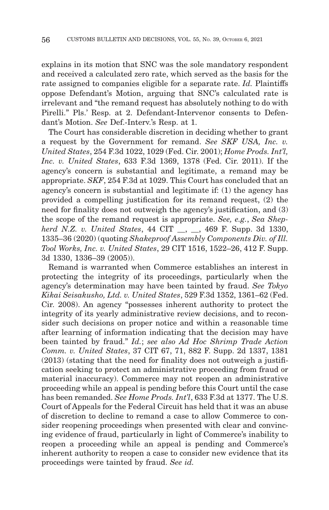explains in its motion that SNC was the sole mandatory respondent and received a calculated zero rate, which served as the basis for the rate assigned to companies eligible for a separate rate. *Id.* Plaintiffs oppose Defendant's Motion, arguing that SNC's calculated rate is irrelevant and "the remand request has absolutely nothing to do with Pirelli." Pls.' Resp. at 2. Defendant-Intervenor consents to Defendant's Motion. *See* Def.-Interv.'s Resp. at 1.

The Court has considerable discretion in deciding whether to grant a request by the Government for remand. *See SKF USA, Inc. v. United States*, 254 F.3d 1022, 1029 (Fed. Cir. 2001); *Home Prods. Int'l, Inc. v. United States*, 633 F.3d 1369, 1378 (Fed. Cir. 2011). If the agency's concern is substantial and legitimate, a remand may be appropriate. *SKF*, 254 F.3d at 1029. This Court has concluded that an agency's concern is substantial and legitimate if: (1) the agency has provided a compelling justification for its remand request, (2) the need for finality does not outweigh the agency's justification, and (3) the scope of the remand request is appropriate. *See, e.g.*, *Sea Shepherd N.Z. v. United States*, 44 CIT \_\_, \_\_, 469 F. Supp. 3d 1330, 1335–36 (2020) (quoting *Shakeproof Assembly Components Div. of Ill. Tool Works, Inc. v. United States*, 29 CIT 1516, 1522–26, 412 F. Supp. 3d 1330, 1336–39 (2005)).

Remand is warranted when Commerce establishes an interest in protecting the integrity of its proceedings, particularly when the agency's determination may have been tainted by fraud. *See Tokyo Kikai Seisakusho, Ltd. v. United States*, 529 F.3d 1352, 1361–62 (Fed. Cir. 2008). An agency "possesses inherent authority to protect the integrity of its yearly administrative review decisions, and to reconsider such decisions on proper notice and within a reasonable time after learning of information indicating that the decision may have been tainted by fraud." *Id.*; *see also Ad Hoc Shrimp Trade Action Comm. v. United States*, 37 CIT 67, 71, 882 F. Supp. 2d 1337, 1381 (2013) (stating that the need for finality does not outweigh a justification seeking to protect an administrative proceeding from fraud or material inaccuracy). Commerce may not reopen an administrative proceeding while an appeal is pending before this Court until the case has been remanded. *See Home Prods. Int'l*, 633 F.3d at 1377. The U.S. Court of Appeals for the Federal Circuit has held that it was an abuse of discretion to decline to remand a case to allow Commerce to consider reopening proceedings when presented with clear and convincing evidence of fraud, particularly in light of Commerce's inability to reopen a proceeding while an appeal is pending and Commerce's inherent authority to reopen a case to consider new evidence that its proceedings were tainted by fraud. *See id.*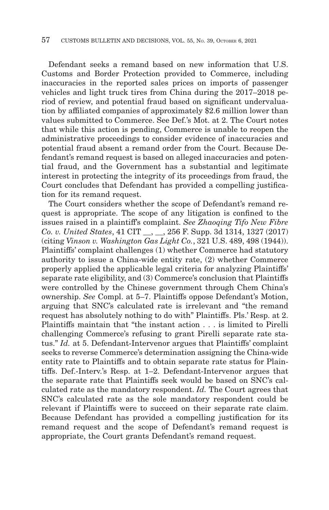Defendant seeks a remand based on new information that U.S. Customs and Border Protection provided to Commerce, including inaccuracies in the reported sales prices on imports of passenger vehicles and light truck tires from China during the 2017–2018 period of review, and potential fraud based on significant undervaluation by affiliated companies of approximately \$2.6 million lower than values submitted to Commerce. See Def.'s Mot. at 2. The Court notes that while this action is pending, Commerce is unable to reopen the administrative proceedings to consider evidence of inaccuracies and potential fraud absent a remand order from the Court. Because Defendant's remand request is based on alleged inaccuracies and potential fraud, and the Government has a substantial and legitimate interest in protecting the integrity of its proceedings from fraud, the Court concludes that Defendant has provided a compelling justification for its remand request.

The Court considers whether the scope of Defendant's remand request is appropriate. The scope of any litigation is confined to the issues raised in a plaintiff's complaint. *See Zhaoqing Tifo New Fibre Co. v. United States*, 41 CIT \_\_, \_\_, 256 F. Supp. 3d 1314, 1327 (2017) (citing *Vinson v. Washington Gas Light Co.*, 321 U.S. 489, 498 (1944)). Plaintiffs' complaint challenges (1) whether Commerce had statutory authority to issue a China-wide entity rate, (2) whether Commerce properly applied the applicable legal criteria for analyzing Plaintiffs' separate rate eligibility, and (3) Commerce's conclusion that Plaintiffs were controlled by the Chinese government through Chem China's ownership. *See* Compl. at 5–7. Plaintiffs oppose Defendant's Motion, arguing that SNC's calculated rate is irrelevant and "the remand request has absolutely nothing to do with" Plaintiffs. Pls.' Resp. at 2. Plaintiffs maintain that "the instant action . . . is limited to Pirelli challenging Commerce's refusing to grant Pirelli separate rate status." *Id.* at 5. Defendant-Intervenor argues that Plaintiffs' complaint seeks to reverse Commerce's determination assigning the China-wide entity rate to Plaintiffs and to obtain separate rate status for Plaintiffs. Def.-Interv.'s Resp. at 1–2. Defendant-Intervenor argues that the separate rate that Plaintiffs seek would be based on SNC's calculated rate as the mandatory respondent. *Id.* The Court agrees that SNC's calculated rate as the sole mandatory respondent could be relevant if Plaintiffs were to succeed on their separate rate claim. Because Defendant has provided a compelling justification for its remand request and the scope of Defendant's remand request is appropriate, the Court grants Defendant's remand request.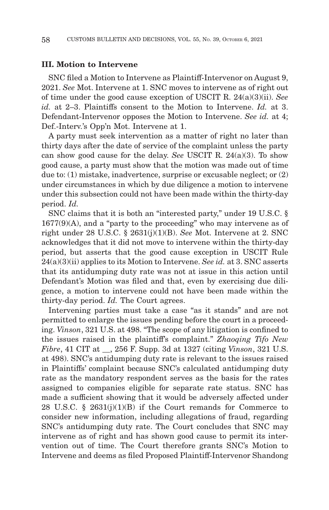### **III. Motion to Intervene**

SNC filed a Motion to Intervene as Plaintiff-Intervenor on August 9, 2021. *See* Mot. Intervene at 1. SNC moves to intervene as of right out of time under the good cause exception of USCIT R. 24(a)(3)(ii). *See id.* at 2–3. Plaintiffs consent to the Motion to Intervene. *Id.* at 3. Defendant-Intervenor opposes the Motion to Intervene. *See id.* at 4; Def.-Interv.'s Opp'n Mot. Intervene at 1.

A party must seek intervention as a matter of right no later than thirty days after the date of service of the complaint unless the party can show good cause for the delay. *See* USCIT R. 24(a)(3). To show good cause, a party must show that the motion was made out of time due to: (1) mistake, inadvertence, surprise or excusable neglect; or (2) under circumstances in which by due diligence a motion to intervene under this subsection could not have been made within the thirty-day period. *Id.*

SNC claims that it is both an "interested party," under 19 U.S.C. §  $1677(9)(A)$ , and a "party to the proceeding" who may intervene as of right under 28 U.S.C. § 2631(j)(1)(B). *See* Mot. Intervene at 2. SNC acknowledges that it did not move to intervene within the thirty-day period, but asserts that the good cause exception in USCIT Rule 24(a)(3)(ii) applies to its Motion to Intervene. *See id.* at 3. SNC asserts that its antidumping duty rate was not at issue in this action until Defendant's Motion was filed and that, even by exercising due diligence, a motion to intervene could not have been made within the thirty-day period. *Id.* The Court agrees.

Intervening parties must take a case "as it stands" and are not permitted to enlarge the issues pending before the court in a proceeding. *Vinson*, 321 U.S. at 498. "The scope of any litigation is confined to the issues raised in the plaintiff's complaint." *Zhaoqing Tifo New Fibre*, 41 CIT at \_\_, 256 F. Supp. 3d at 1327 (citing *Vinson*, 321 U.S. at 498). SNC's antidumping duty rate is relevant to the issues raised in Plaintiffs' complaint because SNC's calculated antidumping duty rate as the mandatory respondent serves as the basis for the rates assigned to companies eligible for separate rate status. SNC has made a sufficient showing that it would be adversely affected under 28 U.S.C. § 2631(j)(1)(B) if the Court remands for Commerce to consider new information, including allegations of fraud, regarding SNC's antidumping duty rate. The Court concludes that SNC may intervene as of right and has shown good cause to permit its intervention out of time. The Court therefore grants SNC's Motion to Intervene and deems as filed Proposed Plaintiff-Intervenor Shandong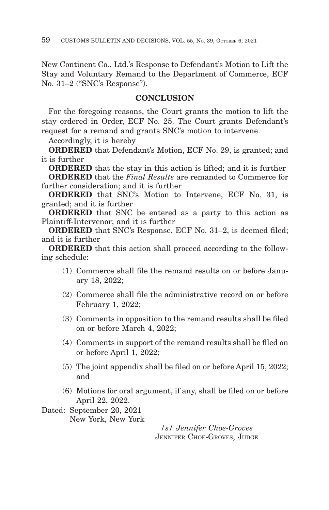New Continent Co., Ltd.'s Response to Defendant's Motion to Lift the Stay and Voluntary Remand to the Department of Commerce, ECF No. 31–2 ("SNC's Response").

# **CONCLUSION**

For the foregoing reasons, the Court grants the motion to lift the stay ordered in Order, ECF No. 25. The Court grants Defendant's request for a remand and grants SNC's motion to intervene.

Accordingly, it is hereby

**ORDERED** that Defendant's Motion, ECF No. 29, is granted; and it is further

**ORDERED** that the stay in this action is lifted; and it is further **ORDERED** that the *Final Results* are remanded to Commerce for

further consideration; and it is further

**ORDERED** that SNC's Motion to Intervene, ECF No. 31, is granted; and it is further

**ORDERED** that SNC be entered as a party to this action as Plaintiff-Intervenor; and it is further

**ORDERED** that SNC's Response, ECF No. 31–2, is deemed filed; and it is further

**ORDERED** that this action shall proceed according to the following schedule:

- (1) Commerce shall file the remand results on or before January 18, 2022;
- (2) Commerce shall file the administrative record on or before February 1, 2022;
- (3) Comments in opposition to the remand results shall be filed on or before March 4, 2022;
- (4) Comments in support of the remand results shall be filed on or before April 1, 2022;
- (5) The joint appendix shall be filed on or before April 15, 2022; and
- (6) Motions for oral argument, if any, shall be filed on or before April 22, 2022.
- Dated: September 20, 2021 New York, New York

*/s/ Jennifer Choe-Groves* JENNIFER CHOE-GROVES, JUDGE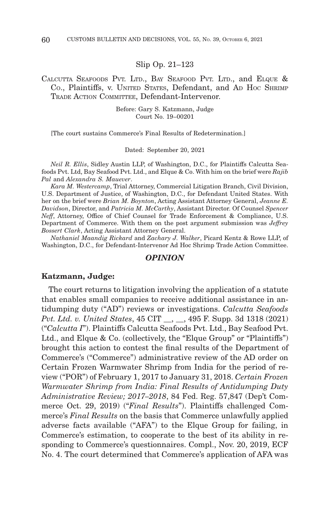### Slip Op. 21–123

# CALCUTTA SEAFOODS PVT. LTD., BAY SEAFOOD PVT. LTD., and ELQUE & Co., Plaintiffs, v. UNITED STATES, Defendant, and AD Hoc SHRIMP TRADE ACTION COMMITTEE, Defendant-Intervenor.

Before: Gary S. Katzmann, Judge Court No. 19–00201

[The court sustains Commerce's Final Results of Redetermination.]

#### Dated: September 20, 2021

*Neil R. Ellis*, Sidley Austin LLP, of Washington, D.C., for Plaintiffs Calcutta Seafoods Pvt. Ltd, Bay Seafood Pvt. Ltd., and Elque & Co. With him on the brief were *Rajib Pal* and *Alexandra S. Mauever*.

*Kara M. Westercamp*, Trial Attorney, Commercial Litigation Branch, Civil Division, U.S. Department of Justice, of Washington, D.C., for Defendant United States. With her on the brief were *Brian M. Boynton*, Acting Assistant Attorney General, *Jeanne E. Davidson*, Director, and *Patricia M. McCarthy*, Assistant Director. Of Counsel *Spencer Neff*, Attorney, Office of Chief Counsel for Trade Enforcement & Compliance, U.S. Department of Commerce. With them on the post argument submission was *Jeffrey Bossert Clark*, Acting Assistant Attorney General.

*Nathaniel Maandig Rickard* and *Zachary J. Walker*, Picard Kentz & Rowe LLP, of Washington, D.C., for Defendant-Intervenor Ad Hoc Shrimp Trade Action Committee.

# *OPINION*

#### **Katzmann, Judge:**

The court returns to litigation involving the application of a statute that enables small companies to receive additional assistance in antidumping duty ("AD") reviews or investigations. *Calcutta Seafoods Pvt. Ltd. v. United States*, 45 CIT \_\_, \_\_, 495 F. Supp. 3d 1318 (2021) ("*Calcutta I*"). Plaintiffs Calcutta Seafoods Pvt. Ltd., Bay Seafood Pvt. Ltd., and Elque & Co. (collectively, the "Elque Group" or "Plaintiffs") brought this action to contest the final results of the Department of Commerce's ("Commerce") administrative review of the AD order on Certain Frozen Warmwater Shrimp from India for the period of review ("POR") of February 1, 2017 to January 31, 2018. *Certain Frozen Warmwater Shrimp from India: Final Results of Antidumping Duty Administrative Review; 2017–2018*, 84 Fed. Reg. 57,847 (Dep't Commerce Oct. 29, 2019) ("*Final Results*"). Plaintiffs challenged Commerce's *Final Results* on the basis that Commerce unlawfully applied adverse facts available ("AFA") to the Elque Group for failing, in Commerce's estimation, to cooperate to the best of its ability in responding to Commerce's questionnaires. Compl., Nov. 20, 2019, ECF No. 4. The court determined that Commerce's application of AFA was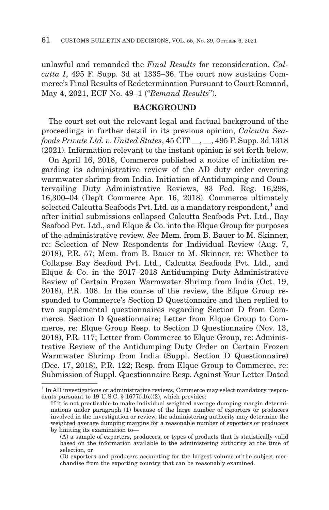unlawful and remanded the *Final Results* for reconsideration. *Calcutta I*, 495 F. Supp. 3d at 1335–36. The court now sustains Commerce's Final Results of Redetermination Pursuant to Court Remand, May 4, 2021, ECF No. 49–1 ("*Remand Results*").

# **BACKGROUND**

The court set out the relevant legal and factual background of the proceedings in further detail in its previous opinion, *Calcutta Seafoods Private Ltd. v. United States*, 45 CIT \_\_, \_\_, 495 F. Supp. 3d 1318 (2021). Information relevant to the instant opinion is set forth below.

On April 16, 2018, Commerce published a notice of initiation regarding its administrative review of the AD duty order covering warmwater shrimp from India. Initiation of Antidumping and Countervailing Duty Administrative Reviews, 83 Fed. Reg. 16,298, 16,300–04 (Dep't Commerce Apr. 16, 2018). Commerce ultimately selected Calcutta Seafoods Pvt. Ltd. as a mandatory respondent, $<sup>1</sup>$  and</sup> after initial submissions collapsed Calcutta Seafoods Pvt. Ltd., Bay Seafood Pvt. Ltd., and Elque & Co. into the Elque Group for purposes of the administrative review. *See* Mem. from B. Bauer to M. Skinner, re: Selection of New Respondents for Individual Review (Aug. 7, 2018), P.R. 57; Mem. from B. Bauer to M. Skinner, re: Whether to Collapse Bay Seafood Pvt. Ltd., Calcutta Seafoods Pvt. Ltd., and Elque & Co. in the 2017–2018 Antidumping Duty Administrative Review of Certain Frozen Warmwater Shrimp from India (Oct. 19, 2018), P.R. 108. In the course of the review, the Elque Group responded to Commerce's Section D Questionnaire and then replied to two supplemental questionnaires regarding Section D from Commerce. Section D Questionnaire; Letter from Elque Group to Commerce, re: Elque Group Resp. to Section D Questionnaire (Nov. 13, 2018), P.R. 117; Letter from Commerce to Elque Group, re: Administrative Review of the Antidumping Duty Order on Certain Frozen Warmwater Shrimp from India (Suppl. Section D Questionnaire) (Dec. 17, 2018), P.R. 122; Resp. from Elque Group to Commerce, re: Submission of Suppl. Questionnaire Resp. Against Your Letter Dated

 $1$  In AD investigations or administrative reviews, Commerce may select mandatory respondents pursuant to 19 U.S.C. § 1677f-1(c)(2), which provides:

If it is not practicable to make individual weighted average dumping margin determinations under paragraph (1) because of the large number of exporters or producers involved in the investigation or review, the administering authority may determine the weighted average dumping margins for a reasonable number of exporters or producers by limiting its examination to—

<sup>(</sup>A) a sample of exporters, producers, or types of products that is statistically valid based on the information available to the administering authority at the time of selection, or

<sup>(</sup>B) exporters and producers accounting for the largest volume of the subject merchandise from the exporting country that can be reasonably examined.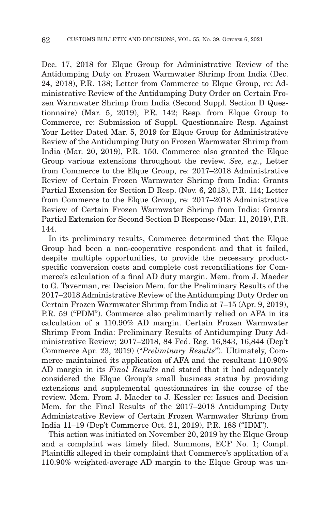Dec. 17, 2018 for Elque Group for Administrative Review of the Antidumping Duty on Frozen Warmwater Shrimp from India (Dec. 24, 2018), P.R. 138; Letter from Commerce to Elque Group, re: Administrative Review of the Antidumping Duty Order on Certain Frozen Warmwater Shrimp from India (Second Suppl. Section D Questionnaire) (Mar. 5, 2019), P.R. 142; Resp. from Elque Group to Commerce, re: Submission of Suppl. Questionnaire Resp. Against Your Letter Dated Mar. 5, 2019 for Elque Group for Administrative Review of the Antidumping Duty on Frozen Warmwater Shrimp from India (Mar. 20, 2019), P.R. 150. Commerce also granted the Elque Group various extensions throughout the review. *See, e.g.*, Letter from Commerce to the Elque Group, re: 2017–2018 Administrative Review of Certain Frozen Warmwater Shrimp from India: Grants Partial Extension for Section D Resp. (Nov. 6, 2018), P.R. 114; Letter from Commerce to the Elque Group, re: 2017–2018 Administrative Review of Certain Frozen Warmwater Shrimp from India: Grants Partial Extension for Second Section D Response (Mar. 11, 2019), P.R. 144.

In its preliminary results, Commerce determined that the Elque Group had been a non-cooperative respondent and that it failed, despite multiple opportunities, to provide the necessary productspecific conversion costs and complete cost reconciliations for Commerce's calculation of a final AD duty margin. Mem. from J. Maeder to G. Taverman, re: Decision Mem. for the Preliminary Results of the 2017–2018 Administrative Review of the Antidumping Duty Order on Certain Frozen Warmwater Shrimp from India at 7–15 (Apr. 9, 2019), P.R. 59 ("PDM"). Commerce also preliminarily relied on AFA in its calculation of a 110.90% AD margin. Certain Frozen Warmwater Shrimp From India: Preliminary Results of Antidumping Duty Administrative Review; 2017–2018, 84 Fed. Reg. 16,843, 16,844 (Dep't Commerce Apr. 23, 2019) ("*Preliminary Results*"). Ultimately, Commerce maintained its application of AFA and the resultant 110.90% AD margin in its *Final Results* and stated that it had adequately considered the Elque Group's small business status by providing extensions and supplemental questionnaires in the course of the review. Mem. From J. Maeder to J. Kessler re: Issues and Decision Mem. for the Final Results of the 2017–2018 Antidumping Duty Administrative Review of Certain Frozen Warmwater Shrimp from India 11–19 (Dep't Commerce Oct. 21, 2019), P.R. 188 ("IDM").

This action was initiated on November 20, 2019 by the Elque Group and a complaint was timely filed. Summons, ECF No. 1; Compl. Plaintiffs alleged in their complaint that Commerce's application of a 110.90% weighted-average AD margin to the Elque Group was un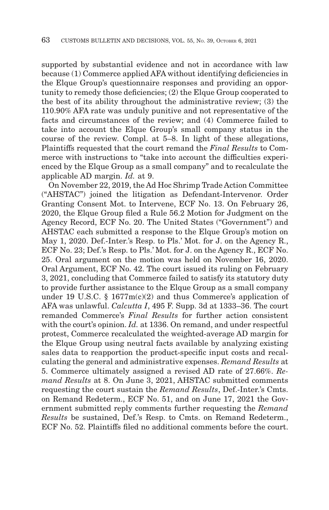supported by substantial evidence and not in accordance with law because (1) Commerce applied AFA without identifying deficiencies in the Elque Group's questionnaire responses and providing an opportunity to remedy those deficiencies; (2) the Elque Group cooperated to the best of its ability throughout the administrative review; (3) the 110.90% AFA rate was unduly punitive and not representative of the facts and circumstances of the review; and (4) Commerce failed to take into account the Elque Group's small company status in the course of the review. Compl. at 5–8. In light of these allegations, Plaintiffs requested that the court remand the *Final Results* to Commerce with instructions to "take into account the difficulties experienced by the Elque Group as a small company" and to recalculate the applicable AD margin. *Id.* at 9.

On November 22, 2019, the Ad Hoc Shrimp Trade Action Committee ("AHSTAC") joined the litigation as Defendant-Intervenor. Order Granting Consent Mot. to Intervene, ECF No. 13. On February 26, 2020, the Elque Group filed a Rule 56.2 Motion for Judgment on the Agency Record, ECF No. 20. The United States ("Government") and AHSTAC each submitted a response to the Elque Group's motion on May 1, 2020. Def.-Inter.'s Resp. to Pls.' Mot. for J. on the Agency R., ECF No. 23; Def.'s Resp. to Pls.' Mot. for J. on the Agency R., ECF No. 25. Oral argument on the motion was held on November 16, 2020. Oral Argument, ECF No. 42. The court issued its ruling on February 3, 2021, concluding that Commerce failed to satisfy its statutory duty to provide further assistance to the Elque Group as a small company under 19 U.S.C. § 1677 $m(c)(2)$  and thus Commerce's application of AFA was unlawful. *Calcutta I*, 495 F. Supp. 3d at 1333–36. The court remanded Commerce's *Final Results* for further action consistent with the court's opinion. *Id.* at 1336. On remand, and under respectful protest, Commerce recalculated the weighted-average AD margin for the Elque Group using neutral facts available by analyzing existing sales data to reapportion the product-specific input costs and recalculating the general and administrative expenses. *Remand Results* at 5. Commerce ultimately assigned a revised AD rate of 27.66%. *Remand Results* at 8. On June 3, 2021, AHSTAC submitted comments requesting the court sustain the *Remand Results*, Def.-Inter.'s Cmts. on Remand Redeterm., ECF No. 51, and on June 17, 2021 the Government submitted reply comments further requesting the *Remand Results* be sustained, Def.'s Resp. to Cmts. on Remand Redeterm., ECF No. 52. Plaintiffs filed no additional comments before the court.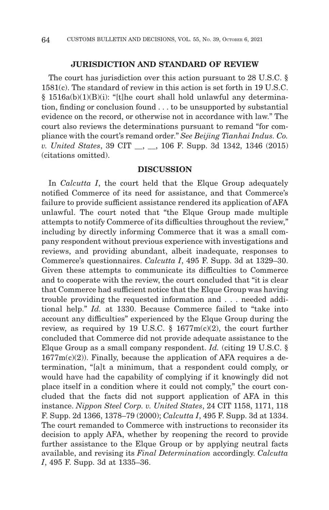# **JURISDICTION AND STANDARD OF REVIEW**

The court has jurisdiction over this action pursuant to 28 U.S.C. § 1581(c). The standard of review in this action is set forth in 19 U.S.C.  $§ 1516a(b)(1)(B)(i):$  "[t]he court shall hold unlawful any determination, finding or conclusion found . . . to be unsupported by substantial evidence on the record, or otherwise not in accordance with law." The court also reviews the determinations pursuant to remand "for compliance with the court's remand order." *See Beijing Tianhai Indus. Co. v. United States*, 39 CIT \_\_, \_\_, 106 F. Supp. 3d 1342, 1346 (2015) (citations omitted).

### **DISCUSSION**

In *Calcutta I*, the court held that the Elque Group adequately notified Commerce of its need for assistance, and that Commerce's failure to provide sufficient assistance rendered its application of AFA unlawful. The court noted that "the Elque Group made multiple attempts to notify Commerce of its difficulties throughout the review," including by directly informing Commerce that it was a small company respondent without previous experience with investigations and reviews, and providing abundant, albeit inadequate, responses to Commerce's questionnaires. *Calcutta I*, 495 F. Supp. 3d at 1329–30. Given these attempts to communicate its difficulties to Commerce and to cooperate with the review, the court concluded that "it is clear that Commerce had sufficient notice that the Elque Group was having trouble providing the requested information and . . . needed additional help." *Id.* at 1330. Because Commerce failed to "take into account any difficulties" experienced by the Elque Group during the review, as required by 19 U.S.C.  $\S$  1677m(c)(2), the court further concluded that Commerce did not provide adequate assistance to the Elque Group as a small company respondent. *Id.* (citing 19 U.S.C. §  $1677m(c)(2)$ ). Finally, because the application of AFA requires a determination, "[a]t a minimum, that a respondent could comply, or would have had the capability of complying if it knowingly did not place itself in a condition where it could not comply," the court concluded that the facts did not support application of AFA in this instance. *Nippon Steel Corp. v. United States*, 24 CIT 1158, 1171, 118 F. Supp. 2d 1366, 1378–79 (2000); *Calcutta I*, 495 F. Supp. 3d at 1334. The court remanded to Commerce with instructions to reconsider its decision to apply AFA, whether by reopening the record to provide further assistance to the Elque Group or by applying neutral facts available, and revising its *Final Determination* accordingly. *Calcutta I*, 495 F. Supp. 3d at 1335–36.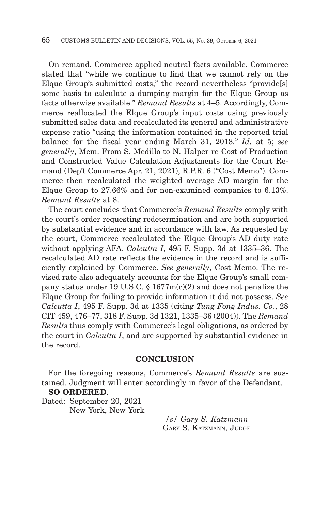On remand, Commerce applied neutral facts available. Commerce stated that "while we continue to find that we cannot rely on the Elque Group's submitted costs," the record nevertheless "provide[s] some basis to calculate a dumping margin for the Elque Group as facts otherwise available." *Remand Results* at 4–5. Accordingly, Commerce reallocated the Elque Group's input costs using previously submitted sales data and recalculated its general and administrative expense ratio "using the information contained in the reported trial balance for the fiscal year ending March 31, 2018." *Id.* at 5; *see generally*, Mem. From S. Medillo to N. Halper re Cost of Production and Constructed Value Calculation Adjustments for the Court Remand (Dep't Commerce Apr. 21, 2021), R.P.R. 6 ("Cost Memo"). Commerce then recalculated the weighted average AD margin for the Elque Group to 27.66% and for non-examined companies to 6.13%. *Remand Results* at 8.

The court concludes that Commerce's *Remand Results* comply with the court's order requesting redetermination and are both supported by substantial evidence and in accordance with law. As requested by the court, Commerce recalculated the Elque Group's AD duty rate without applying AFA. *Calcutta I*, 495 F. Supp. 3d at 1335–36. The recalculated AD rate reflects the evidence in the record and is sufficiently explained by Commerce. *See generally*, Cost Memo. The revised rate also adequately accounts for the Elque Group's small company status under 19 U.S.C. § 1677m(c)(2) and does not penalize the Elque Group for failing to provide information it did not possess. *See Calcutta I*, 495 F. Supp. 3d at 1335 (citing *Tung Fong Indus. Co.*, 28 CIT 459, 476–77, 318 F. Supp. 3d 1321, 1335–36 (2004)). The *Remand Results* thus comply with Commerce's legal obligations, as ordered by the court in *Calcutta I*, and are supported by substantial evidence in the record.

# **CONCLUSION**

For the foregoing reasons, Commerce's *Remand Results* are sustained. Judgment will enter accordingly in favor of the Defendant. **SO ORDERED**.

Dated: September 20, 2021 New York, New York

> */s/ Gary S. Katzmann* GARY S. KATZMANN, JUDGE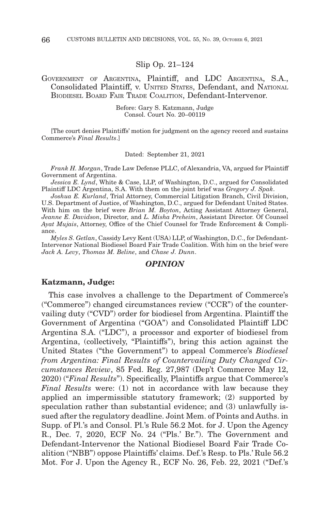### Slip Op. 21–124

# GOVERNMENT OF ARGENTINA, Plaintiff, and LDC ARGENTINA, S.A., Consolidated Plaintiff, v. UNITED STATES, Defendant, and NATIONAL BIODIESEL BOARD FAIR TRADE COALITION, Defendant-Intervenor.

Before: Gary S. Katzmann, Judge Consol. Court No. 20–00119

[The court denies Plaintiffs' motion for judgment on the agency record and sustains Commerce's *Final Results*.]

Dated: September 21, 2021

*Frank H. Morgan*, Trade Law Defense PLLC, of Alexandria, VA, argued for Plaintiff Government of Argentina.

*Jessica E. Lynd*, White & Case, LLP, of Washington, D.C., argued for Consolidated Plaintiff LDC Argentina, S.A. With them on the joint brief was *Gregory J. Spak*.

*Joshua E. Kurland*, Trial Attorney, Commercial Litigation Branch, Civil Division, U.S. Department of Justice, of Washington, D.C., argued for Defendant United States. With him on the brief were *Brian M. Boyton*, Acting Assistant Attorney General, *Jeanne E. Davidson*, Director, and *L. Misha Preheim*, Assistant Director. Of Counsel *Ayat Mujais*, Attorney, Office of the Chief Counsel for Trade Enforcement & Compliance.

*Myles S. Getlan*, Cassidy Levy Kent (USA) LLP, of Washington, D.C., for Defendant-Intervenor National Biodiesel Board Fair Trade Coalition. With him on the brief were *Jack A. Levy*, *Thomas M. Beline*, and *Chase J. Dunn*.

### *OPINION*

#### **Katzmann, Judge:**

This case involves a challenge to the Department of Commerce's ("Commerce") changed circumstances review ("CCR") of the countervailing duty ("CVD") order for biodiesel from Argentina. Plaintiff the Government of Argentina ("GOA") and Consolidated Plaintiff LDC Argentina S.A. ("LDC"), a processor and exporter of biodiesel from Argentina, (collectively, "Plaintiffs"), bring this action against the United States ("the Government") to appeal Commerce's *Biodiesel from Argentina: Final Results of Countervailing Duty Changed Circumstances Review*, 85 Fed. Reg. 27,987 (Dep't Commerce May 12, 2020) ("*Final Results*"). Specifically, Plaintiffs argue that Commerce's *Final Results* were: (1) not in accordance with law because they applied an impermissible statutory framework; (2) supported by speculation rather than substantial evidence; and (3) unlawfully issued after the regulatory deadline. Joint Mem. of Points and Auths. in Supp. of Pl.'s and Consol. Pl.'s Rule 56.2 Mot. for J. Upon the Agency R., Dec. 7, 2020, ECF No. 24 ("Pls.' Br."). The Government and Defendant-Intervenor the National Biodiesel Board Fair Trade Coalition ("NBB") oppose Plaintiffs' claims. Def.'s Resp. to Pls.' Rule 56.2 Mot. For J. Upon the Agency R., ECF No. 26, Feb. 22, 2021 ("Def.'s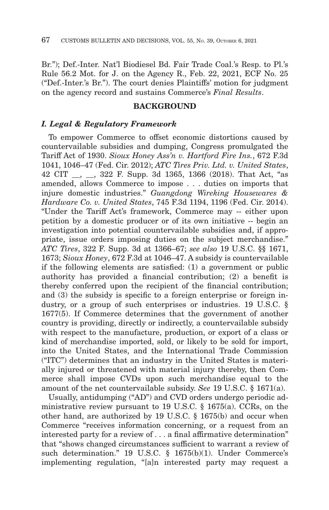Br."); Def.-Inter. Nat'l Biodiesel Bd. Fair Trade Coal.'s Resp. to Pl.'s Rule 56.2 Mot. for J. on the Agency R., Feb. 22, 2021, ECF No. 25 ("Def.-Inter.'s Br."). The court denies Plaintiffs' motion for judgment on the agency record and sustains Commerce's *Final Results*.

### **BACKGROUND**

## *I. Legal & Regulatory Framework*

To empower Commerce to offset economic distortions caused by countervailable subsidies and dumping, Congress promulgated the Tariff Act of 1930. *Sioux Honey Ass'n v. Hartford Fire Ins.*, 672 F.3d 1041, 1046–47 (Fed. Cir. 2012); *ATC Tires Priv. Ltd. v. United States*, 42 CIT \_\_, \_\_, 322 F. Supp. 3d 1365, 1366 (2018). That Act, "as amended, allows Commerce to impose . . . duties on imports that injure domestic industries." *Guangdong Wireking Housewares & Hardware Co. v. United States*, 745 F.3d 1194, 1196 (Fed. Cir. 2014). "Under the Tariff Act's framework, Commerce may -- either upon petition by a domestic producer or of its own initiative -- begin an investigation into potential countervailable subsidies and, if appropriate, issue orders imposing duties on the subject merchandise." *ATC Tires*, 322 F. Supp. 3d at 1366–67; *see also* 19 U.S.C. §§ 1671, 1673; *Sioux Honey*, 672 F.3d at 1046–47. A subsidy is countervailable if the following elements are satisfied: (1) a government or public authority has provided a financial contribution; (2) a benefit is thereby conferred upon the recipient of the financial contribution; and (3) the subsidy is specific to a foreign enterprise or foreign industry, or a group of such enterprises or industries. 19 U.S.C. § 1677(5). If Commerce determines that the government of another country is providing, directly or indirectly, a countervailable subsidy with respect to the manufacture, production, or export of a class or kind of merchandise imported, sold, or likely to be sold for import, into the United States, and the International Trade Commission ("ITC") determines that an industry in the United States is materially injured or threatened with material injury thereby, then Commerce shall impose CVDs upon such merchandise equal to the amount of the net countervailable subsidy. *See* 19 U.S.C. § 1671(a).

Usually, antidumping ("AD") and CVD orders undergo periodic administrative review pursuant to 19 U.S.C. § 1675(a). CCRs, on the other hand, are authorized by 19 U.S.C. § 1675(b) and occur when Commerce "receives information concerning, or a request from an interested party for a review of . . . a final affirmative determination" that "shows changed circumstances sufficient to warrant a review of such determination." 19 U.S.C. § 1675(b)(1). Under Commerce's implementing regulation, "[a]n interested party may request a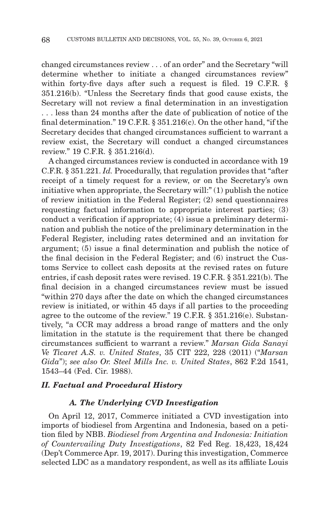changed circumstances review . . . of an order" and the Secretary "will determine whether to initiate a changed circumstances review" within forty-five days after such a request is filed. 19 C.F.R. § 351.216(b). "Unless the Secretary finds that good cause exists, the Secretary will not review a final determination in an investigation . . . less than 24 months after the date of publication of notice of the final determination." 19 C.F.R. § 351.216(c). On the other hand, "if the Secretary decides that changed circumstances sufficient to warrant a review exist, the Secretary will conduct a changed circumstances review." 19 C.F.R. § 351.216(d).

A changed circumstances review is conducted in accordance with 19 C.F.R. § 351.221. *Id.* Procedurally, that regulation provides that "after receipt of a timely request for a review, or on the Secretary's own initiative when appropriate, the Secretary will:" (1) publish the notice of review initiation in the Federal Register; (2) send questionnaires requesting factual information to appropriate interest parties; (3) conduct a verification if appropriate; (4) issue a preliminary determination and publish the notice of the preliminary determination in the Federal Register, including rates determined and an invitation for argument; (5) issue a final determination and publish the notice of the final decision in the Federal Register; and (6) instruct the Customs Service to collect cash deposits at the revised rates on future entries, if cash deposit rates were revised. 19 C.F.R. § 351.221(b). The final decision in a changed circumstances review must be issued "within 270 days after the date on which the changed circumstances review is initiated, or within 45 days if all parties to the proceeding agree to the outcome of the review." 19 C.F.R. § 351.216(e). Substantively, "a CCR may address a broad range of matters and the only limitation in the statute is the requirement that there be changed circumstances sufficient to warrant a review." *Marsan Gida Sanayi Ve Ticaret A.S. v. United States*, 35 CIT 222, 228 (2011) ("*Marsan Gida*"); *see also Or. Steel Mills Inc. v. United States*, 862 F.2d 1541, 1543–44 (Fed. Cir. 1988).

# *II. Factual and Procedural History*

### *A. The Underlying CVD Investigation*

On April 12, 2017, Commerce initiated a CVD investigation into imports of biodiesel from Argentina and Indonesia, based on a petition filed by NBB. *Biodiesel from Argentina and Indonesia: Initiation of Countervailing Duty Investigations*, 82 Fed Reg. 18,423, 18,424 (Dep't Commerce Apr. 19, 2017). During this investigation, Commerce selected LDC as a mandatory respondent, as well as its affiliate Louis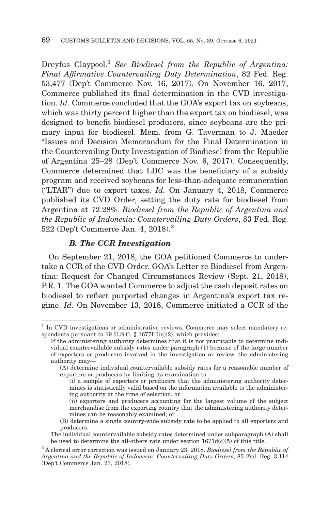Dreyfus Claypool.1 *See Biodiesel from the Republic of Argentina: Final Affirmative Countervailing Duty Determination*, 82 Fed. Reg. 53,477 (Dep't Commerce Nov. 16, 2017). On November 16, 2017, Commerce published its final determination in the CVD investigation. *Id.* Commerce concluded that the GOA's export tax on soybeans, which was thirty percent higher than the export tax on biodiesel, was designed to benefit biodiesel producers, since soybeans are the primary input for biodiesel. Mem. from G. Taverman to J. Maeder "Issues and Decision Memorandum for the Final Determination in the Countervailing Duty Investigation of Biodiesel from the Republic of Argentina 25–28 (Dep't Commerce Nov. 6, 2017). Consequently, Commerce determined that LDC was the beneficiary of a subsidy program and received soybeans for less-than-adequate remuneration ("LTAR") due to export taxes. *Id.* On January 4, 2018, Commerce published its CVD Order, setting the duty rate for biodiesel from Argentina at 72.28%. *Biodiesel from the Republic of Argentina and the Republic of Indonesia: Countervailing Duty Orders*, 83 Fed. Reg. 522 (Dep't Commerce Jan. 4, 2018).2

# *B. The CCR Investigation*

On September 21, 2018, the GOA petitioned Commerce to undertake a CCR of the CVD Order. GOA's Letter re Biodiesel from Argentina: Request for Changed Circumstances Review (Sept. 21, 2018), P.R. 1. The GOA wanted Commerce to adjust the cash deposit rates on biodiesel to reflect purported changes in Argentina's export tax regime. *Id.* On November 13, 2018, Commerce initiated a CCR of the

<sup>&</sup>lt;sup>1</sup> In CVD investigations or administrative reviews, Commerce may select mandatory respondents pursuant to 19 U.S.C.  $\S$  1677f-1(e)(2), which provides:

If the administering authority determines that it is not practicable to determine individual countervailable subsidy rates under paragraph  $(1)$  because of the large number of exporters or producers involved in the investigation or review, the administering authority may—

<sup>(</sup>A) determine individual countervailable subsidy rates for a reasonable number of exporters or producers by limiting its examination to—

<sup>(</sup>i) a sample of exporters or producers that the administering authority determines is statistically valid based on the information available to the administering authority at the time of selection, or

<sup>(</sup>ii) exporters and producers accounting for the largest volume of the subject merchandise from the exporting country that the administering authority determines can be reasonably examined; or

<sup>(</sup>B) determine a single country-wide subsidy rate to be applied to all exporters and producers.

The individual countervailable subsidy rates determined under subparagraph (A) shall be used to determine the all-others rate under section  $1671d(c)(5)$  of this title.

<sup>2</sup> A clerical error correction was issued on January 23, 2018. *Biodiesel from the Republic of Argentina and the Republic of Indonesia: Countervailing Duty Orders*, 83 Fed. Reg. 3,114 (Dep't Commerce Jan. 23, 2018).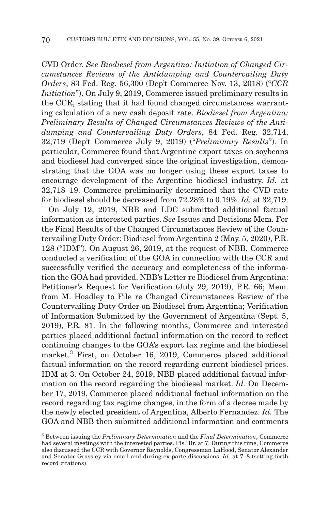CVD Order. *See Biodiesel from Argentina: Initiation of Changed Circumstances Reviews of the Antidumping and Countervailing Duty Orders*, 83 Fed. Reg. 56,300 (Dep't Commerce Nov. 13, 2018) ("*CCR Initiation*"). On July 9, 2019, Commerce issued preliminary results in the CCR, stating that it had found changed circumstances warranting calculation of a new cash deposit rate. *Biodiesel from Argentina: Preliminary Results of Changed Circumstances Reviews of the Antidumping and Countervailing Duty Orders*, 84 Fed. Reg. 32,714, 32,719 (Dep't Commerce July 9, 2019) ("*Preliminary Results*"). In particular, Commerce found that Argentine export taxes on soybeans and biodiesel had converged since the original investigation, demonstrating that the GOA was no longer using these export taxes to encourage development of the Argentine biodiesel industry. *Id.* at 32,718–19. Commerce preliminarily determined that the CVD rate for biodiesel should be decreased from 72.28% to 0.19%. *Id.* at 32,719.

On July 12, 2019, NBB and LDC submitted additional factual information as interested parties. *See* Issues and Decisions Mem. For the Final Results of the Changed Circumstances Review of the Countervailing Duty Order: Biodiesel from Argentina 2 (May. 5, 2020), P.R. 128 ("IDM"). On August 26, 2019, at the request of NBB, Commerce conducted a verification of the GOA in connection with the CCR and successfully verified the accuracy and completeness of the information the GOA had provided. NBB's Letter re Biodiesel from Argentina: Petitioner's Request for Verification (July 29, 2019), P.R. 66; Mem. from M. Hoadley to File re Changed Circumstances Review of the Countervailing Duty Order on Biodiesel from Argentina; Verification of Information Submitted by the Government of Argentina (Sept. 5, 2019), P.R. 81. In the following months, Commerce and interested parties placed additional factual information on the record to reflect continuing changes to the GOA's export tax regime and the biodiesel market.<sup>3</sup> First, on October 16, 2019, Commerce placed additional factual information on the record regarding current biodiesel prices. IDM at 3. On October 24, 2019, NBB placed additional factual information on the record regarding the biodiesel market. *Id.* On December 17, 2019, Commerce placed additional factual information on the record regarding tax regime changes, in the form of a decree made by the newly elected president of Argentina, Alberto Fernandez. *Id.* The GOA and NBB then submitted additional information and comments

<sup>3</sup> Between issuing the *Preliminary Determination* and the *Final Determination*, Commerce had several meetings with the interested parties. Pls.' Br. at 7. During this time, Commerce also discussed the CCR with Governor Reynolds, Congressman LaHood, Senator Alexander and Senator Grassley via email and during ex parte discussions. *Id.* at 7–8 (setting forth record citations).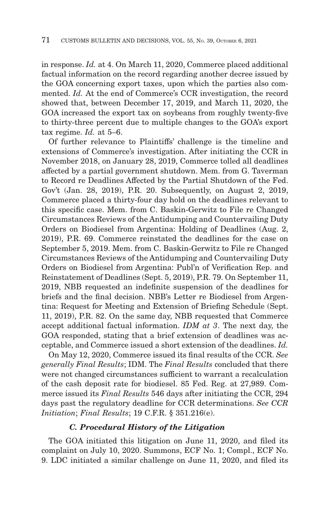in response. *Id.* at 4. On March 11, 2020, Commerce placed additional factual information on the record regarding another decree issued by the GOA concerning export taxes, upon which the parties also commented. *Id.* At the end of Commerce's CCR investigation, the record showed that, between December 17, 2019, and March 11, 2020, the GOA increased the export tax on soybeans from roughly twenty-five to thirty-three percent due to multiple changes to the GOA's export tax regime. *Id.* at 5–6.

Of further relevance to Plaintiffs' challenge is the timeline and extensions of Commerce's investigation. After initiating the CCR in November 2018, on January 28, 2019, Commerce tolled all deadlines affected by a partial government shutdown. Mem. from G. Taverman to Record re Deadlines Affected by the Partial Shutdown of the Fed. Gov't (Jan. 28, 2019), P.R. 20. Subsequently, on August 2, 2019, Commerce placed a thirty-four day hold on the deadlines relevant to this specific case. Mem. from C. Baskin-Gerwitz to File re Changed Circumstances Reviews of the Antidumping and Countervailing Duty Orders on Biodiesel from Argentina: Holding of Deadlines (Aug. 2, 2019), P.R. 69. Commerce reinstated the deadlines for the case on September 5, 2019. Mem. from C. Baskin-Gerwitz to File re Changed Circumstances Reviews of the Antidumping and Countervailing Duty Orders on Biodiesel from Argentina: Publ'n of Verification Rep. and Reinstatement of Deadlines (Sept. 5, 2019), P.R. 79. On September 11, 2019, NBB requested an indefinite suspension of the deadlines for briefs and the final decision. NBB's Letter re Biodiesel from Argentina: Request for Meeting and Extension of Briefing Schedule (Sept. 11, 2019), P.R. 82. On the same day, NBB requested that Commerce accept additional factual information. *IDM at 3*. The next day, the GOA responded, stating that a brief extension of deadlines was acceptable, and Commerce issued a short extension of the deadlines. *Id.*

On May 12, 2020, Commerce issued its final results of the CCR. *See generally Final Results*; IDM. The *Final Results* concluded that there were not changed circumstances sufficient to warrant a recalculation of the cash deposit rate for biodiesel. 85 Fed. Reg. at 27,989. Commerce issued its *Final Results* 546 days after initiating the CCR, 294 days past the regulatory deadline for CCR determinations. *See CCR Initiation*; *Final Results*; 19 C.F.R. § 351.216(e).

# *C. Procedural History of the Litigation*

The GOA initiated this litigation on June 11, 2020, and filed its complaint on July 10, 2020. Summons, ECF No. 1; Compl., ECF No. 9. LDC initiated a similar challenge on June 11, 2020, and filed its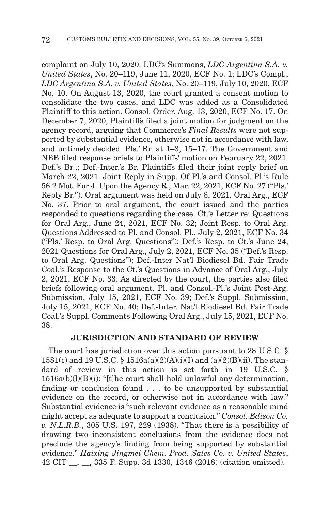complaint on July 10, 2020. LDC's Summons, *LDC Argentina S.A. v. United States*, No. 20–119, June 11, 2020, ECF No. 1; LDC's Compl., *LDC Argentina S.A. v. United States*, No. 20–119, July 10, 2020, ECF No. 10. On August 13, 2020, the court granted a consent motion to consolidate the two cases, and LDC was added as a Consolidated Plaintiff to this action. Consol. Order, Aug. 13, 2020, ECF No. 17. On December 7, 2020, Plaintiffs filed a joint motion for judgment on the agency record, arguing that Commerce's *Final Results* were not supported by substantial evidence, otherwise not in accordance with law, and untimely decided. Pls.' Br. at 1–3, 15–17. The Government and NBB filed response briefs to Plaintiffs' motion on February 22, 2021. Def.'s Br.,; Def.-Inter.'s Br. Plaintiffs filed their joint reply brief on March 22, 2021. Joint Reply in Supp. Of Pl.'s and Consol. Pl.'s Rule 56.2 Mot. For J. Upon the Agency R., Mar. 22, 2021, ECF No. 27 ("Pls.' Reply Br."). Oral argument was held on July 8, 2021. Oral Arg., ECF No. 37. Prior to oral argument, the court issued and the parties responded to questions regarding the case. Ct.'s Letter re: Questions for Oral Arg., June 24, 2021, ECF No. 32; Joint Resp. to Oral Arg. Questions Addressed to Pl. and Consol. Pl., July 2, 2021, ECF No. 34 ("Pls.' Resp. to Oral Arg. Questions"); Def.'s Resp. to Ct.'s June 24, 2021 Questions for Oral Arg., July 2, 2021, ECF No. 35 ("Def.'s Resp. to Oral Arg. Questions"); Def.-Inter Nat'l Biodiesel Bd. Fair Trade Coal.'s Response to the Ct.'s Questions in Advance of Oral Arg., July 2, 2021, ECF No. 33. As directed by the court, the parties also filed briefs following oral argument. Pl. and Consol.-Pl.'s Joint Post-Arg. Submission, July 15, 2021, ECF No. 39; Def.'s Suppl. Submission, July 15, 2021, ECF No. 40; Def.-Inter. Nat'l Biodiesel Bd. Fair Trade Coal.'s Suppl. Comments Following Oral Arg., July 15, 2021, ECF No. 38.

# **JURISDICTION AND STANDARD OF REVIEW**

The court has jurisdiction over this action pursuant to 28 U.S.C. § 1581(c) and 19 U.S.C. § 1516a(a)(2)(A)(i)(I) and (a)(2)(B)(ii). The standard of review in this action is set forth in 19 U.S.C. §  $1516a(b)(l)(B)(i)$ : "[t]he court shall hold unlawful any determination, finding or conclusion found . . . to be unsupported by substantial evidence on the record, or otherwise not in accordance with law." Substantial evidence is "such relevant evidence as a reasonable mind might accept as adequate to support a conclusion." *Consol. Edison Co. v. N.L.R.B.*, 305 U.S. 197, 229 (1938). "That there is a possibility of drawing two inconsistent conclusions from the evidence does not preclude the agency's finding from being supported by substantial evidence." *Haixing Jingmei Chem. Prod. Sales Co. v. United States*, 42 CIT \_\_, \_\_, 335 F. Supp. 3d 1330, 1346 (2018) (citation omitted).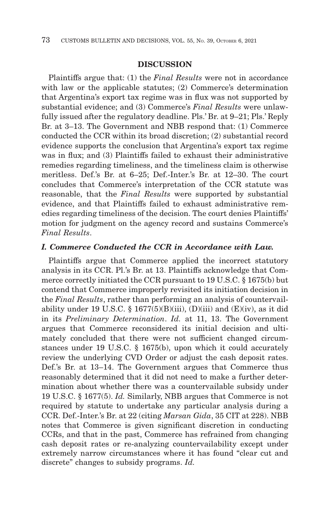### **DISCUSSION**

Plaintiffs argue that: (1) the *Final Results* were not in accordance with law or the applicable statutes; (2) Commerce's determination that Argentina's export tax regime was in flux was not supported by substantial evidence; and (3) Commerce's *Final Results* were unlawfully issued after the regulatory deadline. Pls.' Br. at 9–21; Pls.' Reply Br. at 3–13. The Government and NBB respond that: (1) Commerce conducted the CCR within its broad discretion; (2) substantial record evidence supports the conclusion that Argentina's export tax regime was in flux; and (3) Plaintiffs failed to exhaust their administrative remedies regarding timeliness, and the timeliness claim is otherwise meritless. Def.'s Br. at 6–25; Def.-Inter.'s Br. at 12–30. The court concludes that Commerce's interpretation of the CCR statute was reasonable, that the *Final Results* were supported by substantial evidence, and that Plaintiffs failed to exhaust administrative remedies regarding timeliness of the decision. The court denies Plaintiffs' motion for judgment on the agency record and sustains Commerce's *Final Results*.

# *I. Commerce Conducted the CCR in Accordance with Law.*

Plaintiffs argue that Commerce applied the incorrect statutory analysis in its CCR. Pl.'s Br. at 13. Plaintiffs acknowledge that Commerce correctly initiated the CCR pursuant to 19 U.S.C. § 1675(b) but contend that Commerce improperly revisited its initiation decision in the *Final Results*, rather than performing an analysis of countervailability under 19 U.S.C. § 1677(5)(B)(iii), (D)(iii) and (E)(iv), as it did in its *Preliminary Determination*. *Id.* at 11, 13. The Government argues that Commerce reconsidered its initial decision and ultimately concluded that there were not sufficient changed circumstances under 19 U.S.C. § 1675(b), upon which it could accurately review the underlying CVD Order or adjust the cash deposit rates. Def.'s Br. at 13–14. The Government argues that Commerce thus reasonably determined that it did not need to make a further determination about whether there was a countervailable subsidy under 19 U.S.C. § 1677(5). *Id.* Similarly, NBB argues that Commerce is not required by statute to undertake any particular analysis during a CCR. Def.-Inter.'s Br. at 22 (citing *Marsan Gida*, 35 CIT at 228). NBB notes that Commerce is given significant discretion in conducting CCRs, and that in the past, Commerce has refrained from changing cash deposit rates or re-analyzing countervailability except under extremely narrow circumstances where it has found "clear cut and discrete" changes to subsidy programs. *Id.*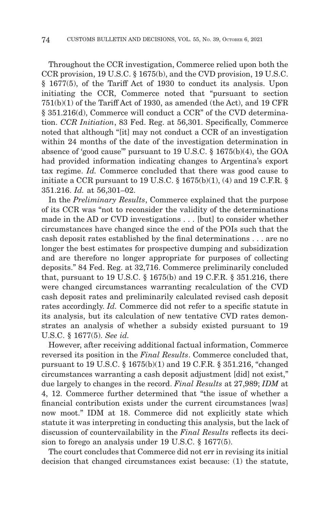Throughout the CCR investigation, Commerce relied upon both the CCR provision, 19 U.S.C. § 1675(b), and the CVD provision, 19 U.S.C. § 1677(5), of the Tariff Act of 1930 to conduct its analysis. Upon initiating the CCR, Commerce noted that "pursuant to section 751(b)(1) of the Tariff Act of 1930, as amended (the Act), and 19 CFR § 351.216(d), Commerce will conduct a CCR" of the CVD determination. *CCR Initiation*, 83 Fed. Reg. at 56,301. Specifically, Commerce noted that although "[it] may not conduct a CCR of an investigation within 24 months of the date of the investigation determination in absence of 'good cause'" pursuant to 19 U.S.C. § 1675(b)(4), the GOA had provided information indicating changes to Argentina's export tax regime. *Id.* Commerce concluded that there was good cause to initiate a CCR pursuant to 19 U.S.C.  $\S$  1675(b)(1), (4) and 19 C.F.R.  $\S$ 351.216. *Id.* at 56,301–02.

In the *Preliminary Results*, Commerce explained that the purpose of its CCR was "not to reconsider the validity of the determinations made in the AD or CVD investigations . . . [but] to consider whether circumstances have changed since the end of the POIs such that the cash deposit rates established by the final determinations . . . are no longer the best estimates for prospective dumping and subsidization and are therefore no longer appropriate for purposes of collecting deposits." 84 Fed. Reg. at 32,716. Commerce preliminarily concluded that, pursuant to 19 U.S.C. § 1675(b) and 19 C.F.R. § 351.216, there were changed circumstances warranting recalculation of the CVD cash deposit rates and preliminarily calculated revised cash deposit rates accordingly. *Id.* Commerce did not refer to a specific statute in its analysis, but its calculation of new tentative CVD rates demonstrates an analysis of whether a subsidy existed pursuant to 19 U.S.C. § 1677(5). *See id.*

However, after receiving additional factual information, Commerce reversed its position in the *Final Results*. Commerce concluded that, pursuant to 19 U.S.C. § 1675(b)(1) and 19 C.F.R. § 351.216, "changed circumstances warranting a cash deposit adjustment [did] not exist," due largely to changes in the record. *Final Results* at 27,989; *IDM* at 4, 12. Commerce further determined that "the issue of whether a financial contribution exists under the current circumstances [was] now moot." IDM at 18. Commerce did not explicitly state which statute it was interpreting in conducting this analysis, but the lack of discussion of countervailability in the *Final Results* reflects its decision to forego an analysis under 19 U.S.C. § 1677(5).

The court concludes that Commerce did not err in revising its initial decision that changed circumstances exist because: (1) the statute,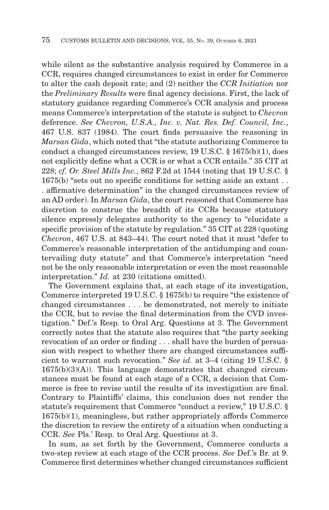while silent as the substantive analysis required by Commerce in a CCR, requires changed circumstances to exist in order for Commerce to alter the cash deposit rate; and (2) neither the *CCR Initiation* nor the *Preliminary Results* were final agency decisions. First, the lack of statutory guidance regarding Commerce's CCR analysis and process means Commerce's interpretation of the statute is subject to *Chevron* deference. *See Chevron, U.S.A., Inc. v. Nat. Res. Def. Council, Inc.*, 467 U.S. 837 (1984). The court finds persuasive the reasoning in *Marsan Gida*, which noted that "the statute authorizing Commerce to conduct a changed circumstances review, 19 U.S.C. § 1675(b)(1), does not explicitly define what a CCR is or what a CCR entails." 35 CIT at 228; *cf. Or. Steel Mills Inc.*, 862 F.2d at 1544 (noting that 19 U.S.C. § 1675(b) "sets out no specific conditions for setting aside an extant . . . affirmative determination" in the changed circumstances review of an AD order). In *Marsan Gida*, the court reasoned that Commerce has discretion to construe the breadth of its CCRs because statutory silence expressly delegates authority to the agency to "elucidate a specific provision of the statute by regulation." 35 CIT at 228 (quoting *Chevron*, 467 U.S. at 843–44). The court noted that it must "defer to Commerce's reasonable interpretation of the antidumping and countervailing duty statute" and that Commerce's interpretation "need not be the only reasonable interpretation or even the most reasonable interpretation." *Id.* at 230 (citations omitted).

The Government explains that, at each stage of its investigation, Commerce interpreted 19 U.S.C. § 1675(b) to require "the existence of changed circumstances . . . be demonstrated, not merely to initiate the CCR, but to revise the final determination from the CVD investigation." Def.'s Resp. to Oral Arg. Questions at 3. The Government correctly notes that the statute also requires that "the party seeking revocation of an order or finding . . . shall have the burden of persuasion with respect to whether there are changed circumstances sufficient to warrant such revocation." *See id.* at 3–4 (citing 19 U.S.C. § 1675(b)(3)(A)). This language demonstrates that changed circumstances must be found at each stage of a CCR, a decision that Commerce is free to revise until the results of its investigation are final. Contrary to Plaintiffs' claims, this conclusion does not render the statute's requirement that Commerce "conduct a review," 19 U.S.C. § 1675(b)(1), meaningless, but rather appropriately affords Commerce the discretion to review the entirety of a situation when conducting a CCR. *See* Pls.' Resp. to Oral Arg. Questions at 3.

In sum, as set forth by the Government, Commerce conducts a two-step review at each stage of the CCR process. *See* Def.'s Br. at 9. Commerce first determines whether changed circumstances sufficient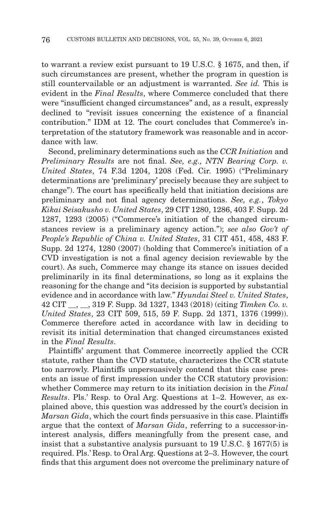to warrant a review exist pursuant to 19 U.S.C. § 1675, and then, if such circumstances are present, whether the program in question is still countervailable or an adjustment is warranted. *See id.* This is evident in the *Final Results*, where Commerce concluded that there were "insufficient changed circumstances" and, as a result, expressly declined to "revisit issues concerning the existence of a financial contribution." IDM at 12. The court concludes that Commerce's interpretation of the statutory framework was reasonable and in accordance with law.

Second, preliminary determinations such as the *CCR Initiation* and *Preliminary Results* are not final. *See, e.g., NTN Bearing Corp. v. United States*, 74 F.3d 1204, 1208 (Fed. Cir. 1995) ("Preliminary determinations are 'preliminary' precisely because they are subject to change"). The court has specifically held that initiation decisions are preliminary and not final agency determinations. *See, e.g.*, *Tokyo Kikai Seisakusho v. United States*, 29 CIT 1280, 1286, 403 F. Supp. 2d 1287, 1293 (2005) ("Commerce's initiation of the changed circumstances review is a preliminary agency action."); *see also Gov't of People's Republic of China v. United States*, 31 CIT 451, 458, 483 F. Supp. 2d 1274, 1280 (2007) (holding that Commerce's initiation of a CVD investigation is not a final agency decision reviewable by the court). As such, Commerce may change its stance on issues decided preliminarily in its final determinations, so long as it explains the reasoning for the change and "its decision is supported by substantial evidence and in accordance with law." *Hyundai Steel v. United States*, 42 CIT \_\_, \_\_, 319 F. Supp. 3d 1327, 1343 (2018) (citing *Timken Co. v. United States*, 23 CIT 509, 515, 59 F. Supp. 2d 1371, 1376 (1999)). Commerce therefore acted in accordance with law in deciding to revisit its initial determination that changed circumstances existed in the *Final Results*.

Plaintiffs' argument that Commerce incorrectly applied the CCR statute, rather than the CVD statute, characterizes the CCR statute too narrowly. Plaintiffs unpersuasively contend that this case presents an issue of first impression under the CCR statutory provision: whether Commerce may return to its initiation decision in the *Final Results*. Pls.' Resp. to Oral Arg. Questions at 1–2. However, as explained above, this question was addressed by the court's decision in *Marsan Gida*, which the court finds persuasive in this case. Plaintiffs argue that the context of *Marsan Gida*, referring to a successor-ininterest analysis, differs meaningfully from the present case, and insist that a substantive analysis pursuant to 19 U.S.C. § 1677(5) is required. Pls.' Resp. to Oral Arg. Questions at 2–3. However, the court finds that this argument does not overcome the preliminary nature of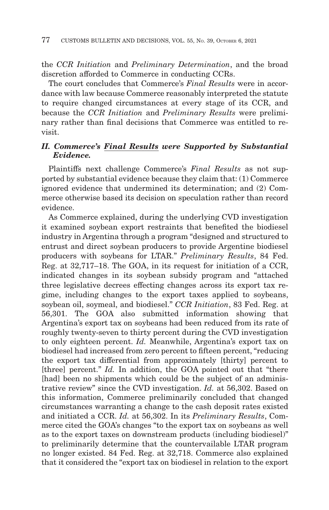the *CCR Initiation* and *Preliminary Determination*, and the broad discretion afforded to Commerce in conducting CCRs.

The court concludes that Commerce's *Final Results* were in accordance with law because Commerce reasonably interpreted the statute to require changed circumstances at every stage of its CCR, and because the *CCR Initiation* and *Preliminary Results* were preliminary rather than final decisions that Commerce was entitled to revisit.

## *II. Commerce's Final Results were Supported by Substantial Evidence.*

Plaintiffs next challenge Commerce's *Final Results* as not supported by substantial evidence because they claim that: (1) Commerce ignored evidence that undermined its determination; and (2) Commerce otherwise based its decision on speculation rather than record evidence.

As Commerce explained, during the underlying CVD investigation it examined soybean export restraints that benefited the biodiesel industry in Argentina through a program "designed and structured to entrust and direct soybean producers to provide Argentine biodiesel producers with soybeans for LTAR." *Preliminary Results*, 84 Fed. Reg. at 32,717–18. The GOA, in its request for initiation of a CCR, indicated changes in its soybean subsidy program and "attached three legislative decrees effecting changes across its export tax regime, including changes to the export taxes applied to soybeans, soybean oil, soymeal, and biodiesel." *CCR Initiation*, 83 Fed. Reg. at 56,301. The GOA also submitted information showing that Argentina's export tax on soybeans had been reduced from its rate of roughly twenty-seven to thirty percent during the CVD investigation to only eighteen percent. *Id.* Meanwhile, Argentina's export tax on biodiesel had increased from zero percent to fifteen percent, "reducing the export tax differential from approximately [thirty] percent to [three] percent." *Id.* In addition, the GOA pointed out that "there [had] been no shipments which could be the subject of an administrative review" since the CVD investigation. *Id.* at 56,302. Based on this information, Commerce preliminarily concluded that changed circumstances warranting a change to the cash deposit rates existed and initiated a CCR. *Id.* at 56,302. In its *Preliminary Results*, Commerce cited the GOA's changes "to the export tax on soybeans as well as to the export taxes on downstream products (including biodiesel)" to preliminarily determine that the countervailable LTAR program no longer existed. 84 Fed. Reg. at 32,718. Commerce also explained that it considered the "export tax on biodiesel in relation to the export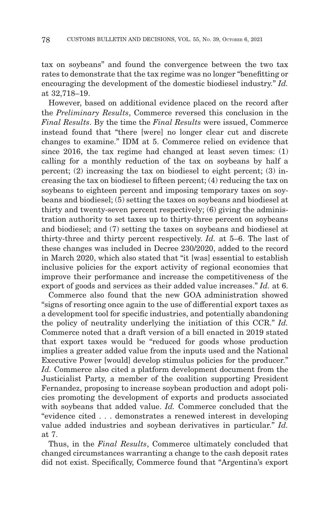tax on soybeans" and found the convergence between the two tax rates to demonstrate that the tax regime was no longer "benefitting or encouraging the development of the domestic biodiesel industry." *Id.* at 32,718–19.

However, based on additional evidence placed on the record after the *Preliminary Results*, Commerce reversed this conclusion in the *Final Results*. By the time the *Final Results* were issued, Commerce instead found that "there [were] no longer clear cut and discrete changes to examine." IDM at 5. Commerce relied on evidence that since 2016, the tax regime had changed at least seven times: (1) calling for a monthly reduction of the tax on soybeans by half a percent; (2) increasing the tax on biodiesel to eight percent; (3) increasing the tax on biodiesel to fifteen percent; (4) reducing the tax on soybeans to eighteen percent and imposing temporary taxes on soybeans and biodiesel; (5) setting the taxes on soybeans and biodiesel at thirty and twenty-seven percent respectively; (6) giving the administration authority to set taxes up to thirty-three percent on soybeans and biodiesel; and (7) setting the taxes on soybeans and biodiesel at thirty-three and thirty percent respectively. *Id.* at 5–6. The last of these changes was included in Decree 230/2020, added to the record in March 2020, which also stated that "it [was] essential to establish inclusive policies for the export activity of regional economies that improve their performance and increase the competitiveness of the export of goods and services as their added value increases." *Id.* at 6.

Commerce also found that the new GOA administration showed "signs of resorting once again to the use of differential export taxes as a development tool for specific industries, and potentially abandoning the policy of neutrality underlying the initiation of this CCR." *Id.* Commerce noted that a draft version of a bill enacted in 2019 stated that export taxes would be "reduced for goods whose production implies a greater added value from the inputs used and the National Executive Power [would] develop stimulus policies for the producer." *Id.* Commerce also cited a platform development document from the Justicialist Party, a member of the coalition supporting President Fernandez, proposing to increase soybean production and adopt policies promoting the development of exports and products associated with soybeans that added value. *Id.* Commerce concluded that the "evidence cited . . . demonstrates a renewed interest in developing value added industries and soybean derivatives in particular." *Id.* at 7.

Thus, in the *Final Results*, Commerce ultimately concluded that changed circumstances warranting a change to the cash deposit rates did not exist. Specifically, Commerce found that "Argentina's export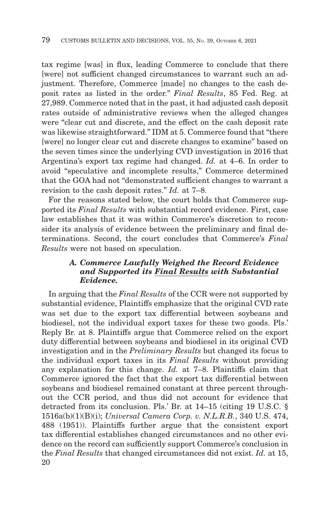tax regime [was] in flux, leading Commerce to conclude that there [were] not sufficient changed circumstances to warrant such an adjustment. Therefore, Commerce [made] no changes to the cash deposit rates as listed in the order." *Final Results*, 85 Fed. Reg. at 27,989. Commerce noted that in the past, it had adjusted cash deposit rates outside of administrative reviews when the alleged changes were "clear cut and discrete, and the effect on the cash deposit rate was likewise straightforward." IDM at 5. Commerce found that "there [were] no longer clear cut and discrete changes to examine" based on the seven times since the underlying CVD investigation in 2016 that Argentina's export tax regime had changed. *Id.* at 4–6. In order to avoid "speculative and incomplete results," Commerce determined that the GOA had not "demonstrated sufficient changes to warrant a revision to the cash deposit rates." *Id.* at 7–8.

For the reasons stated below, the court holds that Commerce supported its *Final Results* with substantial record evidence. First, case law establishes that it was within Commerce's discretion to reconsider its analysis of evidence between the preliminary and final determinations. Second, the court concludes that Commerce's *Final Results* were not based on speculation.

## *A. Commerce Lawfully Weighed the Record Evidence and Supported its Final Results with Substantial Evidence.*

In arguing that the *Final Results* of the CCR were not supported by substantial evidence, Plaintiffs emphasize that the original CVD rate was set due to the export tax differential between soybeans and biodiesel, not the individual export taxes for these two goods. Pls.' Reply Br. at 8. Plaintiffs argue that Commerce relied on the export duty differential between soybeans and biodiesel in its original CVD investigation and in the *Preliminary Results* but changed its focus to the individual export taxes in its *Final Results* without providing any explanation for this change. *Id.* at 7–8. Plaintiffs claim that Commerce ignored the fact that the export tax differential between soybeans and biodiesel remained constant at three percent throughout the CCR period, and thus did not account for evidence that detracted from its conclusion. Pls.' Br. at 14–15 (citing 19 U.S.C. § 1516a(b)(1)(B)(i); *Universal Camera Corp. v. N.L.R.B.*, 340 U.S. 474, 488 (1951)). Plaintiffs further argue that the consistent export tax differential establishes changed circumstances and no other evidence on the record can sufficiently support Commerce's conclusion in the *Final Results* that changed circumstances did not exist. *Id.* at 15, 20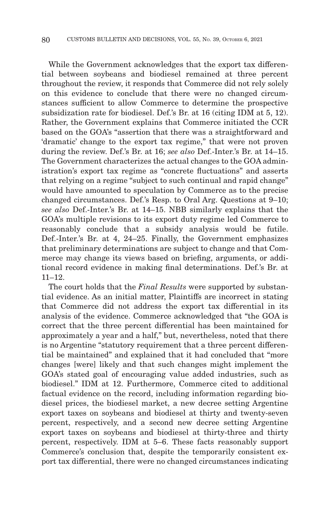While the Government acknowledges that the export tax differential between soybeans and biodiesel remained at three percent throughout the review, it responds that Commerce did not rely solely on this evidence to conclude that there were no changed circumstances sufficient to allow Commerce to determine the prospective subsidization rate for biodiesel. Def.'s Br. at 16 (citing IDM at 5, 12). Rather, the Government explains that Commerce initiated the CCR based on the GOA's "assertion that there was a straightforward and 'dramatic' change to the export tax regime," that were not proven during the review. Def.'s Br. at 16; *see also* Def.-Inter.'s Br. at 14–15. The Government characterizes the actual changes to the GOA administration's export tax regime as "concrete fluctuations" and asserts that relying on a regime "subject to such continual and rapid change" would have amounted to speculation by Commerce as to the precise changed circumstances. Def.'s Resp. to Oral Arg. Questions at 9–10; *see also* Def.-Inter.'s Br. at 14–15. NBB similarly explains that the GOA's multiple revisions to its export duty regime led Commerce to reasonably conclude that a subsidy analysis would be futile. Def.-Inter.'s Br. at 4, 24–25. Finally, the Government emphasizes that preliminary determinations are subject to change and that Commerce may change its views based on briefing, arguments, or additional record evidence in making final determinations. Def.'s Br. at  $11-12.$ 

The court holds that the *Final Results* were supported by substantial evidence. As an initial matter, Plaintiffs are incorrect in stating that Commerce did not address the export tax differential in its analysis of the evidence. Commerce acknowledged that "the GOA is correct that the three percent differential has been maintained for approximately a year and a half," but, nevertheless, noted that there is no Argentine "statutory requirement that a three percent differential be maintained" and explained that it had concluded that "more changes [were] likely and that such changes might implement the GOA's stated goal of encouraging value added industries, such as biodiesel." IDM at 12. Furthermore, Commerce cited to additional factual evidence on the record, including information regarding biodiesel prices, the biodiesel market, a new decree setting Argentine export taxes on soybeans and biodiesel at thirty and twenty-seven percent, respectively, and a second new decree setting Argentine export taxes on soybeans and biodiesel at thirty-three and thirty percent, respectively. IDM at 5–6. These facts reasonably support Commerce's conclusion that, despite the temporarily consistent export tax differential, there were no changed circumstances indicating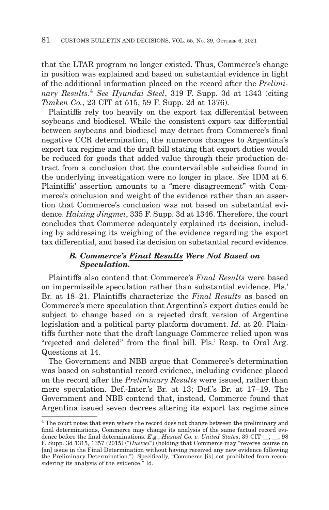that the LTAR program no longer existed. Thus, Commerce's change in position was explained and based on substantial evidence in light of the additional information placed on the record after the *Preliminary Results*. <sup>4</sup>*See Hyundai Steel*, 319 F. Supp. 3d at 1343 (citing *Timken Co.*, 23 CIT at 515, 59 F. Supp. 2d at 1376).

Plaintiffs rely too heavily on the export tax differential between soybeans and biodiesel. While the consistent export tax differential between soybeans and biodiesel may detract from Commerce's final negative CCR determination, the numerous changes to Argentina's export tax regime and the draft bill stating that export duties would be reduced for goods that added value through their production detract from a conclusion that the countervailable subsidies found in the underlying investigation were no longer in place. *See* IDM at 6. Plaintiffs' assertion amounts to a "mere disagreement" with Commerce's conclusion and weight of the evidence rather than an assertion that Commerce's conclusion was not based on substantial evidence. *Haixing Jingmei*, 335 F. Supp. 3d at 1346. Therefore, the court concludes that Commerce adequately explained its decision, including by addressing its weighing of the evidence regarding the export tax differential, and based its decision on substantial record evidence.

## *B. Commerce's Final Results Were Not Based on Speculation.*

Plaintiffs also contend that Commerce's *Final Results* were based on impermissible speculation rather than substantial evidence. Pls.' Br. at 18–21. Plaintiffs characterize the *Final Results* as based on Commerce's mere speculation that Argentina's export duties could be subject to change based on a rejected draft version of Argentine legislation and a political party platform document. *Id.* at 20. Plaintiffs further note that the draft language Commerce relied upon was "rejected and deleted" from the final bill. Pls.' Resp. to Oral Arg. Questions at 14.

The Government and NBB argue that Commerce's determination was based on substantial record evidence, including evidence placed on the record after the *Preliminary Results* were issued, rather than mere speculation. Def.-Inter.'s Br. at 13; Def.'s Br. at 17–19. The Government and NBB contend that, instead, Commerce found that Argentina issued seven decrees altering its export tax regime since

<sup>&</sup>lt;sup>4</sup> The court notes that even where the record does not change between the preliminary and final determinations, Commerce may change its analysis of the same factual record evidence before the final determinations. *E.g.*, *Husteel Co. v. United States*, 39 CIT \_\_, \_\_, 98 F. Supp. 3d 1315, 1357 (2015) ("*Husteel*") (holding that Commerce may "reverse course on [an] issue in the Final Determination without having received any new evidence following the Preliminary Determination."). Specifically, "Commerce [is] not prohibited from reconsidering its analysis of the evidence." Id.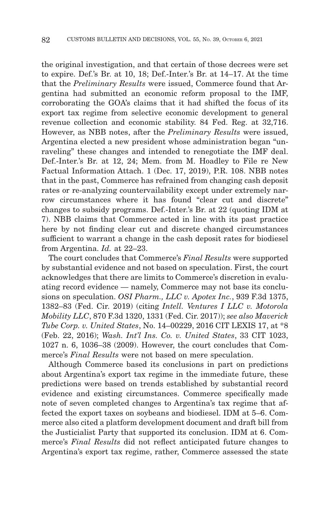the original investigation, and that certain of those decrees were set to expire. Def.'s Br. at 10, 18; Def.-Inter.'s Br. at 14–17. At the time that the *Preliminary Results* were issued, Commerce found that Argentina had submitted an economic reform proposal to the IMF, corroborating the GOA's claims that it had shifted the focus of its export tax regime from selective economic development to general revenue collection and economic stability. 84 Fed. Reg. at 32,716. However, as NBB notes, after the *Preliminary Results* were issued, Argentina elected a new president whose administration began "unraveling" these changes and intended to renegotiate the IMF deal. Def.-Inter.'s Br. at 12, 24; Mem. from M. Hoadley to File re New Factual Information Attach. 1 (Dec. 17, 2019), P.R. 108. NBB notes that in the past, Commerce has refrained from changing cash deposit rates or re-analyzing countervailability except under extremely narrow circumstances where it has found "clear cut and discrete" changes to subsidy programs. Def.-Inter.'s Br. at 22 (quoting IDM at 7). NBB claims that Commerce acted in line with its past practice here by not finding clear cut and discrete changed circumstances sufficient to warrant a change in the cash deposit rates for biodiesel from Argentina. *Id.* at 22–23.

The court concludes that Commerce's *Final Results* were supported by substantial evidence and not based on speculation. First, the court acknowledges that there are limits to Commerce's discretion in evaluating record evidence — namely, Commerce may not base its conclusions on speculation. *OSI Pharm., LLC v. Apotex Inc.*, 939 F.3d 1375, 1382–83 (Fed. Cir. 2019) (citing *Intell. Ventures I LLC v. Motorola Mobility LLC*, 870 F.3d 1320, 1331 (Fed. Cir. 2017)); *see also Maverick Tube Corp. v. United States*, No. 14–00229, 2016 CIT LEXIS 17, at \*8 (Feb. 22, 2016); *Wash. Int'l Ins. Co. v. United States*, 33 CIT 1023, 1027 n. 6, 1036–38 (2009). However, the court concludes that Commerce's *Final Results* were not based on mere speculation.

Although Commerce based its conclusions in part on predictions about Argentina's export tax regime in the immediate future, these predictions were based on trends established by substantial record evidence and existing circumstances. Commerce specifically made note of seven completed changes to Argentina's tax regime that affected the export taxes on soybeans and biodiesel. IDM at 5–6. Commerce also cited a platform development document and draft bill from the Justicialist Party that supported its conclusion. IDM at 6. Commerce's *Final Results* did not reflect anticipated future changes to Argentina's export tax regime, rather, Commerce assessed the state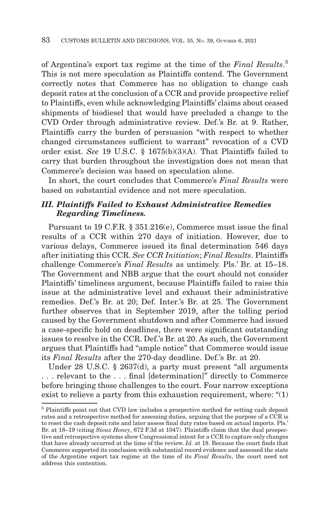of Argentina's export tax regime at the time of the *Final Results*. 5 This is not mere speculation as Plaintiffs contend. The Government correctly notes that Commerce has no obligation to change cash deposit rates at the conclusion of a CCR and provide prospective relief to Plaintiffs, even while acknowledging Plaintiffs' claims about ceased shipments of biodiesel that would have precluded a change to the CVD Order through administrative review. Def.'s Br. at 9. Rather, Plaintiffs carry the burden of persuasion "with respect to whether changed circumstances sufficient to warrant" revocation of a CVD order exist. *See* 19 U.S.C. § 1675(b)(3)(A). That Plaintiffs failed to carry that burden throughout the investigation does not mean that Commerce's decision was based on speculation alone.

In short, the court concludes that Commerce's *Final Results* were based on substantial evidence and not mere speculation.

## *III. Plaintiffs Failed to Exhaust Administrative Remedies Regarding Timeliness.*

Pursuant to 19 C.F.R. § 351.216(e), Commerce must issue the final results of a CCR within 270 days of initiation. However, due to various delays, Commerce issued its final determination 546 days after initiating this CCR. *See CCR Initiation*; *Final Results*. Plaintiffs challenge Commerce's *Final Results* as untimely. Pls.' Br. at 15–18. The Government and NBB argue that the court should not consider Plaintiffs' timeliness argument, because Plaintiffs failed to raise this issue at the administrative level and exhaust their administrative remedies. Def.'s Br. at 20; Def. Inter.'s Br. at 25. The Government further observes that in September 2019, after the tolling period caused by the Government shutdown and after Commerce had issued a case-specific hold on deadlines, there were significant outstanding issues to resolve in the CCR. Def.'s Br. at 20. As such, the Government argues that Plaintiffs had "ample notice" that Commerce would issue its *Final Results* after the 270-day deadline. Def.'s Br. at 20.

Under 28 U.S.C. § 2637(d), a party must present "all arguments . . . relevant to the . . . final [determination]" directly to Commerce before bringing those challenges to the court. Four narrow exceptions exist to relieve a party from this exhaustion requirement, where: "(1)

<sup>5</sup> Plaintiffs point out that CVD law includes a prospective method for setting cash deposit rates and a retrospective method for assessing duties, arguing that the purpose of a CCR is to reset the cash deposit rate and later assess final duty rates based on actual imports. Pls.' Br. at 18–19 (citing *Sioux Honey*, 672 F.3d at 1047). Plaintiffs claim that the dual prospective and retrospective systems show Congressional intent for a CCR to capture only changes that have already occurred at the time of the review. *Id.* at 18. Because the court finds that Commerce supported its conclusion with substantial record evidence and assessed the state of the Argentine export tax regime at the time of its *Final Results*, the court need not address this contention.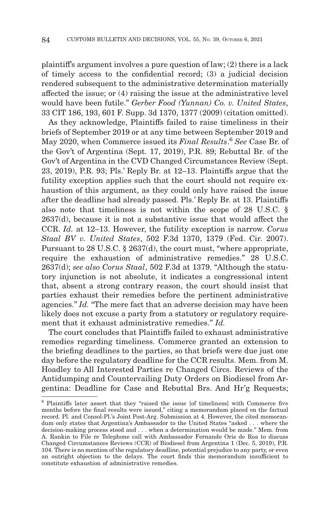plaintiff's argument involves a pure question of law; (2) there is a lack of timely access to the confidential record; (3) a judicial decision rendered subsequent to the administrative determination materially affected the issue; or (4) raising the issue at the administrative level would have been futile." *Gerber Food (Yunnan) Co. v. United States*, 33 CIT 186, 193, 601 F. Supp. 3d 1370, 1377 (2009) (citation omitted).

As they acknowledge, Plaintiffs failed to raise timeliness in their briefs of September 2019 or at any time between September 2019 and May 2020, when Commerce issued its *Final Results*. <sup>6</sup>*See* Case Br. of the Gov't of Argentina (Sept. 17, 2019), P.R. 89; Rebuttal Br. of the Gov't of Argentina in the CVD Changed Circumstances Review (Sept. 23, 2019), P.R. 93; Pls.' Reply Br. at 12–13. Plaintiffs argue that the futility exception applies such that the court should not require exhaustion of this argument, as they could only have raised the issue after the deadline had already passed. Pls.' Reply Br. at 13. Plaintiffs also note that timeliness is not within the scope of 28 U.S.C. § 2637(d), because it is not a substantive issue that would affect the CCR. *Id.* at 12–13. However, the futility exception is narrow. *Corus Staal BV v. United States*, 502 F.3d 1370, 1379 (Fed. Cir. 2007). Pursuant to 28 U.S.C. § 2637(d), the court must, "where appropriate, require the exhaustion of administrative remedies." 28 U.S.C. 2637(d); *see also Corus Staal*, 502 F.3d at 1379. "Although the statutory injunction is not absolute, it indicates a congressional intent that, absent a strong contrary reason, the court should insist that parties exhaust their remedies before the pertinent administrative agencies." *Id.* "The mere fact that an adverse decision may have been likely does not excuse a party from a statutory or regulatory requirement that it exhaust administrative remedies." *Id.*

The court concludes that Plaintiffs failed to exhaust administrative remedies regarding timeliness. Commerce granted an extension to the briefing deadlines to the parties, so that briefs were due just one day before the regulatory deadline for the CCR results. Mem. from M. Hoadley to All Interested Parties re Changed Circs. Reviews of the Antidumping and Countervailing Duty Orders on Biodiesel from Argentina: Deadline for Case and Rebuttal Brs. And Hr'g Requests;

<sup>6</sup> Plaintiffs later assert that they "raised the issue [of timeliness] with Commerce five months before the final results were issued," citing a memorandum placed on the factual record. Pl. and Consol-Pl.'s Joint Post-Arg. Submission at 4. However, the cited memorandum only states that Argentina's Ambassador to the United States "asked . . . where the decision-making process stood and . . . when a determination would be made." Mem. from A. Rankin to File re Telephone call with Ambassador Fernando Oris de Roa to discuss Changed Circumstances Reviews (CCR) of Biodiesel from Argentina 1 (Dec. 5, 2019), P.R. 104. There is no mention of the regulatory deadline, potential prejudice to any party, or even an outright objection to the delays. The court finds this memorandum insufficient to constitute exhaustion of administrative remedies.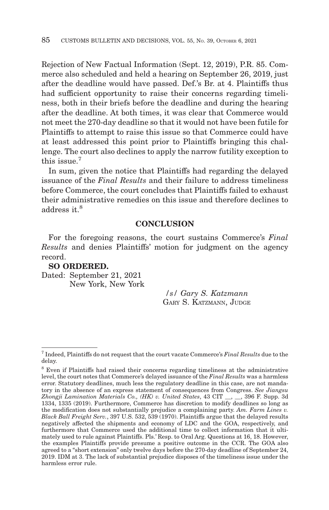Rejection of New Factual Information (Sept. 12, 2019), P.R. 85. Commerce also scheduled and held a hearing on September 26, 2019, just after the deadline would have passed. Def.'s Br. at 4. Plaintiffs thus had sufficient opportunity to raise their concerns regarding timeliness, both in their briefs before the deadline and during the hearing after the deadline. At both times, it was clear that Commerce would not meet the 270-day deadline so that it would not have been futile for Plaintiffs to attempt to raise this issue so that Commerce could have at least addressed this point prior to Plaintiffs bringing this challenge. The court also declines to apply the narrow futility exception to this issue.7

In sum, given the notice that Plaintiffs had regarding the delayed issuance of the *Final Results* and their failure to address timeliness before Commerce, the court concludes that Plaintiffs failed to exhaust their administrative remedies on this issue and therefore declines to address it.<sup>8</sup>

#### **CONCLUSION**

For the foregoing reasons, the court sustains Commerce's *Final Results* and denies Plaintiffs' motion for judgment on the agency record.

## **SO ORDERED.**

Dated: September 21, 2021 New York, New York

> */s/ Gary S. Katzmann* GARY S. KATZMANN, JUDGE

<sup>7</sup> Indeed, Plaintiffs do not request that the court vacate Commerce's *Final Results* due to the delay.

<sup>8</sup> Even if Plaintiffs had raised their concerns regarding timeliness at the administrative level, the court notes that Commerce's delayed issuance of the *Final Results* was a harmless error. Statutory deadlines, much less the regulatory deadline in this case, are not mandatory in the absence of an express statement of consequences from Congress. *See Jiangsu Zhongji Lamination Materials Co., (HK) v. United States*, 43 CIT \_\_, \_\_, 396 F. Supp. 3d 1334, 1335 (2019). Furthermore, Commerce has discretion to modify deadlines so long as the modification does not substantially prejudice a complaining party. *Am. Farm Lines v. Black Ball Freight Serv.*, 397 U.S. 532, 539 (1970). Plaintiffs argue that the delayed results negatively affected the shipments and economy of LDC and the GOA, respectively, and furthermore that Commerce used the additional time to collect information that it ultimately used to rule against Plaintiffs. Pls.' Resp. to Oral Arg. Questions at 16, 18. However, the examples Plaintiffs provide presume a positive outcome in the CCR. The GOA also agreed to a "short extension" only twelve days before the 270-day deadline of September 24, 2019. IDM at 3. The lack of substantial prejudice disposes of the timeliness issue under the harmless error rule.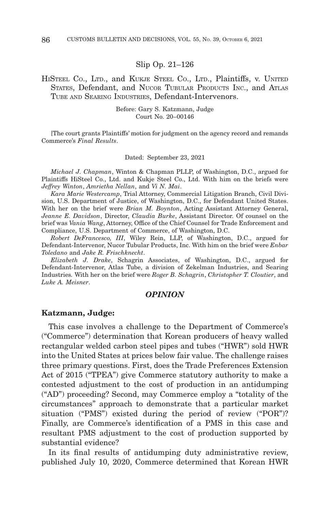#### Slip Op. 21–126

### HISTEEL CO., LTD., and KUKJE STEEL CO., LTD., Plaintiffs, v. UNITED STATES, Defendant, and NUCOR TUBULAR PRODUCTS INC., and ATLAS TUBE AND SEARING INDUSTRIES, Defendant-Intervenors.

Before: Gary S. Katzmann, Judge Court No. 20–00146

[The court grants Plaintiffs' motion for judgment on the agency record and remands Commerce's *Final Results*.

Dated: September 23, 2021

*Michael J. Chapman*, Winton & Chapman PLLP, of Washington, D.C., argued for Plaintiffs HiSteel Co., Ltd. and Kukje Steel Co., Ltd. With him on the briefs were *Jeffrey Winton*, *Amrietha Nellan*, and *Vi N. Mai*.

*Kara Marie Westercamp*, Trial Attorney, Commercial Litigation Branch, Civil Division, U.S. Department of Justice, of Washington, D.C., for Defendant United States. With her on the brief were *Brian M. Boynton*, Acting Assistant Attorney General, *Jeanne E. Davidson*, Director, *Claudia Burke*, Assistant Director. Of counsel on the brief was *Vania Wang*, Attorney, Office of the Chief Counsel for Trade Enforcement and Compliance, U.S. Department of Commerce, of Washington, D.C.

*Robert DeFrancesco, III*, Wiley Rein, LLP, of Washington, D.C., argued for Defendant-Intervenor, Nucor Tubular Products, Inc. With him on the brief were *Enbar Toledano* and *Jake R. Frischknecht*.

*Elizabeth J. Drake*, Schagrin Associates, of Washington, D.C., argued for Defendant-Intervenor, Atlas Tube, a division of Zekelman Industries, and Searing Industries*.* With her on the brief were *Roger B. Schagrin*, *Christopher T. Cloutier*, and *Luke A. Meisner*.

#### *OPINION*

#### **Katzmann, Judge:**

This case involves a challenge to the Department of Commerce's ("Commerce") determination that Korean producers of heavy walled rectangular welded carbon steel pipes and tubes ("HWR") sold HWR into the United States at prices below fair value. The challenge raises three primary questions. First, does the Trade Preferences Extension Act of 2015 ("TPEA") give Commerce statutory authority to make a contested adjustment to the cost of production in an antidumping ("AD") proceeding? Second, may Commerce employ a "totality of the circumstances" approach to demonstrate that a particular market situation ("PMS") existed during the period of review ("POR")? Finally, are Commerce's identification of a PMS in this case and resultant PMS adjustment to the cost of production supported by substantial evidence?

In its final results of antidumping duty administrative review, published July 10, 2020, Commerce determined that Korean HWR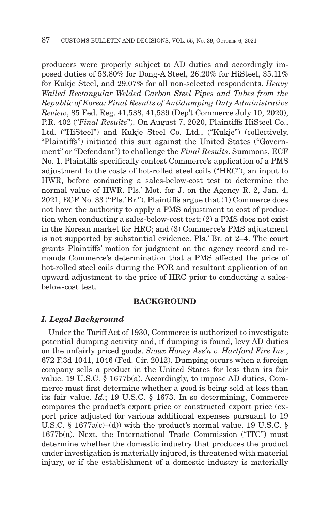producers were properly subject to AD duties and accordingly imposed duties of 53.80% for Dong-A Steel, 26.20% for HiSteel, 35.11% for Kukje Steel, and 29.07% for all non-selected respondents. *Heavy Walled Rectangular Welded Carbon Steel Pipes and Tubes from the Republic of Korea: Final Results of Antidumping Duty Administrative Review*, 85 Fed. Reg. 41,538, 41,539 (Dep't Commerce July 10, 2020), P.R. 402 ("*Final Results*"). On August 7, 2020, Plaintiffs HiSteel Co., Ltd. ("HiSteel") and Kukje Steel Co. Ltd., ("Kukje") (collectively, "Plaintiffs") initiated this suit against the United States ("Government" or "Defendant") to challenge the *Final Results*. Summons, ECF No. 1. Plaintiffs specifically contest Commerce's application of a PMS adjustment to the costs of hot-rolled steel coils ("HRC"), an input to HWR, before conducting a sales-below-cost test to determine the normal value of HWR. Pls.' Mot. for J. on the Agency R. 2, Jan. 4, 2021, ECF No. 33 ("Pls.' Br."). Plaintiffs argue that (1) Commerce does not have the authority to apply a PMS adjustment to cost of production when conducting a sales-below-cost test; (2) a PMS does not exist in the Korean market for HRC; and (3) Commerce's PMS adjustment is not supported by substantial evidence. Pls.' Br. at 2–4. The court grants Plaintiffs' motion for judgment on the agency record and remands Commerce's determination that a PMS affected the price of hot-rolled steel coils during the POR and resultant application of an upward adjustment to the price of HRC prior to conducting a salesbelow-cost test.

#### **BACKGROUND**

#### *I. Legal Background*

Under the Tariff Act of 1930, Commerce is authorized to investigate potential dumping activity and, if dumping is found, levy AD duties on the unfairly priced goods. *Sioux Honey Ass'n v. Hartford Fire Ins*., 672 F.3d 1041, 1046 (Fed. Cir. 2012). Dumping occurs when a foreign company sells a product in the United States for less than its fair value. 19 U.S.C. § 1677b(a). Accordingly, to impose AD duties, Commerce must first determine whether a good is being sold at less than its fair value. *Id.*; 19 U.S.C. § 1673. In so determining, Commerce compares the product's export price or constructed export price (export price adjusted for various additional expenses pursuant to 19 U.S.C. § 1677a(c)–(d)) with the product's normal value. 19 U.S.C. § 1677b(a). Next, the International Trade Commission ("ITC") must determine whether the domestic industry that produces the product under investigation is materially injured, is threatened with material injury, or if the establishment of a domestic industry is materially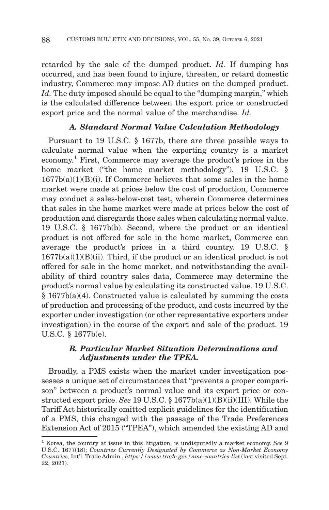retarded by the sale of the dumped product. *Id.* If dumping has occurred, and has been found to injure, threaten, or retard domestic industry, Commerce may impose AD duties on the dumped product. Id. The duty imposed should be equal to the "dumping margin," which is the calculated difference between the export price or constructed export price and the normal value of the merchandise. *Id.*

## *A. Standard Normal Value Calculation Methodology*

Pursuant to 19 U.S.C. § 1677b, there are three possible ways to calculate normal value when the exporting country is a market economy. 1 First, Commerce may average the product's prices in the home market ("the home market methodology"). 19 U.S.C. § 1677b(a)(1)(B)(i). If Commerce believes that some sales in the home market were made at prices below the cost of production, Commerce may conduct a sales-below-cost test, wherein Commerce determines that sales in the home market were made at prices below the cost of production and disregards those sales when calculating normal value. 19 U.S.C. § 1677b(b). Second, where the product or an identical product is not offered for sale in the home market, Commerce can average the product's prices in a third country. 19 U.S.C. §  $1677b(a)(1)(B)(ii)$ . Third, if the product or an identical product is not offered for sale in the home market, and notwithstanding the availability of third country sales data, Commerce may determine the product's normal value by calculating its constructed value. 19 U.S.C. § 1677b(a)(4). Constructed value is calculated by summing the costs of production and processing of the product, and costs incurred by the exporter under investigation (or other representative exporters under investigation) in the course of the export and sale of the product. 19 U.S.C. § 1677b(e).

## *B. Particular Market Situation Determinations and Adjustments under the TPEA.*

Broadly, a PMS exists when the market under investigation possesses a unique set of circumstances that "prevents a proper comparison" between a product's normal value and its export price or constructed export price. *See* 19 U.S.C. § 1677b(a)(1)(B)(ii)(III). While the Tariff Act historically omitted explicit guidelines for the identification of a PMS, this changed with the passage of the Trade Preferences Extension Act of 2015 ("TPEA"), which amended the existing AD and

<sup>1</sup> Korea, the country at issue in this litigation, is undisputedly a market economy. *See* 9 U.S.C. 1677(18); *Countries Currently Designated by Commerce as Non-Market Economy Countries*, Int'l. Trade Admin., *https://www.trade.gov/nme-countries-list* (last visited Sept. 22, 2021).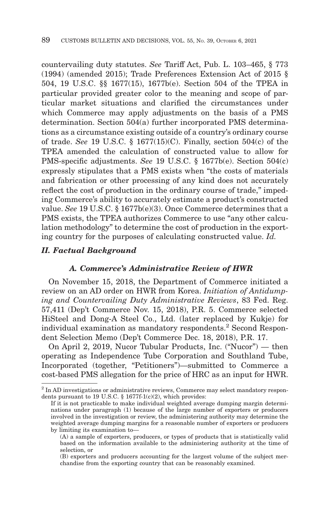countervailing duty statutes. *See* Tariff Act, Pub. L. 103–465, § 773 (1994) (amended 2015); Trade Preferences Extension Act of 2015 § 504, 19 U.S.C. §§ 1677(15), 1677b(e). Section 504 of the TPEA in particular provided greater color to the meaning and scope of particular market situations and clarified the circumstances under which Commerce may apply adjustments on the basis of a PMS determination. Section 504(a) further incorporated PMS determinations as a circumstance existing outside of a country's ordinary course of trade. *See* 19 U.S.C. § 1677(15)(C). Finally, section 504(c) of the TPEA amended the calculation of constructed value to allow for PMS-specific adjustments. *See* 19 U.S.C. § 1677b(e). Section 504(c) expressly stipulates that a PMS exists when "the costs of materials and fabrication or other processing of any kind does not accurately reflect the cost of production in the ordinary course of trade," impeding Commerce's ability to accurately estimate a product's constructed value. *See* 19 U.S.C. § 1677b(e)(3). Once Commerce determines that a PMS exists, the TPEA authorizes Commerce to use "any other calculation methodology" to determine the cost of production in the exporting country for the purposes of calculating constructed value. *Id.*

#### *II. Factual Background*

## *A. Commerce's Administrative Review of HWR*

On November 15, 2018, the Department of Commerce initiated a review on an AD order on HWR from Korea. *Initiation of Antidumping and Countervailing Duty Administrative Reviews*, 83 Fed. Reg. 57,411 (Dep't Commerce Nov. 15, 2018), P.R. 5. Commerce selected HiSteel and Dong-A Steel Co., Ltd. (later replaced by Kukje) for individual examination as mandatory respondents.<sup>2</sup> Second Respondent Selection Memo (Dep't Commerce Dec. 18, 2018), P.R. 17.

On April 2, 2019, Nucor Tubular Products, Inc. ("Nucor") — then operating as Independence Tube Corporation and Southland Tube, Incorporated (together, "Petitioners")—submitted to Commerce a cost-based PMS allegation for the price of HRC as an input for HWR.

<sup>&</sup>lt;sup>2</sup> In AD investigations or administrative reviews, Commerce may select mandatory respondents pursuant to 19 U.S.C. § 1677f-1(c)(2), which provides:

If it is not practicable to make individual weighted average dumping margin determinations under paragraph (1) because of the large number of exporters or producers involved in the investigation or review, the administering authority may determine the weighted average dumping margins for a reasonable number of exporters or producers by limiting its examination to—

<sup>(</sup>A) a sample of exporters, producers, or types of products that is statistically valid based on the information available to the administering authority at the time of selection, or

<sup>(</sup>B) exporters and producers accounting for the largest volume of the subject merchandise from the exporting country that can be reasonably examined.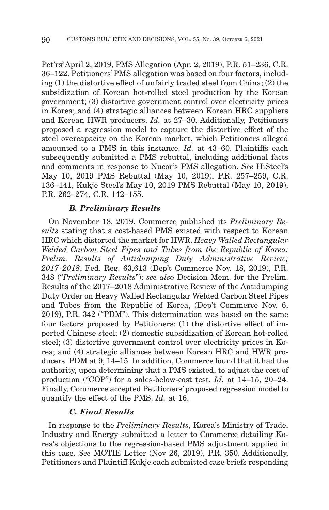Pet'rs' April 2, 2019, PMS Allegation (Apr. 2, 2019), P.R. 51–236, C.R. 36–122. Petitioners' PMS allegation was based on four factors, including (1) the distortive effect of unfairly traded steel from China; (2) the subsidization of Korean hot-rolled steel production by the Korean government; (3) distortive government control over electricity prices in Korea; and (4) strategic alliances between Korean HRC suppliers and Korean HWR producers. *Id.* at 27–30. Additionally, Petitioners proposed a regression model to capture the distortive effect of the steel overcapacity on the Korean market, which Petitioners alleged amounted to a PMS in this instance. *Id.* at 43–60. Plaintiffs each subsequently submitted a PMS rebuttal, including additional facts and comments in response to Nucor's PMS allegation. *See* HiSteel's May 10, 2019 PMS Rebuttal (May 10, 2019), P.R. 257–259, C.R. 136–141, Kukje Steel's May 10, 2019 PMS Rebuttal (May 10, 2019), P.R. 262–274, C.R. 142–155.

#### *B. Preliminary Results*

On November 18, 2019, Commerce published its *Preliminary Results* stating that a cost-based PMS existed with respect to Korean HRC which distorted the market for HWR. *Heavy Walled Rectangular Welded Carbon Steel Pipes and Tubes from the Republic of Korea: Prelim. Results of Antidumping Duty Administrative Review; 2017–2018*, Fed. Reg. 63,613 (Dep't Commerce Nov. 18, 2019), P.R. 348 ("*Preliminary Results*"); *see also* Decision Mem. for the Prelim. Results of the 2017–2018 Administrative Review of the Antidumping Duty Order on Heavy Walled Rectangular Welded Carbon Steel Pipes and Tubes from the Republic of Korea, (Dep't Commerce Nov. 6, 2019), P.R. 342 ("PDM"). This determination was based on the same four factors proposed by Petitioners: (1) the distortive effect of imported Chinese steel; (2) domestic subsidization of Korean hot-rolled steel; (3) distortive government control over electricity prices in Korea; and (4) strategic alliances between Korean HRC and HWR producers. PDM at 9, 14–15. In addition, Commerce found that it had the authority, upon determining that a PMS existed, to adjust the cost of production ("COP") for a sales-below-cost test. *Id.* at 14–15, 20–24. Finally, Commerce accepted Petitioners' proposed regression model to quantify the effect of the PMS. *Id.* at 16.

#### *C. Final Results*

In response to the *Preliminary Results*, Korea's Ministry of Trade, Industry and Energy submitted a letter to Commerce detailing Korea's objections to the regression-based PMS adjustment applied in this case. *See* MOTIE Letter (Nov 26, 2019), P.R. 350. Additionally, Petitioners and Plaintiff Kukje each submitted case briefs responding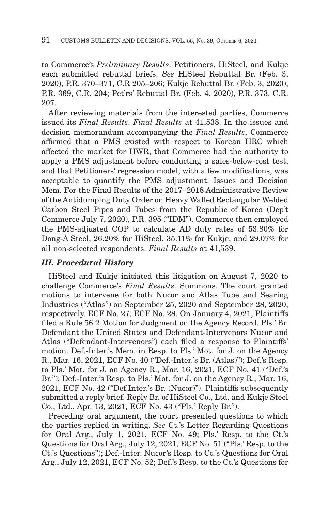to Commerce's *Preliminary Results*. Petitioners, HiSteel, and Kukje each submitted rebuttal briefs. *See* HiSteel Rebuttal Br. (Feb. 3, 2020), P.R. 370–371, C.R 205–206; Kukje Rebuttal Br. (Feb. 3, 2020), P.R. 369, C.R. 204; Pet'rs' Rebuttal Br. (Feb. 4, 2020), P.R. 373, C.R. 207.

After reviewing materials from the interested parties, Commerce issued its *Final Results*. *Final Results* at 41,538. In the issues and decision memorandum accompanying the *Final Results*, Commerce affirmed that a PMS existed with respect to Korean HRC which affected the market for HWR, that Commerce had the authority to apply a PMS adjustment before conducting a sales-below-cost test, and that Petitioners' regression model, with a few modifications, was acceptable to quantify the PMS adjustment. Issues and Decision Mem. For the Final Results of the 2017–2018 Administrative Review of the Antidumping Duty Order on Heavy Walled Rectangular Welded Carbon Steel Pipes and Tubes from the Republic of Korea (Dep't Commerce July 7, 2020), P.R. 395 ("IDM"). Commerce then employed the PMS-adjusted COP to calculate AD duty rates of 53.80% for Dong-A Steel, 26.20% for HiSteel, 35.11% for Kukje, and 29.07% for all non-selected respondents. *Final Results* at 41,539.

## *III. Procedural History*

HiSteel and Kukje initiated this litigation on August 7, 2020 to challenge Commerce's *Final Results*. Summons. The court granted motions to intervene for both Nucor and Atlas Tube and Searing Industries ("Atlas") on September 25, 2020 and September 28, 2020, respectively. ECF No. 27, ECF No. 28. On January 4, 2021, Plaintiffs filed a Rule 56.2 Motion for Judgment on the Agency Record. Pls.' Br. Defendant the United States and Defendant-Intervenors Nucor and Atlas ("Defendant-Intervenors") each filed a response to Plaintiffs' motion. Def.-Inter.'s Mem. in Resp. to Pls.' Mot. for J. on the Agency R., Mar. 16, 2021, ECF No. 40 ("Def.-Inter.'s Br. (Atlas)"); Def.'s Resp. to Pls.' Mot. for J. on Agency R., Mar. 16, 2021, ECF No. 41 ("Def.'s Br."); Def.-Inter.'s Resp. to Pls.' Mot. for J. on the Agency R., Mar. 16, 2021, ECF No. 42 ("Def.Inter.'s Br. (Nucor)"). Plaintiffs subsequently submitted a reply brief. Reply Br. of HiSteel Co., Ltd. and Kukje Steel Co., Ltd., Apr. 13, 2021, ECF No. 43 ("Pls.' Reply Br.").

Preceding oral argument, the court presented questions to which the parties replied in writing. *See* Ct.'s Letter Regarding Questions for Oral Arg., July 1, 2021, ECF No. 49; Pls.' Resp. to the Ct.'s Questions for Oral Arg., July 12, 2021, ECF No. 51 ("Pls.' Resp. to the Ct.'s Questions"); Def.-Inter. Nucor's Resp. to Ct.'s Questions for Oral Arg., July 12, 2021, ECF No. 52; Def.'s Resp. to the Ct.'s Questions for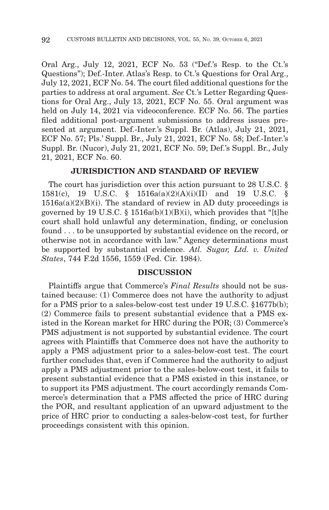Oral Arg., July 12, 2021, ECF No. 53 ("Def.'s Resp. to the Ct.'s Questions"); Def.-Inter. Atlas's Resp. to Ct.'s Questions for Oral Arg., July 12, 2021, ECF No. 54. The court filed additional questions for the parties to address at oral argument. *See* Ct.'s Letter Regarding Questions for Oral Arg., July 13, 2021, ECF No. 55. Oral argument was held on July 14, 2021 via videoconference. ECF No. 56. The parties filed additional post-argument submissions to address issues presented at argument. Def.-Inter.'s Suppl. Br. (Atlas), July 21, 2021, ECF No. 57; Pls.' Suppl. Br., July 21, 2021, ECF No. 58; Def.-Inter.'s Suppl. Br. (Nucor), July 21, 2021, ECF No. 59; Def.'s Suppl. Br., July 21, 2021, ECF No. 60.

#### **JURISDICTION AND STANDARD OF REVIEW**

The court has jurisdiction over this action pursuant to 28 U.S.C. § 1581(c), 19 U.S.C. § 1516a(a)(2)(A)(i)(II) and 19 U.S.C. §  $1516a(a)(2)(B)(i)$ . The standard of review in AD duty proceedings is governed by 19 U.S.C.  $\S$  1516a(b)(1)(B)(i), which provides that "[t]he court shall hold unlawful any determination, finding, or conclusion found . . . to be unsupported by substantial evidence on the record, or otherwise not in accordance with law." Agency determinations must be supported by substantial evidence. *Atl. Sugar, Ltd. v. United States*, 744 F.2d 1556, 1559 (Fed. Cir. 1984).

#### **DISCUSSION**

Plaintiffs argue that Commerce's *Final Results* should not be sustained because: (1) Commerce does not have the authority to adjust for a PMS prior to a sales-below-cost test under 19 U.S.C. §1677b(b); (2) Commerce fails to present substantial evidence that a PMS existed in the Korean market for HRC during the POR; (3) Commerce's PMS adjustment is not supported by substantial evidence. The court agrees with Plaintiffs that Commerce does not have the authority to apply a PMS adjustment prior to a sales-below-cost test. The court further concludes that, even if Commerce had the authority to adjust apply a PMS adjustment prior to the sales-below-cost test, it fails to present substantial evidence that a PMS existed in this instance, or to support its PMS adjustment. The court accordingly remands Commerce's determination that a PMS affected the price of HRC during the POR, and resultant application of an upward adjustment to the price of HRC prior to conducting a sales-below-cost test, for further proceedings consistent with this opinion.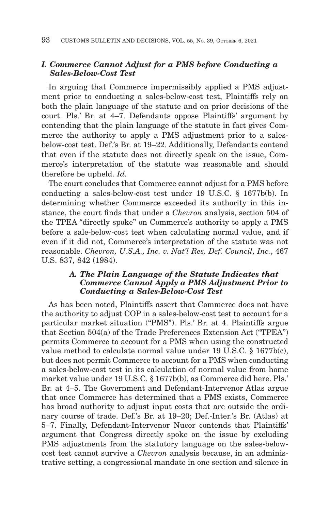## *I. Commerce Cannot Adjust for a PMS before Conducting a Sales-Below-Cost Test*

In arguing that Commerce impermissibly applied a PMS adjustment prior to conducting a sales-below-cost test, Plaintiffs rely on both the plain language of the statute and on prior decisions of the court. Pls.' Br. at 4–7. Defendants oppose Plaintiffs' argument by contending that the plain language of the statute in fact gives Commerce the authority to apply a PMS adjustment prior to a salesbelow-cost test. Def.'s Br. at 19–22. Additionally, Defendants contend that even if the statute does not directly speak on the issue, Commerce's interpretation of the statute was reasonable and should therefore be upheld. *Id.*

The court concludes that Commerce cannot adjust for a PMS before conducting a sales-below-cost test under 19 U.S.C. § 1677b(b). In determining whether Commerce exceeded its authority in this instance, the court finds that under a *Chevron* analysis, section 504 of the TPEA "directly spoke" on Commerce's authority to apply a PMS before a sale-below-cost test when calculating normal value, and if even if it did not, Commerce's interpretation of the statute was not reasonable. *Chevron, U.S.A., Inc. v. Nat'l Res. Def. Council, Inc.*, 467 U.S. 837, 842 (1984).

## *A. The Plain Language of the Statute Indicates that Commerce Cannot Apply a PMS Adjustment Prior to Conducting a Sales-Below-Cost Test*

As has been noted, Plaintiffs assert that Commerce does not have the authority to adjust COP in a sales-below-cost test to account for a particular market situation ("PMS"). Pls.' Br. at 4. Plaintiffs argue that Section 504(a) of the Trade Preferences Extension Act ("TPEA") permits Commerce to account for a PMS when using the constructed value method to calculate normal value under 19 U.S.C. § 1677b(c), but does not permit Commerce to account for a PMS when conducting a sales-below-cost test in its calculation of normal value from home market value under 19 U.S.C. § 1677b(b), as Commerce did here. Pls.' Br. at 4–5. The Government and Defendant-Intervenor Atlas argue that once Commerce has determined that a PMS exists, Commerce has broad authority to adjust input costs that are outside the ordinary course of trade. Def.'s Br. at 19–20; Def.-Inter.'s Br. (Atlas) at 5–7. Finally, Defendant-Intervenor Nucor contends that Plaintiffs' argument that Congress directly spoke on the issue by excluding PMS adjustments from the statutory language on the sales-belowcost test cannot survive a *Chevron* analysis because, in an administrative setting, a congressional mandate in one section and silence in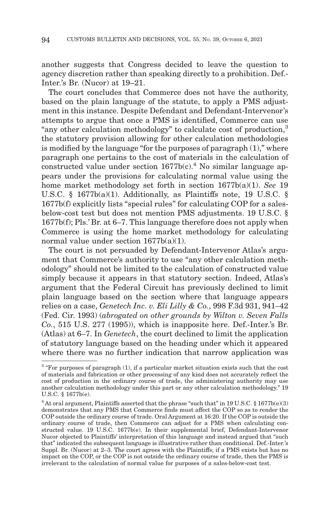another suggests that Congress decided to leave the question to agency discretion rather than speaking directly to a prohibition. Def.- Inter.'s Br. (Nucor) at 19–21.

The court concludes that Commerce does not have the authority, based on the plain language of the statute, to apply a PMS adjustment in this instance. Despite Defendant and Defendant-Intervenor's attempts to argue that once a PMS is identified, Commerce can use "any other calculation methodology" to calculate cost of production,3 the statutory provision allowing for other calculation methodologies is modified by the language "for the purposes of paragraph (1)," where paragraph one pertains to the cost of materials in the calculation of constructed value under section  $1677b(c)<sup>4</sup>$  No similar language appears under the provisions for calculating normal value using the home market methodology set forth in section 1677b(a)(1). *See* 19 U.S.C. § 1677b(a)(1). Additionally, as Plaintiffs note, 19 U.S.C. § 1677b(f) explicitly lists "special rules" for calculating COP for a salesbelow-cost test but does not mention PMS adjustments. 19 U.S.C. § 1677b(f); Pls.' Br. at 6–7. This language therefore does not apply when Commerce is using the home market methodology for calculating normal value under section 1677b(a)(1).

The court is not persuaded by Defendant-Intervenor Atlas's argument that Commerce's authority to use "any other calculation methodology" should not be limited to the calculation of constructed value simply because it appears in that statutory section. Indeed, Atlas's argument that the Federal Circuit has previously declined to limit plain language based on the section where that language appears relies on a case, *Genetech Inc. v. Eli Lilly & Co.*, 998 F.3d 931, 941–42 (Fed. Cir. 1993) (*abrogated on other grounds by Wilton v. Seven Falls Co.*, 515 U.S. 277 (1995)), which is inapposite here. Def.-Inter.'s Br. (Atlas) at 6–7. In *Genetech*, the court declined to limit the application of statutory language based on the heading under which it appeared where there was no further indication that narrow application was

 $3$  "For purposes of paragraph (1), if a particular market situation exists such that the cost of materials and fabrication or other processing of any kind does not accurately reflect the cost of production in the ordinary course of trade, the administering authority may use another calculation methodology under this part or any other calculation methodology." 19 U.S.C. § 1677b(e).

<sup>&</sup>lt;sup>4</sup> At oral argument, Plaintiffs asserted that the phrase "such that" in 19 U.S.C. § 1677b(e)(3) demonstrates that any PMS that Commerce finds must affect the COP so as to render the COP outside the ordinary course of trade. Oral Argument at 16:20. If the COP is outside the ordinary course of trade, then Commerce can adjust for a PMS when calculating constructed value. 19 U.S.C. 1677b(e). In their supplemental brief, Defendant-Intervenor Nucor objected to Plaintiffs' interpretation of this language and instead argued that "such that" indicated the subsequent language is illustrative rather than conditional. Def.-Inter.'s Suppl. Br. (Nucor) at 2–3. The court agrees with the Plaintiffs; if a PMS exists but has no impact on the COP, or the COP is not outside the ordinary course of trade, then the PMS is irrelevant to the calculation of normal value for purposes of a sales-below-cost test.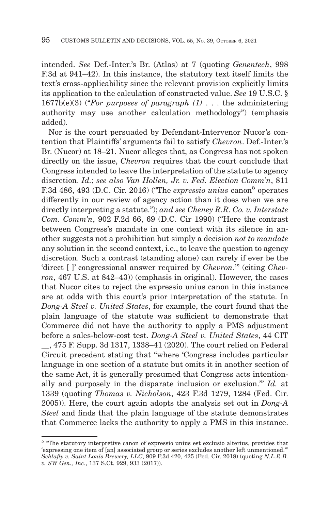intended. *See* Def.-Inter.'s Br. (Atlas) at 7 (quoting *Genentech*, 998 F.3d at 941–42). In this instance, the statutory text itself limits the text's cross-applicability since the relevant provision explicitly limits its application to the calculation of constructed value. *See* 19 U.S.C. § 1677b(e)(3) ("*For purposes of paragraph (1)* . . . the administering authority may use another calculation methodology") (emphasis added).

Nor is the court persuaded by Defendant-Intervenor Nucor's contention that Plaintiffs' arguments fail to satisfy *Chevron*. Def.-Inter.'s Br. (Nucor) at 18–21. Nucor alleges that, as Congress has not spoken directly on the issue, *Chevron* requires that the court conclude that Congress intended to leave the interpretation of the statute to agency discretion. *Id.*; *see also Van Hollen, Jr. v. Fed. Election Comm'n*, 811 F.3d 486, 493 (D.C. Cir. 2016) ("The *expressio unius* canon<sup>5</sup> operates differently in our review of agency action than it does when we are directly interpreting a statute."); *and see Cheney R.R. Co. v. Interstate Com. Comm'n*, 902 F.2d 66, 69 (D.C. Cir 1990) ("Here the contrast between Congress's mandate in one context with its silence in another suggests not a prohibition but simply a decision *not to mandate* any solution in the second context, i.e., to leave the question to agency discretion. Such a contrast (standing alone) can rarely if ever be the 'direct [ ]' congressional answer required by *Chevron*.'" (citing *Chevron*, 467 U.S. at 842–43)) (emphasis in original). However, the cases that Nucor cites to reject the expressio unius canon in this instance are at odds with this court's prior interpretation of the statute. In *Dong-A Steel v. United States*, for example, the court found that the plain language of the statute was sufficient to demonstrate that Commerce did not have the authority to apply a PMS adjustment before a sales-below-cost test. *Dong-A Steel v. United States*, 44 CIT \_\_, 475 F. Supp. 3d 1317, 1338–41 (2020). The court relied on Federal Circuit precedent stating that "where 'Congress includes particular language in one section of a statute but omits it in another section of the same Act, it is generally presumed that Congress acts intentionally and purposely in the disparate inclusion or exclusion.'" *Id.* at 1339 (quoting *Thomas v. Nicholson*, 423 F.3d 1279, 1284 (Fed. Cir. 2005)). Here, the court again adopts the analysis set out in *Dong-A Steel* and finds that the plain language of the statute demonstrates that Commerce lacks the authority to apply a PMS in this instance.

<sup>5 &</sup>quot;The statutory interpretive canon of expressio unius est exclusio alterius, provides that 'expressing one item of [an] associated group or series excludes another left unmentioned.'" *Schlafly v. Saint Louis Brewery, LLC*, 909 F.3d 420, 425 (Fed. Cir. 2018) (quoting *N.L.R.B. v. SW Gen., Inc.*, 137 S.Ct. 929, 933 (2017)).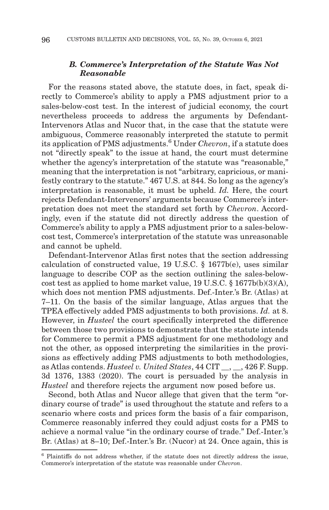## *B. Commerce's Interpretation of the Statute Was Not Reasonable*

For the reasons stated above, the statute does, in fact, speak directly to Commerce's ability to apply a PMS adjustment prior to a sales-below-cost test. In the interest of judicial economy, the court nevertheless proceeds to address the arguments by Defendant-Intervenors Atlas and Nucor that, in the case that the statute were ambiguous, Commerce reasonably interpreted the statute to permit its application of PMS adjustments.6 Under *Chevron*, if a statute does not "directly speak" to the issue at hand, the court must determine whether the agency's interpretation of the statute was "reasonable," meaning that the interpretation is not "arbitrary, capricious, or manifestly contrary to the statute." 467 U.S. at 844. So long as the agency's interpretation is reasonable, it must be upheld. *Id.* Here, the court rejects Defendant-Intervenors' arguments because Commerce's interpretation does not meet the standard set forth by *Chevron*. Accordingly, even if the statute did not directly address the question of Commerce's ability to apply a PMS adjustment prior to a sales-belowcost test, Commerce's interpretation of the statute was unreasonable and cannot be upheld.

Defendant-Intervenor Atlas first notes that the section addressing calculation of constructed value, 19 U.S.C. § 1677b(e), uses similar language to describe COP as the section outlining the sales-belowcost test as applied to home market value, 19 U.S.C. § 1677b(b)(3)(A), which does not mention PMS adjustments. Def.-Inter.'s Br. (Atlas) at 7–11. On the basis of the similar language, Atlas argues that the TPEA effectively added PMS adjustments to both provisions. *Id.* at 8. However, in *Husteel* the court specifically interpreted the difference between those two provisions to demonstrate that the statute intends for Commerce to permit a PMS adjustment for one methodology and not the other, as opposed interpreting the similarities in the provisions as effectively adding PMS adjustments to both methodologies, as Atlas contends. *Husteel v. United States*, 44 CIT \_\_, \_\_, 426 F. Supp. 3d 1376, 1383 (2020). The court is persuaded by the analysis in *Husteel* and therefore rejects the argument now posed before us.

Second, both Atlas and Nucor allege that given that the term "ordinary course of trade" is used throughout the statute and refers to a scenario where costs and prices form the basis of a fair comparison, Commerce reasonably inferred they could adjust costs for a PMS to achieve a normal value "in the ordinary course of trade." Def.-Inter.'s Br. (Atlas) at 8–10; Def.-Inter.'s Br. (Nucor) at 24. Once again, this is

<sup>6</sup> Plaintiffs do not address whether, if the statute does not directly address the issue, Commerce's interpretation of the statute was reasonable under *Chevron*.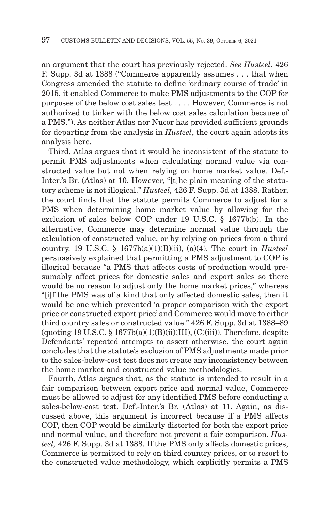an argument that the court has previously rejected. *See Husteel*, 426 F. Supp. 3d at 1388 ("Commerce apparently assumes . . . that when Congress amended the statute to define 'ordinary course of trade' in 2015, it enabled Commerce to make PMS adjustments to the COP for purposes of the below cost sales test . . . . However, Commerce is not authorized to tinker with the below cost sales calculation because of a PMS."). As neither Atlas nor Nucor has provided sufficient grounds for departing from the analysis in *Husteel*, the court again adopts its analysis here.

Third, Atlas argues that it would be inconsistent of the statute to permit PMS adjustments when calculating normal value via constructed value but not when relying on home market value. Def.- Inter.'s Br. (Atlas) at 10. However, "[t]he plain meaning of the statutory scheme is not illogical." *Husteel,* 426 F. Supp. 3d at 1388. Rather, the court finds that the statute permits Commerce to adjust for a PMS when determining home market value by allowing for the exclusion of sales below COP under 19 U.S.C. § 1677b(b). In the alternative, Commerce may determine normal value through the calculation of constructed value, or by relying on prices from a third country. 19 U.S.C. § 1677b(a)(1)(B)(ii), (a)(4). The court in *Husteel* persuasively explained that permitting a PMS adjustment to COP is illogical because "a PMS that affects costs of production would presumably affect prices for domestic sales and export sales so there would be no reason to adjust only the home market prices," whereas "[i]f the PMS was of a kind that only affected domestic sales, then it would be one which prevented 'a proper comparison with the export price or constructed export price' and Commerce would move to either third country sales or constructed value." 426 F. Supp. 3d at 1388–89  $($ quoting 19 U.S.C. § 1677b $(a)(1)(B)(ii)(III)$ ,  $(C)(iii)$ ). Therefore, despite Defendants' repeated attempts to assert otherwise, the court again concludes that the statute's exclusion of PMS adjustments made prior to the sales-below-cost test does not create any inconsistency between the home market and constructed value methodologies.

Fourth, Atlas argues that, as the statute is intended to result in a fair comparison between export price and normal value, Commerce must be allowed to adjust for any identified PMS before conducting a sales-below-cost test. Def.-Inter.'s Br. (Atlas) at 11. Again, as discussed above, this argument is incorrect because if a PMS affects COP, then COP would be similarly distorted for both the export price and normal value, and therefore not prevent a fair comparison. *Husteel,* 426 F. Supp. 3d at 1388. If the PMS only affects domestic prices, Commerce is permitted to rely on third country prices, or to resort to the constructed value methodology, which explicitly permits a PMS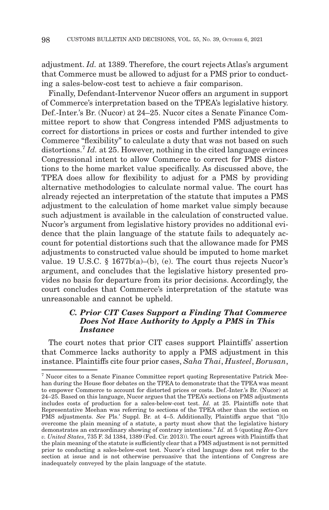adjustment. *Id.* at 1389. Therefore, the court rejects Atlas's argument that Commerce must be allowed to adjust for a PMS prior to conducting a sales-below-cost test to achieve a fair comparison.

Finally, Defendant-Intervenor Nucor offers an argument in support of Commerce's interpretation based on the TPEA's legislative history. Def.-Inter.'s Br. (Nucor) at 24–25. Nucor cites a Senate Finance Committee report to show that Congress intended PMS adjustments to correct for distortions in prices or costs and further intended to give Commerce "flexibility" to calculate a duty that was not based on such distortions.<sup>7</sup> *Id.* at 25. However, nothing in the cited language evinces Congressional intent to allow Commerce to correct for PMS distortions to the home market value specifically. As discussed above, the TPEA does allow for flexibility to adjust for a PMS by providing alternative methodologies to calculate normal value. The court has already rejected an interpretation of the statute that imputes a PMS adjustment to the calculation of home market value simply because such adjustment is available in the calculation of constructed value. Nucor's argument from legislative history provides no additional evidence that the plain language of the statute fails to adequately account for potential distortions such that the allowance made for PMS adjustments to constructed value should be imputed to home market value. 19 U.S.C. § 1677b(a)–(b), (e). The court thus rejects Nucor's argument, and concludes that the legislative history presented provides no basis for departure from its prior decisions. Accordingly, the court concludes that Commerce's interpretation of the statute was unreasonable and cannot be upheld.

## *C. Prior CIT Cases Support a Finding That Commerce Does Not Have Authority to Apply a PMS in This Instance*

The court notes that prior CIT cases support Plaintiffs' assertion that Commerce lacks authority to apply a PMS adjustment in this instance. Plaintiffs cite four prior cases, *Saha Thai*, *Husteel*, *Borusan*,

<sup>7</sup> Nucor cites to a Senate Finance Committee report quoting Representative Patrick Meehan during the House floor debates on the TPEA to demonstrate that the TPEA was meant to empower Commerce to account for distorted prices or costs. Def.-Inter.'s Br. (Nucor) at 24–25. Based on this language, Nucor argues that the TPEA's sections on PMS adjustments includes costs of production for a sales-below-cost test. *Id.* at 25. Plaintiffs note that Representative Meehan was referring to sections of the TPEA other than the section on PMS adjustments. *See* Pls.' Suppl. Br. at 4–5. Additionally, Plaintiffs argue that "[t]o overcome the plain meaning of a statute, a party must show that the legislative history demonstrates an extraordinary showing of contrary intentions." *Id.* at 5 (quoting *Res-Care v. United States*, 735 F. 3d 1384, 1389 (Fed. Cir. 2013)). The court agrees with Plaintiffs that the plain meaning of the statute is sufficiently clear that a PMS adjustment is not permitted prior to conducting a sales-below-cost test. Nucor's cited language does not refer to the section at issue and is not otherwise persuasive that the intentions of Congress are inadequately conveyed by the plain language of the statute.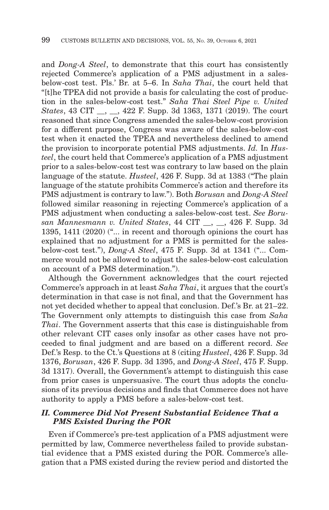and *Dong-A Steel*, to demonstrate that this court has consistently rejected Commerce's application of a PMS adjustment in a salesbelow-cost test. Pls.' Br. at 5–6. In *Saha Thai*, the court held that "[t]he TPEA did not provide a basis for calculating the cost of production in the sales-below-cost test." *Saha Thai Steel Pipe v. United States*, 43 CIT \_\_, \_\_, 422 F. Supp. 3d 1363, 1371 (2019). The court reasoned that since Congress amended the sales-below-cost provision for a different purpose, Congress was aware of the sales-below-cost test when it enacted the TPEA and nevertheless declined to amend the provision to incorporate potential PMS adjustments. *Id.* In *Husteel*, the court held that Commerce's application of a PMS adjustment prior to a sales-below-cost test was contrary to law based on the plain language of the statute. *Husteel*, 426 F. Supp. 3d at 1383 ("The plain language of the statute prohibits Commerce's action and therefore its PMS adjustment is contrary to law."). Both *Borusan* and *Dong-A Steel* followed similar reasoning in rejecting Commerce's application of a PMS adjustment when conducting a sales-below-cost test. *See Borusan Mannesmann v. United States*, 44 CIT \_\_, \_\_, 426 F. Supp. 3d 1395, 1411 (2020) ("... in recent and thorough opinions the court has explained that no adjustment for a PMS is permitted for the salesbelow-cost test."), *Dong-A Steel*, 475 F. Supp. 3d at 1341 ("... Commerce would not be allowed to adjust the sales-below-cost calculation on account of a PMS determination.").

Although the Government acknowledges that the court rejected Commerce's approach in at least *Saha Thai*, it argues that the court's determination in that case is not final, and that the Government has not yet decided whether to appeal that conclusion. Def.'s Br. at 21–22. The Government only attempts to distinguish this case from *Saha Thai*. The Government asserts that this case is distinguishable from other relevant CIT cases only insofar as other cases have not proceeded to final judgment and are based on a different record. *See* Def.'s Resp. to the Ct.'s Questions at 8 (citing *Husteel*, 426 F. Supp. 3d 1376, *Borusan*, 426 F. Supp. 3d 1395, and *Dong-A Steel*, 475 F. Supp. 3d 1317). Overall, the Government's attempt to distinguish this case from prior cases is unpersuasive. The court thus adopts the conclusions of its previous decisions and finds that Commerce does not have authority to apply a PMS before a sales-below-cost test.

## *II. Commerce Did Not Present Substantial Evidence That a PMS Existed During the POR*

Even if Commerce's pre-test application of a PMS adjustment were permitted by law, Commerce nevertheless failed to provide substantial evidence that a PMS existed during the POR. Commerce's allegation that a PMS existed during the review period and distorted the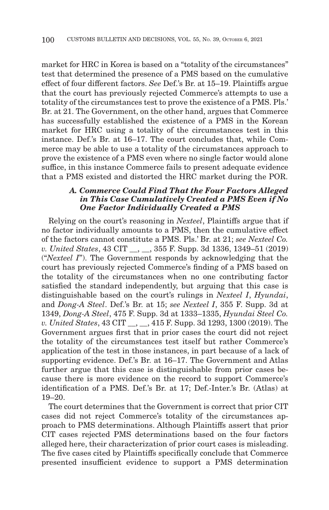market for HRC in Korea is based on a "totality of the circumstances" test that determined the presence of a PMS based on the cumulative effect of four different factors. *See* Def.'s Br. at 15–19. Plaintiffs argue that the court has previously rejected Commerce's attempts to use a totality of the circumstances test to prove the existence of a PMS. Pls.' Br. at 21. The Government, on the other hand, argues that Commerce has successfully established the existence of a PMS in the Korean market for HRC using a totality of the circumstances test in this instance. Def.'s Br. at 16–17. The court concludes that, while Commerce may be able to use a totality of the circumstances approach to prove the existence of a PMS even where no single factor would alone suffice, in this instance Commerce fails to present adequate evidence that a PMS existed and distorted the HRC market during the POR.

## *A. Commerce Could Find That the Four Factors Alleged in This Case Cumulatively Created a PMS Even if No One Factor Individually Created a PMS*

Relying on the court's reasoning in *Nexteel*, Plaintiffs argue that if no factor individually amounts to a PMS, then the cumulative effect of the factors cannot constitute a PMS. Pls.' Br. at 21; *see Nexteel Co. v. United States*, 43 CIT \_\_, \_\_, 355 F. Supp. 3d 1336, 1349–51 (2019) ("*Nexteel I*"). The Government responds by acknowledging that the court has previously rejected Commerce's finding of a PMS based on the totality of the circumstances when no one contributing factor satisfied the standard independently, but arguing that this case is distinguishable based on the court's rulings in *Nexteel I*, *Hyundai*, and *Dong-A Steel*. Def.'s Br. at 15; *see Nexteel I*, 355 F. Supp. 3d at 1349, *Dong-A Steel*, 475 F. Supp. 3d at 1333–1335, *Hyundai Steel Co. v. United States*, 43 CIT \_\_, \_\_, 415 F. Supp. 3d 1293, 1300 (2019). The Government argues first that in prior cases the court did not reject the totality of the circumstances test itself but rather Commerce's application of the test in those instances, in part because of a lack of supporting evidence. Def.'s Br. at 16–17. The Government and Atlas further argue that this case is distinguishable from prior cases because there is more evidence on the record to support Commerce's identification of a PMS. Def.'s Br. at 17; Def.-Inter.'s Br. (Atlas) at 19–20.

The court determines that the Government is correct that prior CIT cases did not reject Commerce's totality of the circumstances approach to PMS determinations. Although Plaintiffs assert that prior CIT cases rejected PMS determinations based on the four factors alleged here, their characterization of prior court cases is misleading. The five cases cited by Plaintiffs specifically conclude that Commerce presented insufficient evidence to support a PMS determination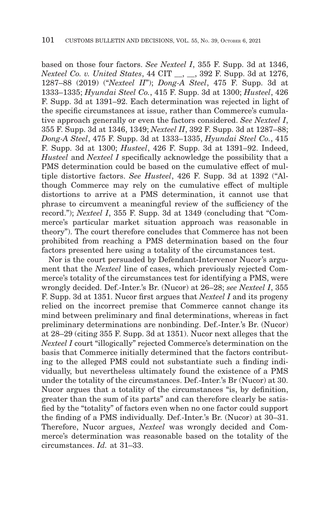based on those four factors. *See Nexteel I*, 355 F. Supp. 3d at 1346, *Nexteel Co. v. United States*, 44 CIT \_\_, \_\_, 392 F. Supp. 3d at 1276, 1287–88 (2019) ("*Nexteel II*"); *Dong-A Steel*, 475 F. Supp. 3d at 1333–1335; *Hyundai Steel Co.*, 415 F. Supp. 3d at 1300; *Husteel*, 426 F. Supp. 3d at 1391–92. Each determination was rejected in light of the specific circumstances at issue, rather than Commerce's cumulative approach generally or even the factors considered. *See Nexteel I*, 355 F. Supp. 3d at 1346, 1349; *Nexteel II*, 392 F. Supp. 3d at 1287–88; *Dong-A Steel*, 475 F. Supp. 3d at 1333–1335, *Hyundai Steel Co.*, 415 F. Supp. 3d at 1300; *Husteel*, 426 F. Supp. 3d at 1391–92. Indeed, *Husteel* and *Nexteel I* specifically acknowledge the possibility that a PMS determination could be based on the cumulative effect of multiple distortive factors. *See Husteel*, 426 F. Supp. 3d at 1392 ("Although Commerce may rely on the cumulative effect of multiple distortions to arrive at a PMS determination, it cannot use that phrase to circumvent a meaningful review of the sufficiency of the record."); *Nexteel I*, 355 F. Supp. 3d at 1349 (concluding that "Commerce's particular market situation approach was reasonable in theory"). The court therefore concludes that Commerce has not been prohibited from reaching a PMS determination based on the four factors presented here using a totality of the circumstances test.

Nor is the court persuaded by Defendant-Intervenor Nucor's argument that the *Nexteel* line of cases, which previously rejected Commerce's totality of the circumstances test for identifying a PMS, were wrongly decided. Def.-Inter.'s Br. (Nucor) at 26–28; *see Nexteel I*, 355 F. Supp. 3d at 1351. Nucor first argues that *Nexteel I* and its progeny relied on the incorrect premise that Commerce cannot change its mind between preliminary and final determinations, whereas in fact preliminary determinations are nonbinding. Def.-Inter.'s Br. (Nucor) at 28–29 (citing 355 F. Supp. 3d at 1351). Nucor next alleges that the *Nexteel I* court "illogically" rejected Commerce's determination on the basis that Commerce initially determined that the factors contributing to the alleged PMS could not substantiate such a finding individually, but nevertheless ultimately found the existence of a PMS under the totality of the circumstances. Def.-Inter.'s Br (Nucor) at 30. Nucor argues that a totality of the circumstances "is, by definition, greater than the sum of its parts" and can therefore clearly be satisfied by the "totality" of factors even when no one factor could support the finding of a PMS individually. Def.-Inter.'s Br. (Nucor) at 30–31. Therefore, Nucor argues, *Nexteel* was wrongly decided and Commerce's determination was reasonable based on the totality of the circumstances. *Id.* at 31–33.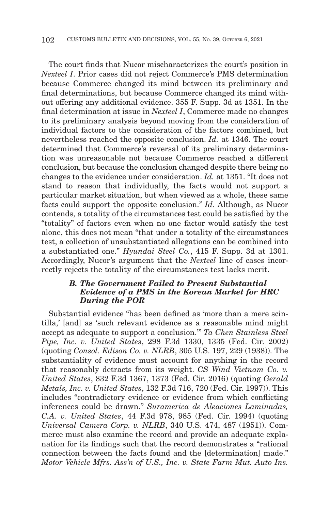The court finds that Nucor mischaracterizes the court's position in *Nexteel I*. Prior cases did not reject Commerce's PMS determination because Commerce changed its mind between its preliminary and final determinations, but because Commerce changed its mind without offering any additional evidence. 355 F. Supp. 3d at 1351. In the final determination at issue in *Nexteel I*, Commerce made no changes to its preliminary analysis beyond moving from the consideration of individual factors to the consideration of the factors combined, but nevertheless reached the opposite conclusion. *Id.* at 1346. The court determined that Commerce's reversal of its preliminary determination was unreasonable not because Commerce reached a different conclusion, but because the conclusion changed despite there being no changes to the evidence under consideration. *Id.* at 1351. "It does not stand to reason that individually, the facts would not support a particular market situation, but when viewed as a whole, these same facts could support the opposite conclusion." *Id.* Although, as Nucor contends, a totality of the circumstances test could be satisfied by the "totality" of factors even when no one factor would satisfy the test alone, this does not mean "that under a totality of the circumstances test, a collection of unsubstantiated allegations can be combined into a substantiated one." *Hyundai Steel Co.*, 415 F. Supp. 3d at 1301. Accordingly, Nucor's argument that the *Nexteel* line of cases incorrectly rejects the totality of the circumstances test lacks merit.

## *B. The Government Failed to Present Substantial Evidence of a PMS in the Korean Market for HRC During the POR*

Substantial evidence "has been defined as 'more than a mere scintilla,' [and] as 'such relevant evidence as a reasonable mind might accept as adequate to support a conclusion.'" *Ta Chen Stainless Steel Pipe, Inc. v. United States*, 298 F.3d 1330, 1335 (Fed. Cir. 2002) (quoting *Consol. Edison Co. v. NLRB*, 305 U.S. 197, 229 (1938)). The substantiality of evidence must account for anything in the record that reasonably detracts from its weight. *CS Wind Vietnam Co. v. United States*, 832 F.3d 1367, 1373 (Fed. Cir. 2016) (quoting *Gerald Metals, Inc. v. United States*, 132 F.3d 716, 720 (Fed. Cir. 1997)). This includes "contradictory evidence or evidence from which conflicting inferences could be drawn." *Suramerica de Aleaciones Laminadas, C.A. v. United States*, 44 F.3d 978, 985 (Fed. Cir. 1994) (quoting *Universal Camera Corp. v. NLRB*, 340 U.S. 474, 487 (1951)). Commerce must also examine the record and provide an adequate explanation for its findings such that the record demonstrates a "rational connection between the facts found and the [determination] made." *Motor Vehicle Mfrs. Ass'n of U.S., Inc. v. State Farm Mut. Auto Ins.*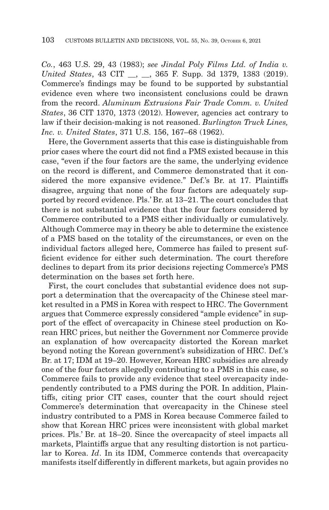*Co.*, 463 U.S. 29, 43 (1983); *see Jindal Poly Films Ltd. of India v. United States*, 43 CIT \_\_, \_\_, 365 F. Supp. 3d 1379, 1383 (2019). Commerce's findings may be found to be supported by substantial evidence even where two inconsistent conclusions could be drawn from the record. *Aluminum Extrusions Fair Trade Comm. v. United States*, 36 CIT 1370, 1373 (2012). However, agencies act contrary to law if their decision-making is not reasoned. *Burlington Truck Lines, Inc. v. United States*, 371 U.S. 156, 167–68 (1962).

Here, the Government asserts that this case is distinguishable from prior cases where the court did not find a PMS existed because in this case, "even if the four factors are the same, the underlying evidence on the record is different, and Commerce demonstrated that it considered the more expansive evidence." Def.'s Br. at 17. Plaintiffs disagree, arguing that none of the four factors are adequately supported by record evidence. Pls.' Br. at 13–21. The court concludes that there is not substantial evidence that the four factors considered by Commerce contributed to a PMS either individually or cumulatively. Although Commerce may in theory be able to determine the existence of a PMS based on the totality of the circumstances, or even on the individual factors alleged here, Commerce has failed to present sufficient evidence for either such determination. The court therefore declines to depart from its prior decisions rejecting Commerce's PMS determination on the bases set forth here.

First, the court concludes that substantial evidence does not support a determination that the overcapacity of the Chinese steel market resulted in a PMS in Korea with respect to HRC. The Government argues that Commerce expressly considered "ample evidence" in support of the effect of overcapacity in Chinese steel production on Korean HRC prices, but neither the Government nor Commerce provide an explanation of how overcapacity distorted the Korean market beyond noting the Korean government's subsidization of HRC. Def.'s Br. at 17; IDM at 19–20. However, Korean HRC subsidies are already one of the four factors allegedly contributing to a PMS in this case, so Commerce fails to provide any evidence that steel overcapacity independently contributed to a PMS during the POR. In addition, Plaintiffs, citing prior CIT cases, counter that the court should reject Commerce's determination that overcapacity in the Chinese steel industry contributed to a PMS in Korea because Commerce failed to show that Korean HRC prices were inconsistent with global market prices. Pls.' Br. at 18–20. Since the overcapacity of steel impacts all markets, Plaintiffs argue that any resulting distortion is not particular to Korea. *Id*. In its IDM, Commerce contends that overcapacity manifests itself differently in different markets, but again provides no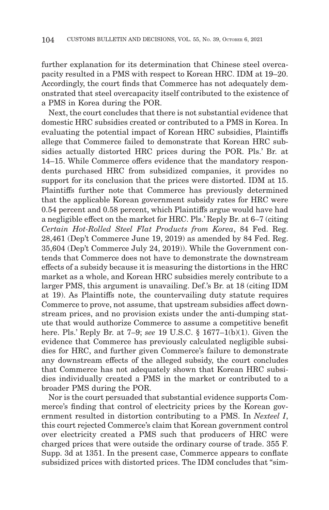further explanation for its determination that Chinese steel overcapacity resulted in a PMS with respect to Korean HRC. IDM at 19–20. Accordingly, the court finds that Commerce has not adequately demonstrated that steel overcapacity itself contributed to the existence of a PMS in Korea during the POR.

Next, the court concludes that there is not substantial evidence that domestic HRC subsidies created or contributed to a PMS in Korea. In evaluating the potential impact of Korean HRC subsidies, Plaintiffs allege that Commerce failed to demonstrate that Korean HRC subsidies actually distorted HRC prices during the POR. Pls.' Br. at 14–15. While Commerce offers evidence that the mandatory respondents purchased HRC from subsidized companies, it provides no support for its conclusion that the prices were distorted. IDM at 15. Plaintiffs further note that Commerce has previously determined that the applicable Korean government subsidy rates for HRC were 0.54 percent and 0.58 percent, which Plaintiffs argue would have had a negligible effect on the market for HRC. Pls.' Reply Br. at 6–7 (citing *Certain Hot-Rolled Steel Flat Products from Korea*, 84 Fed. Reg. 28,461 (Dep't Commerce June 19, 2019) as amended by 84 Fed. Reg. 35,604 (Dep't Commerce July 24, 2019)). While the Government contends that Commerce does not have to demonstrate the downstream effects of a subsidy because it is measuring the distortions in the HRC market as a whole, and Korean HRC subsidies merely contribute to a larger PMS, this argument is unavailing. Def.'s Br. at 18 (citing IDM at 19). As Plaintiffs note, the countervailing duty statute requires Commerce to prove, not assume, that upstream subsidies affect downstream prices, and no provision exists under the anti-dumping statute that would authorize Commerce to assume a competitive benefit here. Pls.' Reply Br. at 7–9; *see* 19 U.S.C. § 1677–1(b)(1). Given the evidence that Commerce has previously calculated negligible subsidies for HRC, and further given Commerce's failure to demonstrate any downstream effects of the alleged subsidy, the court concludes that Commerce has not adequately shown that Korean HRC subsidies individually created a PMS in the market or contributed to a broader PMS during the POR.

Nor is the court persuaded that substantial evidence supports Commerce's finding that control of electricity prices by the Korean government resulted in distortion contributing to a PMS. In *Nexteel I*, this court rejected Commerce's claim that Korean government control over electricity created a PMS such that producers of HRC were charged prices that were outside the ordinary course of trade. 355 F. Supp. 3d at 1351. In the present case, Commerce appears to conflate subsidized prices with distorted prices. The IDM concludes that "sim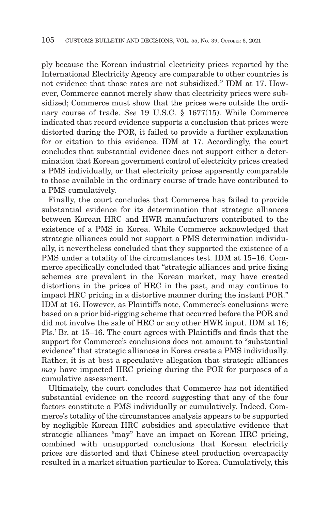ply because the Korean industrial electricity prices reported by the International Electricity Agency are comparable to other countries is not evidence that those rates are not subsidized." IDM at 17. However, Commerce cannot merely show that electricity prices were subsidized; Commerce must show that the prices were outside the ordinary course of trade. *See* 19 U.S.C. § 1677(15). While Commerce indicated that record evidence supports a conclusion that prices were distorted during the POR, it failed to provide a further explanation for or citation to this evidence. IDM at 17. Accordingly, the court concludes that substantial evidence does not support either a determination that Korean government control of electricity prices created a PMS individually, or that electricity prices apparently comparable to those available in the ordinary course of trade have contributed to a PMS cumulatively.

Finally, the court concludes that Commerce has failed to provide substantial evidence for its determination that strategic alliances between Korean HRC and HWR manufacturers contributed to the existence of a PMS in Korea. While Commerce acknowledged that strategic alliances could not support a PMS determination individually, it nevertheless concluded that they supported the existence of a PMS under a totality of the circumstances test. IDM at 15–16. Commerce specifically concluded that "strategic alliances and price fixing schemes are prevalent in the Korean market, may have created distortions in the prices of HRC in the past, and may continue to impact HRC pricing in a distortive manner during the instant POR." IDM at 16. However, as Plaintiffs note, Commerce's conclusions were based on a prior bid-rigging scheme that occurred before the POR and did not involve the sale of HRC or any other HWR input. IDM at 16; Pls.' Br. at 15–16. The court agrees with Plaintiffs and finds that the support for Commerce's conclusions does not amount to "substantial evidence" that strategic alliances in Korea create a PMS individually. Rather, it is at best a speculative allegation that strategic alliances *may* have impacted HRC pricing during the POR for purposes of a cumulative assessment.

Ultimately, the court concludes that Commerce has not identified substantial evidence on the record suggesting that any of the four factors constitute a PMS individually or cumulatively. Indeed, Commerce's totality of the circumstances analysis appears to be supported by negligible Korean HRC subsidies and speculative evidence that strategic alliances "may" have an impact on Korean HRC pricing, combined with unsupported conclusions that Korean electricity prices are distorted and that Chinese steel production overcapacity resulted in a market situation particular to Korea. Cumulatively, this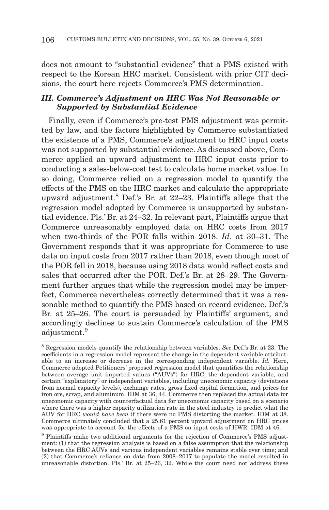does not amount to "substantial evidence" that a PMS existed with respect to the Korean HRC market. Consistent with prior CIT decisions, the court here rejects Commerce's PMS determination.

## *III. Commerce's Adjustment on HRC Was Not Reasonable or Supported by Substantial Evidence*

Finally, even if Commerce's pre-test PMS adjustment was permitted by law, and the factors highlighted by Commerce substantiated the existence of a PMS, Commerce's adjustment to HRC input costs was not supported by substantial evidence. As discussed above, Commerce applied an upward adjustment to HRC input costs prior to conducting a sales-below-cost test to calculate home market value. In so doing, Commerce relied on a regression model to quantify the effects of the PMS on the HRC market and calculate the appropriate upward adjustment.8 Def.'s Br. at 22–23. Plaintiffs allege that the regression model adopted by Commerce is unsupported by substantial evidence. Pls.' Br. at 24–32. In relevant part, Plaintiffs argue that Commerce unreasonably employed data on HRC costs from 2017 when two-thirds of the POR falls within 2018. *Id.* at 30–31. The Government responds that it was appropriate for Commerce to use data on input costs from 2017 rather than 2018, even though most of the POR fell in 2018, because using 2018 data would reflect costs and sales that occurred after the POR. Def.'s Br. at 28–29. The Government further argues that while the regression model may be imperfect, Commerce nevertheless correctly determined that it was a reasonable method to quantify the PMS based on record evidence. Def.'s Br. at 25–26. The court is persuaded by Plaintiffs' argument, and accordingly declines to sustain Commerce's calculation of the PMS adjustment.9

<sup>8</sup> Regression models quantify the relationship between variables. *See* Def.'s Br. at 23. The coefficients in a regression model represent the change in the dependent variable attributable to an increase or decrease in the corresponding independent variable. *Id.* Here, Commerce adopted Petitioners' proposed regression model that quantifies the relationship between average unit imported values ("AUVs") for HRC, the dependent variable, and certain "explanatory" or independent variables, including uneconomic capacity (deviations from normal capacity levels), exchange rates, gross fixed capital formation, and prices for iron ore, scrap, and aluminum. IDM at 36, 44. Commerce then replaced the actual data for uneconomic capacity with counterfactual data for uneconomic capacity based on a scenario where there was a higher capacity utilization rate in the steel industry to predict what the AUV for HRC *would have been* if there were no PMS distorting the market. IDM at 38. Commerce ultimately concluded that a 25.61 percent upward adjustment on HRC prices was appropriate to account for the effects of a PMS on input costs of HWR. IDM at 46.

<sup>&</sup>lt;sup>9</sup> Plaintiffs make two additional arguments for the rejection of Commerce's PMS adjustment: (1) that the regression analysis is based on a false assumption that the relationship between the HRC AUVs and various independent variables remains stable over time; and (2) that Commerce's reliance on data from 2008–2017 to populate the model resulted in unreasonable distortion. Pls.' Br. at 25–26, 32. While the court need not address these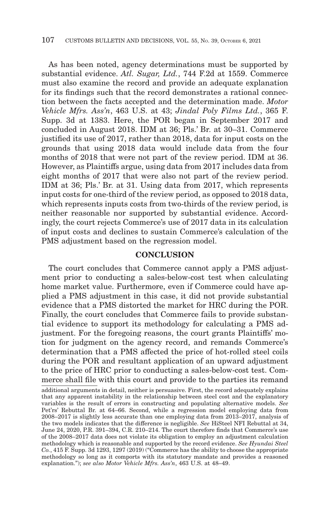As has been noted, agency determinations must be supported by substantial evidence. *Atl. Sugar, Ltd.*, 744 F.2d at 1559. Commerce must also examine the record and provide an adequate explanation for its findings such that the record demonstrates a rational connection between the facts accepted and the determination made. *Motor Vehicle Mfrs. Ass'n*, 463 U.S. at 43; *Jindal Poly Films Ltd.*, 365 F. Supp. 3d at 1383. Here, the POR began in September 2017 and concluded in August 2018. IDM at 36; Pls.' Br. at 30–31. Commerce justified its use of 2017, rather than 2018, data for input costs on the grounds that using 2018 data would include data from the four months of 2018 that were not part of the review period. IDM at 36. However, as Plaintiffs argue, using data from 2017 includes data from eight months of 2017 that were also not part of the review period. IDM at 36; Pls.' Br. at 31. Using data from 2017, which represents input costs for one-third of the review period, as opposed to 2018 data, which represents inputs costs from two-thirds of the review period, is neither reasonable nor supported by substantial evidence. Accordingly, the court rejects Commerce's use of 2017 data in its calculation of input costs and declines to sustain Commerce's calculation of the PMS adjustment based on the regression model.

### **CONCLUSION**

The court concludes that Commerce cannot apply a PMS adjustment prior to conducting a sales-below-cost test when calculating home market value. Furthermore, even if Commerce could have applied a PMS adjustment in this case, it did not provide substantial evidence that a PMS distorted the market for HRC during the POR. Finally, the court concludes that Commerce fails to provide substantial evidence to support its methodology for calculating a PMS adjustment. For the foregoing reasons, the court grants Plaintiffs' motion for judgment on the agency record, and remands Commerce's determination that a PMS affected the price of hot-rolled steel coils during the POR and resultant application of an upward adjustment to the price of HRC prior to conducting a sales-below-cost test. Commerce shall file with this court and provide to the parties its remand

additional arguments in detail, neither is persuasive. First, the record adequately explains that any apparent instability in the relationship between steel cost and the explanatory variables is the result of errors in constructing and populating alternative models. *See* Pet'rs' Rebuttal Br. at 64–66. Second, while a regression model employing data from 2008–2017 is slightly less accurate than one employing data from 2013–2017, analysis of the two models indicates that the difference is negligible. *See* HiSteel NFI Rebuttal at 34, June 24, 2020, P.R. 391–394, C.R. 210–214. The court therefore finds that Commerce's use of the 2008–2017 data does not violate its obligation to employ an adjustment calculation methodology which is reasonable and supported by the record evidence. *See Hyundai Steel Co.*, 415 F. Supp. 3d 1293, 1297 (2019) ("Commerce has the ability to choose the appropriate methodology so long as it comports with its statutory mandate and provides a reasoned explanation."); *see also Motor Vehicle Mfrs. Ass'n*, 463 U.S. at 48–49.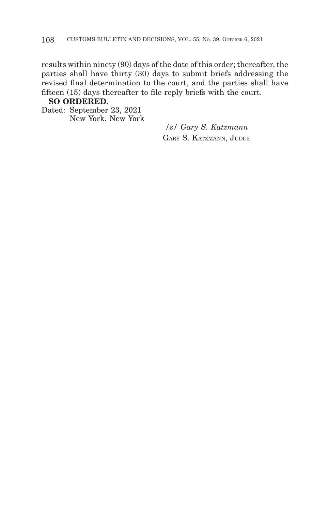results within ninety (90) days of the date of this order; thereafter, the parties shall have thirty (30) days to submit briefs addressing the revised final determination to the court, and the parties shall have fifteen (15) days thereafter to file reply briefs with the court.

## **SO ORDERED.**

Dated: September 23, 2021 New York, New York

*/s/ Gary S. Katzmann* GARY S. KATZMANN, JUDGE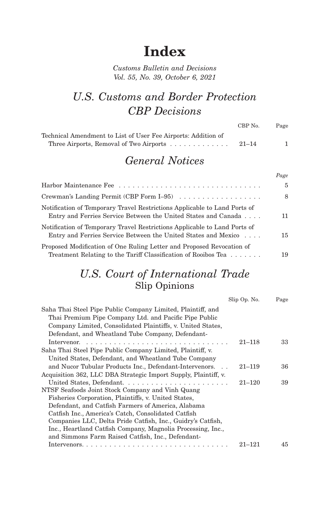# **Index**

## *Customs Bulletin and Decisions Vol. 55, No. 39, October 6, 2021*

## *U.S. Customs and Border Protection CBP Decisions*

|                                                               | CBP No.   | Page |
|---------------------------------------------------------------|-----------|------|
| Technical Amendment to List of User Fee Airports: Addition of |           |      |
| Three Airports, Removal of Two Airports                       | $21 - 14$ |      |

## *General Notices*

|                                                                                                                                             | Page           |
|---------------------------------------------------------------------------------------------------------------------------------------------|----------------|
|                                                                                                                                             | $\overline{5}$ |
| Crewman's Landing Permit (CBP Form $I=95$ )                                                                                                 | 8              |
| Notification of Temporary Travel Restrictions Applicable to Land Ports of<br>Entry and Ferries Service Between the United States and Canada | 11             |
| Notification of Temporary Travel Restrictions Applicable to Land Ports of<br>Entry and Ferries Service Between the United States and Mexico | 15             |
| Proposed Modification of One Ruling Letter and Proposed Revocation of<br>Treatment Relating to the Tariff Classification of Rooibos Tea     | 19             |

## *U.S. Court of International Trade* Slip Opinions

|                                                                 | Slip Op. No. | Page |
|-----------------------------------------------------------------|--------------|------|
| Saha Thai Steel Pipe Public Company Limited, Plaintiff, and     |              |      |
| Thai Premium Pipe Company Ltd. and Pacific Pipe Public          |              |      |
| Company Limited, Consolidated Plaintiffs, v. United States,     |              |      |
| Defendant, and Wheatland Tube Company, Defendant-               |              |      |
|                                                                 | $21 - 118$   | 33   |
| Saha Thai Steel Pipe Public Company Limited, Plaintiff, v.      |              |      |
| United States, Defendant, and Wheatland Tube Company            |              |      |
| and Nucor Tubular Products Inc., Defendant-Intervenors          | $21 - 119$   | 36   |
| Acquisition 362, LLC DBA Strategic Import Supply, Plaintiff, v. |              |      |
|                                                                 | $21 - 120$   | 39   |
| NTSF Seafoods Joint Stock Company and Vinh Quang                |              |      |
| Fisheries Corporation, Plaintiffs, v. United States,            |              |      |
| Defendant, and Catfish Farmers of America, Alabama              |              |      |
| Catfish Inc., America's Catch, Consolidated Catfish             |              |      |
| Companies LLC, Delta Pride Catfish, Inc., Guidry's Catfish,     |              |      |
| Inc., Heartland Catfish Company, Magnolia Processing, Inc.,     |              |      |
| and Simmons Farm Raised Catfish, Inc., Defendant-               |              |      |
|                                                                 | $21 - 121$   | 45   |